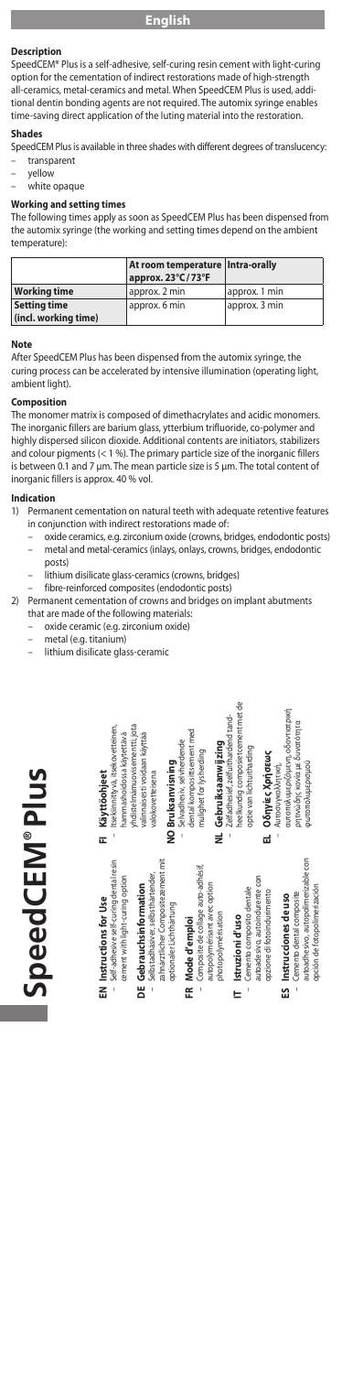# **Description**

SpeedCEM® Plus is a self-adhesive, self-curing resin cement with light-curing option for the cementation of indirect restorations made of high-strength all-ceramics, metal-ceramics and metal. When SpeedCEM Plus is used, additional dentin bonding agents are not required. The automix syringe enables time-saving direct application of the luting material into the restoration.

## **Shades**

SpeedCEM Plus is available in three shades with different degrees of translucency: – transparent

- yellow
- white opaque

### **Working and setting tim**

The following times apply as soon as SpeedCEM Plus has been dispensed from the automix syringe (the working and setting times depend on the ambient temperature):

|                                      | At room temperature   Intra-orally<br>approx. 23°C/73°F |               |
|--------------------------------------|---------------------------------------------------------|---------------|
| <b>Working time</b>                  | approx. 2 min                                           | approx. 1 min |
| Setting time<br>(incl. working time) | approx. 6 min                                           | approx. 3 min |

#### **Note**

After SpeedCEM Plus has been dispensed from the automix syringe, the curing process can be accelerated by intensive illumination (operating light, .<br>nt light).

## **Composition**

The monomer matrix is composed of dimethacrylates and acidic monomers.<br>The inorganic fillers are barium glass, ytterbium trifluoride, co-polymer and<br>highly dispersed silicon dioxide. Additional contents are initiators, sta and colour pigments (< 1 %). The primary particle size of the inorganic fillers is between 0.1 and 7 µm. The mean particle size is 5 µm. The total content of inorganic fillers is approx. 40 % vol.

# **Indication**

- Permanent cementation on natural teeth with adequate retentive features in conjunction with indirect restorations made of:
	- oxide ceramics, e.g. zirconium oxide (crowns, bridges, endodontic posts) metal and metal-ceramics (inlays, onlays, crowns, bridges, endodontic posts)
	- lithium disilicate glass-ceramics (crowns, bridges)
	- fibre-reinforced composites (endodontic posts)
- 2) Permanent cementation of crowns and bridges on implant abutments that are made of the following materials:
	- oxide ceramic (e.g. zirconium oxide)
		- metal (e.g. titanium)
		- lithium disilicate glass-ceramic

|   | SpeedCEM®Plus                                                                                                                |   |                                                                                                                            |
|---|------------------------------------------------------------------------------------------------------------------------------|---|----------------------------------------------------------------------------------------------------------------------------|
|   | Self-adhesive self-curing dental resin<br>cement with light-curing option<br>EN Instructions for Use                         | E | Itsekiinnittyvä, itsekovetteinen,<br>hamma shoidos sa käytettävä<br>Käyttöohjeet                                           |
|   | zahnärztlicher Compositezement mit<br>Selbstadhäsiver, selbsthärtender,<br>DE Gebrauchsinformation<br>optionalerLichthärtung |   | yhdistelmämuovisementti jota<br>valinnaisesti voidaan käyttää<br>NO Bruksanvisning<br>valokovetteisena                     |
|   | Composite de collage auto-adhésif,<br>autopolymérisant avec option<br>photopolymérisation<br>FR Mode d'emploi                |   | dental komposittsement med<br>Selvadhesiv, selvherdende<br>NL Gebruiksaanwijzing<br>mulighet for lysherding                |
| ᄇ | autoadesivo, autoindurente con<br>Cemento composito dentale<br>opzione di fotoindurimento<br>Istruzioni d'uso                |   | heelkundig composietcement met de<br>Zelfadhesief, zelfuithardend tand-<br>optie van lichtuitharding<br>ΕΙ Οδηγίες Χρήσεως |
|   | autoadhesivo, autopolimerizable con<br>opción de fotopolimerización<br>Cemento dental composite<br>ES Instrucciones de uso   |   | αυτοπολυμεριζόμενη, οδοντιατρική<br>ρητινώδης κονία με δυνατότητα<br>φωτοπολυμερισμού<br>Αυτοσυγκολλητική,                 |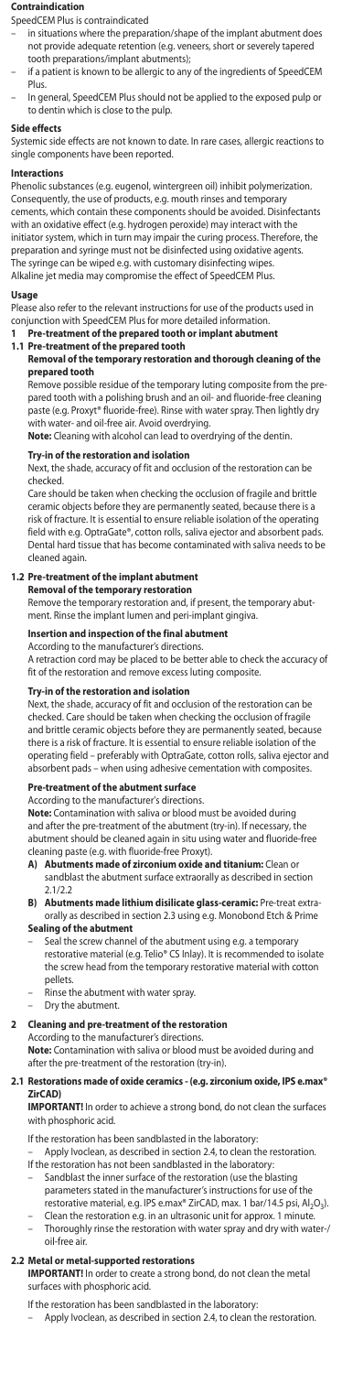#### **Contraindication**

SpeedCEM Plus is contraindicated

- in situations where the preparation/shape of the implant abutment does not provide adequate retention (e.g. veneers, short or severely tapered tooth preparations/implant abutments);
- if a patient is known to be allergic to any of the ingredients of SpeedCEM Plus.
- In general, SpeedCEM Plus should not be applied to the exposed pulp or to dentin which is close to the pulp.

#### **Side effects**

Systemic side effects are not known to date. In rare cases, allergic reactions to single components have been reported.

### **Interactions**

Phenolic substances (e.g. eugenol, wintergreen oil) inhibit polymerization. Consequently, the use of products, e.g. mouth rinses and temporary cements, which contain these components should be avoided. Disinfectants with an oxidative effect (e.g. hydrogen peroxide) may interact with the initiator system, which in turn may impair the curing process. Therefore, the preparation and syringe must not be disinfected using oxidative agents. The syringe can be wiped e.g. with customary disinfecting wipes. Alkaline jet media may compromise the effect of SpeedCEM Plus.

#### **Usage**

Please also refer to the relevant instructions for use of the products used in conjunction with SpeedCEM Plus for more detailed information.

- **1 Pre-treatment of the prepared tooth or implant abutment 1.1 Pre-treatment of the prepared tooth**
- 

# **Removal of the temporary restoration and thorough cleaning of the prepared tooth**

Remove possible residue of the temporary luting composite from the prepared tooth with a polishing brush and an oil- and fluoride-free cleaning paste (e.g. Proxyt® fluoride-free). Rinse with water spray. Then lightly dry with water- and oil-free air. Avoid overdrying.

**Note:** Cleaning with alcohol can lead to overdrying of the dentin.

### **Try-in of the restoration and isolation**

Next, the shade, accuracy of fit and occlusion of the restoration can be checked.

Care should be taken when checking the occlusion of fragile and brittle ceramic objects before they are permanently seated, because there is a risk of fracture. It is essential to ensure reliable isolation of the operating field with e.g. OptraGate®, cotton rolls, saliva ejector and absorbent pads. Dental hard tissue that has become contaminated with saliva needs to be cleaned again.

# **1.2 Pre-treatment of the implant abutment**

**Removal of the temporary restoration**

Remove the temporary restoration and, if present, the temporary abut-ment. Rinse the implant lumen and peri-implant gingiva.

# **Insertion and inspection of the final abutment**

According to the manufacturer's directions. A retraction cord may be placed to be better able to check the accuracy of fit of the restoration and remove excess luting composite

# **Try-in of the restoration and isolation**<br>Next, the shade accuracy of fit and occl

.<br>ext, the shade, accuracy of fit and occlusion of the restoration can be checked. Care should be taken when checking the occlusion of fragile and brittle ceramic objects before they are permanently seated, because there is a risk of fracture. It is essential to ensure reliable isolation of the operating field – preferably with OptraGate, cotton rolls, saliva ejector and absorbent pads – when using adhesive cementation with composites. - when using adhesive cementation with composites.

## **Pre-treatment of the abutment surface**

According to the manufacturer's directions.

**Note:** Contamination with saliva or blood must be avoided during and after the pre-treatment of the abutment (try-in). If necessary, the abutment should be cleaned again in situ using water and fluoride-free cleaning paste (e.g. with fluoride-free Proxyt).<br>A) Abutments made of zirconium oxide a

- **A) Abutments made in Abutments of zirconium or** sandblast the abutment surface extraorally as described in section  $21/22$
- **B) Abutments made lithium disilicate glass-ceramic:** Pre-treat extraorally as described in section 2.3 using e.g. Monobond Etch & Prime **Sealing of the abutment**
- Seal the screw channel of the abutment using e.g. a temporary restorative material (e.g. Telio® CS Inlay). It is recommended to isolate the screw head from the temporary restorative material with cotton pellets.
- Rinse the abutment with water spray.
- Dry the abutment.

## **2** Cleaning and pre-treatment of the restoration

According to the manufacturer's directions.

**Note:** Contamination with saliva or blood must be avoided during and after the pre-treatment of the restoration (try-in).

#### **2.1 Restorations made of oxide ceramics - (e.g. zirconium oxide, IPS e.max® ZirCAD)**

**IMPORTANT!** In order to achieve a strong bond, do not clean the surfaces with phosphoric acid.

If the restoration has been sandblasted in the laboratory:

- Apply Ivoclean, as described in section 2.4, to clean the restoration. If the restoration has not been sandblasted in the laboratory:
- Sandblast the inner surface of the restoration (use the blasting parameters stated in the manufacturer's instructions for use of the
- restorative material, e.g. IPS e.max® ZirCAD, max. 1 bar/14.5 psi, Al2O3). – Clean the restoration e.g. in an ultrasonic unit for approx. 1 minute. – Thoroughly rinse the restoration with water spray and dry with water-/ oil-free air.

**2.2 Metal or metal-supported restorations IMPORTANT!** In order to create a strong bond, do not clean the metal surfaces with phosphoric acid.

- 
- If the restoration has been sandblasted in the laboratory: Apply Ivoclean, as described in section 2.4, to clean the restoration.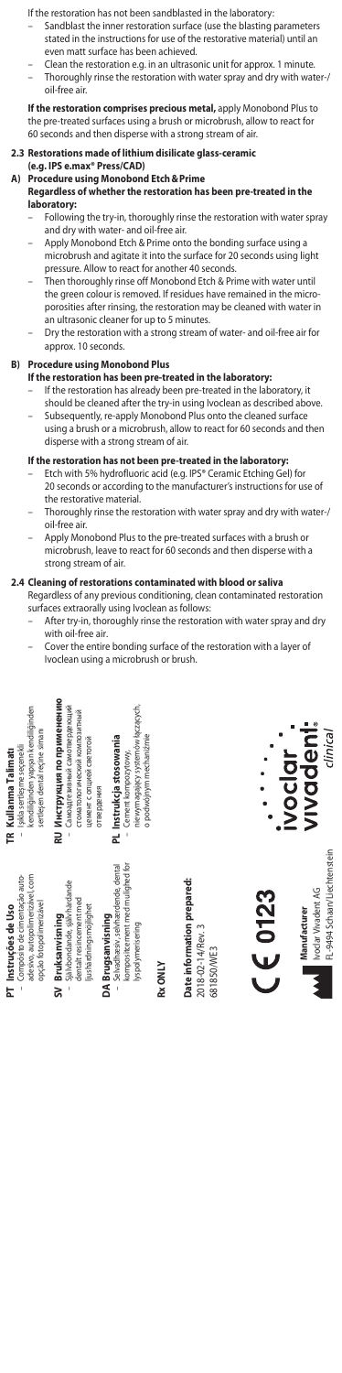If the restoration has not been sandblasted in the laboratory:

- Sandblast the inner restoration surface (use the blasting parameters stated in the instructions for use of the restorative material) until an even matt surface has been achieved.
- Clean the restoration e.g. in an ultrasonic unit for approx. 1 minute. – Thoroughly rinse the restoration with water spray and dry with water-/ oil-free air.

**If the restoration comprises precious metal, apply Monobond Plus to** the pre-treated surfaces using a brush or microbrush, allow to react for 60 seconds and then disperse with a strong stream of air.

## **2.3 Restorations made of lithium disilicate glass-ceramic**

**(e.g. IPS e.max® Press/CAD) A) Procedure using Monobond Etch&Prime** 

- **Regardless of whether the restoration has been pre-treated in the laboratory:**
	- Following the try-in, thoroughly rinse the restoration with water spray and dry with water- and oil-free air.
	- Apply Monobond Etch & Prime onto the bonding surface using a microbrush and agitate it into the surface for 20 seconds using light pressure. Allow to react for another 40 seconds.
	- Then thoroughly rinse off Monobond Etch & Prime with water until the green colour is removed. If residues have remained in the microporosities after rinsing, the restoration may be cleaned with water in an ultrasonic cleaner for up to 5 minutes.
	- Dry the restoration with a strong stream of water- and oil-free air for approx. 10 seconds.

**B) Procedure using Monobond Plus If the restoration has been pre-treated in the laboratory:**

- If the restoration has already been pre-treated in the laboratory, it should be cleaned after the try-in using Ivoclean as described above.
- Subsequently, re-apply Monobond Plus onto the cleaned surface using a brush or a microbrush, allow to react for 60 seconds and then disperse with a strong stream of air.

- **If the restoration has not been pre-treated in the laboratory:**<br>– Etch with 5% hydrofluoric acid (e.g. IPS® Ceramic Etching Gel) for 20 seconds or according to the manufacturer's instructions for use of the restorative material.
- Thoroughly rinse the restoration with water spray and dry with water-/ oil-free air.
- Apply Monobond Plus to the pre-treated surfaces with a brush or microbrush, leave to react for 60 seconds and then disperse with a strong stream of air.

# **2.4 Cleaning of restorations contaminated with blood or saliva**

Regardless of any previous conditioning, clean contaminated restoration surfaces extraorally using Ivoclean as follows:

- After try-in, thoroughly rinse the restoration with water spray and dry with oil-free air.
- Cover the entire bonding surface of the restoration with a layer of Ivoclean using a microbrush or brush.

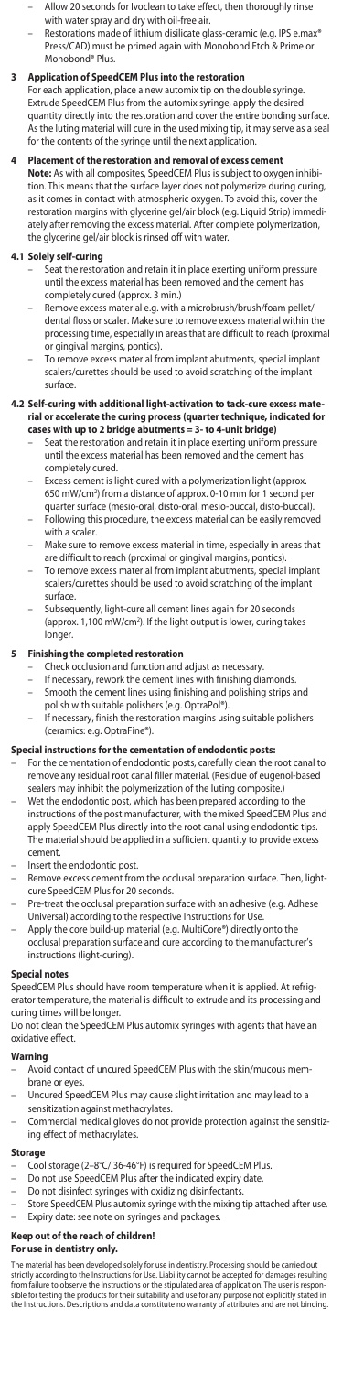- 
- Allow 20 seconds for Ivoclean to take effect, then thoroughly rinse<br>- With water spray and dry with oil-free air.<br>- Restorations made of lithium disilicate glass-ceramic (e.g. IPS e.max®<br>- Press/CAD) must be primed again Monobond® Plus.

**3 Application of SpeedCEM Plus into the restoration** For each application, place a new automix tip on the double syringe. Extrude SpeedCEM Plus from the automix syringe, apply the desired quantity directly into the restoration and cover the entire bonding surface. As the luting material will cure in the used mixing tip, it may serve as a seal for the contents of the syringe until the next application.

**4 Placement of the restoration and removal of excess cement Note:** As with all composites, SpeedCEM Plus is subject to oxygen inhibition. This means that the surface layer does not polymerize during curing, as it comes in contact with atmospheric oxygen. To avoid this, cover the restoration margins with glycerine gel/air block (e.g. Liquid Strip) immediately after removing the excess material. After complete polymerization, the glycerine gel/air block is rinsed off with water.

## **4.1 Solely self-curing**

- Seat the restoration and retain it in place exerting uniform pressure until the excess material has been removed and the cement has completely cured (approx. 3 min.)
- Remove excess material e.g. with a microbrush/brush/foam pellet/ dental floss or scaler. Make sure to remove excess material within the processing time, especially in areas that are difficult to reach (proximal or gingival margins, pontics).
- To remove excess material from implant abutments, special implant scalers/curettes should be used to avoid scratching of the implant surface.

# **4.2 Self-curing with additional light-activation to tack-cure excess mate-rial or accelerate the curing process (quarter technique, indicated for cases with up to 2 bridge abutments = 3- to 4-unit bridge)**

- Seat the restoration and retain it in place exerting uniform pressure until the excess material has been removed and the cement has completely cured.
- Excess cement is light-cured with a polymerization light (approx. 650 mW/cm2 ) from a distance of approx. 0-10 mm for 1 second per quarter surface (mesio-oral, disto-oral, mesio-buccal, disto-buccal).
- Following this procedure, the excess material can be easily removed with a scaler.
- Make sure to remove excess material in time, especially in areas that re difficult to reach (proximal or gingival margins, pontics).
- To remove excess material from implant abutments, special implant scalers/curettes should be used to avoid scratching of the implant surface.
- Subsequently, light-cure all cement lines again for 20 seconds (approx. 1,100 mW/cm<sup>2</sup>). If the light output is lower, curing takes longer.

### **5 Finishing the completed restoration**

- Check occlusion and function and adjust as necessary.
- If necessary, rework the cement lines with finishing diamonds. Smooth the cement lines using finishing and polishing strips and
- polish with suitable polishers (e.g. OptraPol®).
- If necessary, finish the restoration margins using suitable polishers (ceramics: e.g. OptraFine®).

### **Special instructions for the cementation of endodontic posts:**

- For the cementation of endodontic posts, carefully clean the root canal to remove any residual root canal filler material. (Residue of eugenol-based sealers may inhibit the polymerization of the luting composite.)
- Wet the endodontic post, which has been prepared according to the instructions of the post manufacturer, with the mixed SpeedCEM Plus and apply SpeedCEM Plus directly into the root canal using endodontic tips. The material should be applied in a sufficient quantity to provide excess cement.
- Insert the endodontic post.
- Remove excess cement from the occlusal preparation surface. Then, lightcure SpeedCEM Plus for 20 seconds.
- Pre-treat the occlusal preparation surface with an adhesive (e.g. Adhese
- Universal) according to the respective Instructions for Use. Apply the core build-up material (e.g. MultiCore®) directly onto the occlusal preparation surface and cure according to the manufacturer's instructions (light-curing).

### **Special notes**

SpeedCEM Plus should have room temperature when it is applied. At refrigerator temperature, the material is difficult to extrude and its processing and curing times will be longer.

Do not clean the SpeedCEM Plus automix syringes with agents that have an oxidative effect.

### **Warning**

- Avoid contact of uncured SpeedCEM Plus with the skin/mucous mem-
- brane or eyes. Uncured SpeedCEM Plus may cause slight irritation and may lead to a sensitization against methacrylates.
- Commercial medical gloves do not provide protection against the sensitizing effect of methacrylates.

### **Storage**

- 
- Cool storage (2–8°C/ 36-46°F) is required for SpeedCEM Plus. Do not use SpeedCEM Plus after the indicated expiry date.
- Do not disinfect syringes with oxidizing disinfectants.
- Store SpeedCEM Plus automix syringe with the mixing tip attached after use. Expiry date: see note on syringes and packages.

# **Keep out of the reach of children!**

### **For use in dentistry only.**

The material has been developed solely for use in dentistry. Processing should be carried out<br>strictly according to the Instructions for Use. Liability cannot be accepted for damages resulting<br>from failure to observe the I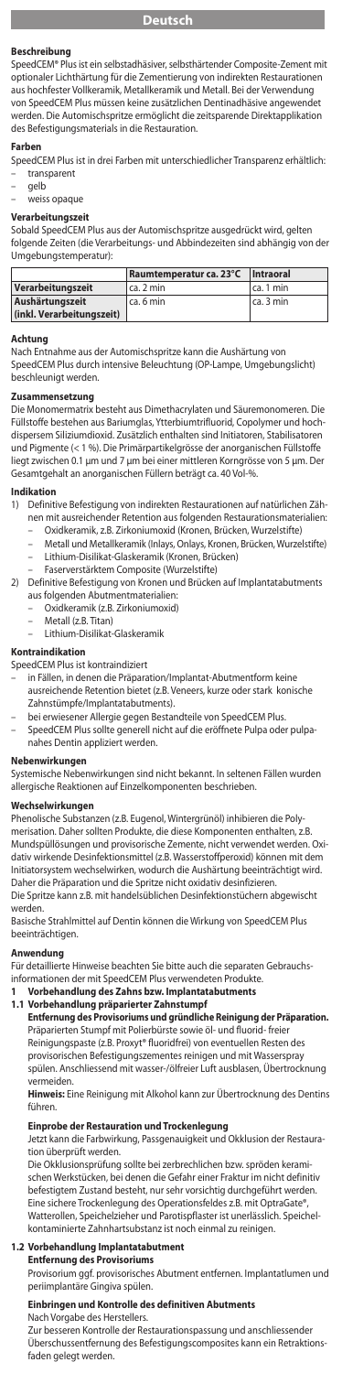### **Beschreibung**

SpeedCEM® Plus ist ein selbstadhäsiver, selbsthärtender Composite-Zement mit optionaler Lichthärtung für die Zementierung von indirekten Restauration aus hochfester Vollkeramik, Metallkeramik und Metall. Bei der Verwendung von SpeedCEM Plus müssen keine zusätzlichen Dentinadhäsive angewendet werden. Die Automischspritze ermöglicht die zeitsparende Direktapplikation des Befestigungsmaterials in die Restauration.

#### **Farbe**

SpeedCEM Plus ist in drei Farben mit unterschiedlicher Transparenz erhältlich: – transparent

– gelb

# – weiss opaque

# **Verarbeitungszeit**

Sobald SpeedCEM Plus aus der Automischspritze ausgedrückt wird, gelten folgende Zeiten (die Verarbeitungs- und Abbindezeiten sind abhängig von der Umgebungstemperatur):

|                           | Raumtemperatur ca. 23°C   Intraoral |           |
|---------------------------|-------------------------------------|-----------|
| Verarbeitungszeit         | ca. 2 min                           | ca. 1 min |
| Aushärtungszeit           | ca. 6 min                           | ca. 3 min |
| (inkl. Verarbeitungszeit) |                                     |           |

**Achtung** ahme aus der Automischspritze kann die Aushärtung von SpeedCEM Plus durch intensive Beleuchtung (OP-Lampe, Umgebungslicht) beschleunigt werden.

# **Zusammensetzung**

Die Monomermatrix besteht aus Dimethacrylaten und Säuremonomeren. Die Füllstoffe bestehen aus Bariumglas, Ytterbiumtrifluorid, Copolymer und hochdispersem Siliziumdioxid. Zusätzlich enthalten sind Initiatoren, Stabilisatoren und Pigmente (< 1 %). Die Primärpartikelgrösse der anorganischen Füllstoffe liegt zwischen 0.1 µm und 7 µm bei einer mittleren Korngrösse von 5 µm. Der Gesamtgehalt an anorganischen Füllern beträgt ca. 40 Vol-%.

# **Indikation**<br>1) Definit

1) Definitive Befestigung von indirekten Restaurationen auf natürlichen Zähnen mit ausreichender Retention aus folgenden Restaurationsmaterialien:

- Oxidkeramik, z.B. Zirkoniumoxid (Kronen, Brücken, Wurzelstifte)
	- Metall und Metallkeramik (Inlays, Onlays, Kronen, Brücken, Wurzelstifte) – Lithium-Disilikat-Glaskeramik (Kronen, Brücken)
		-
- Faserverstärktem Composite (Wurzelstifte)
- 2) Definitive Befestigung von Kronen und Brücken auf Implantatabutments aus folgenden Abutmentmaterialien:
	- Oxidkeramik (z.B. Zirkoniumoxid)
	- Metall (z.B. Titan)
	- Lithium-Disilikat-Glaskeramik

#### **Kontraindikation**

SpeedCEM Plus ist kontraindiziert

- in Fällen, in denen die Präparation/Implantat-Abutmentform kei ausreichende Retention bietet (z.B. Veneers, kurze oder stark konische Zahnstümpfe/Implantatabutments).
	- bei erwiesener Allergie gegen Bestandteile von SpeedCEM Plus.
- SpeedCEM Plus sollte generell nicht auf die eröffnete Pulpa oder pulpa-nahes Dentin appliziert werden.

# **Nebenwirkungen**

Systemische Nebenwirkungen sind nicht bekannt. In seltenen Fällen wurden allergische Reaktionen auf Einzelkomponenten beschrieben.

## **Wechselwirkungen**

Phenolische Substanzen (z.B. Eugenol, Wintergrünöl) inhibieren die Polymerisation. Daher sollten Produkte, die diese Komponenten enthalten, z.B. Mundspüllösungen und provisorische Zemente, nicht verwendet werden. Oxidativ wirkende Desinfektionsmittel (z.B. Wasserstoffperoxid) können mit dem Initiatorsystem wechselwirken, wodurch die Aushärtung beeinträchtigt wird. Daher die Präparation und die Spritze nicht oxidativ desinfiziere Die Spritze kann z.B. mit handelsüblichen Desinfektionstüchern abgewischt werden.

Basische Strahlmittel auf Dentin können die Wirkung von SpeedCEM Plus beeinträchtigen.

## **Anwendung**

Für detaillierte Hinweise beachten Sie bitte auch die separaten Gebrauchs-

- informationen der mit SpeedCEM Plus verwendeten Produkte.<br>1. Verbehandlung des Zahns hzus Implantatabutments.
	- **1 Vorbehandlung des Zahns bzw. Implantatabutments**
- **1.1 Vorbehandlung präparierter Zahnstumpf**

**Entfernung des Provisoriums und gründliche Reinigung der Präparation.**<br>Präparierten Stumpf mit Polierbürste sowie öl- und fluorid- freier Reinigungspaste (z.B. Proxyt® fluoridfrei) von eventuellen Resten des provisorischen Befestigungszementes reinigen und mit Wasserspray spülen. Anschliessend mit wasser-/ölfreier Luft ausblasen, Übertrocknung vermeiden.

**Hinweis:** Eine Reinigung mit Alkohol kann zur Übertrocknung des Dentins führen.

### **Einprobe der Restauration und Trockenlegung**

Jetzt kann die Farbwirkung, Passgenauigkeit und Okklusion der Restauration überprüft werden.

Die Okklusionsprüfung sollte bei zerbrechlichen bzw. spröden keramischen Werkstücken, bei denen die Gefahr einer Fraktur im nicht definitiv befestigtem Zustand besteht, nur sehr vorsichtig durchgeführt werden. Eine sichere Trockenlegung des Operationsfeldes z.B. mit OptraGate® Watterollen, Speichelzieher und Parotispflaster ist unerlässlich. Speichel-kontaminierte Zahnhartsubstanz ist noch einmal zu reinigen.

### **1.2 Vorbehandlung Implantatabutment**

**Entfernung des Provisoriums** Provisorium ggf. provisorisches Abutment entfernen. Implantatlumen und

periimplantäre Gingiva spülen.

# **Einbringen und Kontrolle des definitiven Abutments** Nach Vorgabe des Herstellers.

Zur besseren Kontrolle der Restaurationspassung und anschliessender Überschussentfernung des Befestigungscomposites kann ein Retraktionsfaden gelegt werden.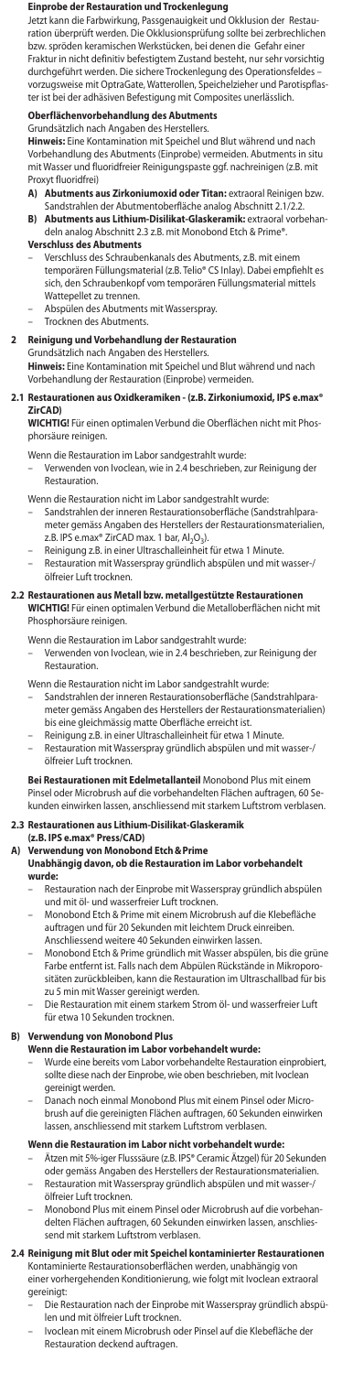### **Einprobe der Restauration und Trockenlegung**

Jetzt kann die Farbwirkung, Passgenauigkeit und Okklusion der Restauration überprüft werden. Die Okklusionsprüfung sollte bei zerbrechlichen bzw. spröden keramischen Werkstücken, bei denen die Gefahr einer Fraktur in nicht definitiv befestigtem Zustand besteht, nur sehr vorsichtig durchgeführt werden. Die sichere Trockenlegung des Operationsfeldes – vorzugsweise mit OptraGate, Watterollen, Speichelzieher und Parotispflaster ist bei der adhäsiven Befestigung mit Composites unerlässlich.

# **Oberflächenvorbehandlung des Abutments** Grundsätzlich nach Angaben des Herstellers.

**Hinweis:** Eine Kontamination mit Speichel und Blut während und nach Vorbehandlung des Abutments (Einprobe) vermeiden. Abutments in situ mit Wasser und fluoridfreier Reinigungspaste ggf. nachreinigen (z.B. mit

- Proxyt fluoridfrei)<br>A) Abutments a **A) Abutments aus Zirkoniumoxid oder Titan:** extraoral Reinigen bzw. Sandstrahlen der Abutmentoberfläche analog Abschnitt 2.1/2.2.
- **B) Abutments aus Lithium-Disilikat-Glaskeramik:** extraoral vorbehandeln analog Abschnitt 2.3 z.B. mit Monobond Etch & Prime®.
- **Verschluss des Abutments**
- Verschluss des Schraubenkanals des Abutments, z.B. mit einem temporären Füllungsmaterial (z.B. Telio® CS Inlay). Dabei empfiehlt es<br>sich, den Schraubenkopf vom temporären Füllungsmaterial mittels sich, den Schraubenkopf vom temporären Füllu Wattepellet zu trennen.
- Abspülen des Abutments mit Wasserspray.
- Trocknen des Abutments.

## **2 Reinigung und Vorbehandlung der Restauration**

Grundsätzlich nach Angaben des Herstellers. **Hinweis:** Eine Kontamination mit Speichel und Blut während und nach Vorbehandlung der Restauration (Einprobe) vermeiden.

### **2.1 Restaurationen aus Oxidkeramiken - (z.B. Zirkoniumoxid, IPS e.max® ZirCAD)**

**WICHTIG!** Für einen optimalen Verbund die Oberflächen nicht mit Phosphorsäure reinigen.

- Wenn die Restauration im Labor sandgestrahlt wurde:
	- Verwenden von Ivoclean, wie in 2.4 beschrieben, zur Reinigung der Restauration.
- Wenn die Restauration nicht im Labor sandgestrahlt wurde: – Sandstrahlen der inneren Restaurationsoberfläche (Sandstrahlparameter gemäss Angaben des Herstellers der Restaurationsmaterialien,<br>z.B. IPS e.max® ZirCAD max. 1 bar, Al<sub>2</sub>O<sub>3</sub>).
- 
- Reinigung z.B. in einer Ultraschalleinheit für etwa 1 Minute. – Restauration mit Wasserspray gründlich abspülen und mit wasser-/ ölfreier Luft trocknen.

#### **2.2 Restaurationen aus Metall bzw. metallgestützte Restaurationen WICHTIG!** Für einen optimalen Verbund die Metalloberflächen nicht mit Phosphorsäure reinigen.

Wenn die Restauration im Labor sandgestrahlt wurde:

– Verwenden von Ivoclean, wie in 2.4 beschrieben, zur Reinigung der Restauration.

- Wenn die Restauration nicht im Labor sandgestrahlt wurde:
- Sandstrahlen der inneren Restaurationsoberfläche (Sandstrahlparameter gemäss Angaben des Herstellers der Restaurationsmaterialien) bis eine gleichmässig matte Oberfläche erreicht ist.
- Reinigung z.B. in einer Ultraschalleinheit für etwa 1 Minute. – Restauration mit Wasserspray gründlich abspülen und mit wasser-/ ölfreier Luft trocknen.

**Bei Restaurationen mit Edelmetallanteil** Monobond Plus mit einem<br>Pinsel oder Microbrush auf die vorbehandelten Flächen auftragen, 60 Sekunden einwirken lassen, anschliessend mit starkem Luftstrom verblasen.

### **2.3 Restaurationen aus Lithium-Disilikat-Glask**

- **(z.B. IPS e.max® Press/CAD)**
- **A) Verwendung von Monobond Etch&Prime** 
	- **Unabhängig davon, ob die Restauration im Labor vorbehandelt wurde:**
		- Restauration nach der Einprobe mit Wasserspray gründlich abspülen und mit öl- und wasserfreier Luft trocknen.
		- Monobond Etch & Prime mit einem Microbrush auf die Klebefläche auftragen und für 20 Sekunden mit leichtem Druck einreiben.
		- Anschliessend weitere 40 Sekunden einwirken lassen. Monobond Etch & Prime gründlich mit Wasser abspülen, bis die grüne Farbe entfernt ist. Falls nach dem Abpülen Rückstände in Mikroporositäten zurückbleiben, kann die Restauration im Ultraschallbad für bis zu 5 min mit Wasser gereinigt werden.
		- Die Restauration mit einem starkem Strom öl- und wasserfreier Luft für etwa 10 Sekunden trocknen.

## **B) Verwendung von Monobond Plus**

# **Wenn die Restauration im Labor vorbehandelt wurde:**

- Wurde eine bereits vom Labor vorbehandelte Restauration einprobiert, sollte diese nach der Einprobe, wie oben beschrieben, mit Ivoclean gereinigt werden.
- Danach noch einmal Monobond Plus mit einem Pinsel oder Microbrush auf die gereinigten Flächen auftragen, 60 Sekunden einwirken lassen, anschliessend mit starkem Luftstrom verblasen.

- **Wenn die Restauration im Labor nicht vorbehandelt wurde:**<br>– Ätzen mit 5%-iger Flusssäure (z.B. IPS® Ceramic Ätzgel) für 20 Sekunden oder gemäss Angaben des Herstellers der Restaurationsmaterialien.
- Restauration mit Wasserspray gründlich abspülen und mit wasser-/ ölfreier Luft trocknen.
- Monobond Plus mit einem Pinsel oder Microbrush auf die vorbehandelten Flächen auftragen, 60 Sekunden einwirken lassen, anschliessend mit starkem Luftstrom verblasen.
- 2.4 Reinigung mit Blut oder mit Speichel kontaminierter Restauratio Kontaminierte Restaurationsoberflächen werden, unabhängig von einer vorhergehenden Konditionierung, wie folgt mit Ivoclean extraoral gereinigt:
	- Die Restauration nach der Einprobe mit Wasserspray gründlich abspü-len und mit ölfreier Luft trocknen.
	- Ivoclean mit einem Microbrush oder Pinsel auf die Klebefläche der Restauration deckend auftragen.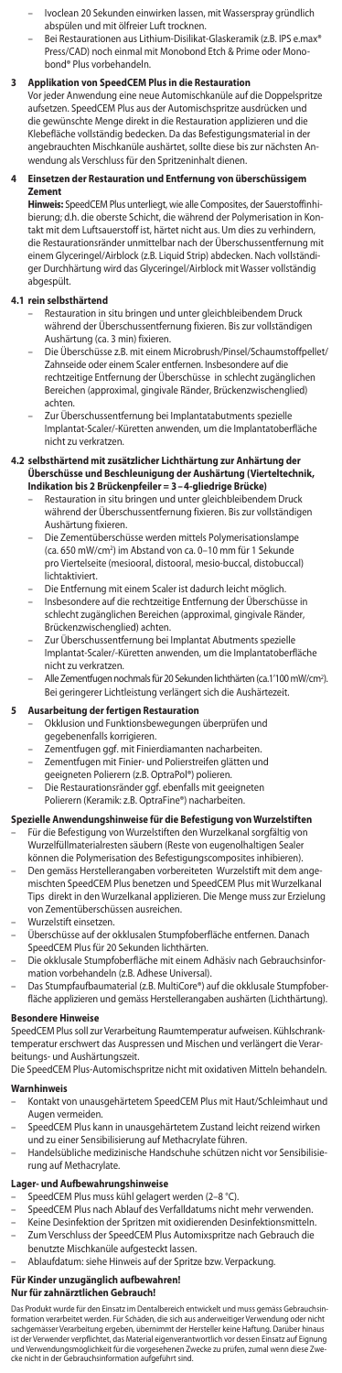- Ivoclean 20 Sekunden einwirken lassen, mit Wasserspray gründlich abspülen und mit ölfreier Luft trocknen.
- Bei Restaurationen aus Lithium-Disilikat-Glaskeramik (z.B. IPS e.max® Press/CAD) noch einmal mit Monobond Etch & Prime oder Monobond® Plus vorbehandeln.

**3 Applikation von SpeedCEM Plus in die Restauration** Vor jeder Anwendung eine neue Automischkanüle auf die Doppelspritze aufsetzen. SpeedCEM Plus aus der Automischspritze ausdrücken und die gewünschte Menge direkt in die Restauration applizieren und die Klebefläche vollständig bedecken. Da das Befestigungsmaterial in der angebrauchten Mischkanüle aushärtet, sollte diese bis zur nächsten Anwendung als Verschluss für den Spritzeninhalt dienen.

### **4 Einsetzen der Restauration und Entfernung von überschüssigem Zement**

**Hinweis:** SpeedCEM Plus unterliegt, wie alle Composites, der Sauerstoffinhi-bierung; d.h. die oberste Schicht, die während der Polymerisation in Kontakt mit dem Luftsauerstoff ist, härtet nicht aus. Um dies zu verhindern, die Restaurationsränder unmittelbar nach der Überschussentfernung mit einem Glyceringel/Airblock (z.B. Liquid Strip) abdecken. Nach vollstän ger Durchhärtung wird das Glyceringel/Airblock mit Wasser vollständig abgespült.

### **4.1 rein selbsthärtend**

- Restauration in situ bringen und unter gleichbleibendem Druck während der Überschussentfernung fixieren. Bis zur vollständigen Aushärtung (ca. 3 min) fixieren.
- Die Überschüsse z.B. mit einem Microbrush/Pinsel/Schaumstoffpellet/ Zahnseide oder einem Scaler entfernen. Insbesondere auf die rechtzeitige Entfernung der Überschüsse in schlecht zugänglichen Bereichen (approximal, gingivale Ränder, Brückenzwischenglied) achten.
- Zur Überschussentfernung bei Implantatabutments spezielle Implantat-Scaler/-Küretten anwenden, um die Implantatoberfläche nicht zu verkratzen.

# **4.2 selbsthärtend mit zusätzlicher Lichthärtung zur Anhärtung der Uberschüsse und Beschleunigung der Aushärtung (Vierteltechnik,<br>I<b>ndikation bis 2 Brückenpfeiler = 3 – 4-gliedrige Brücke)**<br>– Restauration in situ bringen und unter gleichbleibendem Druck

- während der Überschussentfernung fixieren. Bis zur vollständigen Aushärtung fixieren.
- Die Zementüberschüsse werden mittels Polymerisationslampe (ca. 650 mW/cm2 ) im Abstand von ca. 0–10 mm für 1 Sekunde pro Viertelseite (mesiooral, distooral, mesio-buccal, distobuccal) lichtaktiviert.
- Die Entfernung mit einem Scaler ist dadurch leicht möglich.
- Insbesondere auf die rechtzeitige Entfernung der Überschüsse in schlecht zugänglichen Bereichen (approximal, gingivale Ränder, Brückenzwischenglied) achten.
- Zur Überschussentfernung bei Implantat Abutments speziel Implantat-Scaler/-Küretten anwenden, um die Implantatoberfläche nicht zu verkratzen.
- Alle Zementfugen nochmals für 20 Sekunden lichthärten (ca.1'100 mW/cm2 ). Bei geringerer Lichtleistung verlängert sich die Aushärtezeit.

### **5 Ausarbeitung der fertigen Restauration**

- Okklusion und Funktionsbewegungen überprüfen und gegebenenfalls korrigieren.
- Zementfugen ggf. mit Finierdiamanten nacharbeiten.
- 
- Zementfugen mit Finier- und Polierstreifen glätten und geeigneten Polierern (z.B. OptraPol®) polieren.
- Die Restaurationsränder ggf. ebenfalls mit geeigneten
- Polierern (Keramik: z.B. OptraFine®) nacharbeiten.

# **Spezielle Anwendungshinweise für die Befestigung von Wurzelstiften**

- Für die Befestigung von Wurzelstiften den Wurzelkanal sorgfältig von Wurzelfüllmaterialresten säubern (Reste von eugenolhaltigen Sealer können die Polymerisation des Befestigungscomposites inhibieren).
- Den gemäss Herstellerangaben vorbereiteten Wurzelstift mit dem angemischten SpeedCEM Plus benetzen und SpeedCEM Plus mit Wurzelkanal Tips direkt in den Wurzelkanal applizieren. Die Menge muss zur Erzielung von Zementüberschüssen ausreichen.
- 
- Wurzelstift einsetzen. Überschüsse auf der okklusalen Stumpfoberfläche entfernen. Danach SpeedCEM Plus für 20 Sekunden lichthärten.
- Die okklusale Stumpfoberfläche mit einem Adhäsiv nach Gebrauchsinformation vorbehandeln (z.B. Adhese Universal).
- Das Stumpfaufbaumaterial (z.B. MultiCore®) auf die okklusale Stumpfoberfläche applizieren und gemäss Herstellerangaben aushärten (Lichthärtung).

### **Besondere Hinweise**

SpeedCEM Plus soll zur Verarbeitung Raumtemperatur aufweisen. Kühlschranktemperatur erschwert das Auspressen und Mischen und verlängert die Verarbeitungs- und Aushärtungszeit.

Die SpeedCEM Plus-Automischspritze nicht mit oxidativen Mitteln behandeln.

# **Warnhinweis**

- Kontakt von unausgehärtetem SpeedCEM Plus mit Haut/Schleimhaut und Augen vermeiden.
- SpeedCEM Plus kann in unausgehärtetem Zustand leicht reizend wirken und zu einer Sensibilisierung auf Methacrylate führen.
- Handelsübliche medizinische Handschuhe schützen nicht vor Sensibilisierung auf Methacrylate.

## **Lager- und Aufbewahrungshinweise**

- SpeedCEM Plus muss kühl gelagert werden (2–8 °C).
- 
- SpeedCEM Plus nach Ablauf des Verfalldatums nicht mehr verwenden. Keine Desinfektion der Spritzen mit oxidierenden Desinfektionsmitteln.
- Zum Verschluss der SpeedCEM Plus Automixspritze nach Gebrauch die benutzte Mischkanüle aufgesteckt lassen.
- Ablaufdatum: siehe Hinweis auf der Spritze bzw. Verpackung.

# **Für Kinder unzugänglich aufbewahren!**

# **Nur für zahnärztlichen Gebrauch!**

Das Produkt wurde für den Einsatz im Dentalbereich entwickelt und muss gemäss Gebrauchsin-formation verarbeitet werden. Für Schäden, die sich aus anderweitiger Verwendung oder nicht sachgemässer Verarbeitung ergeben, übernimmt der Hersteller keine Haftung. Darüber hinaus<br>ist der Verwender verpflichtet, das Material eigenverantwortlich vor dessen Einsatz auf Eignung<br>und Verwendungsmöglichkeit für die v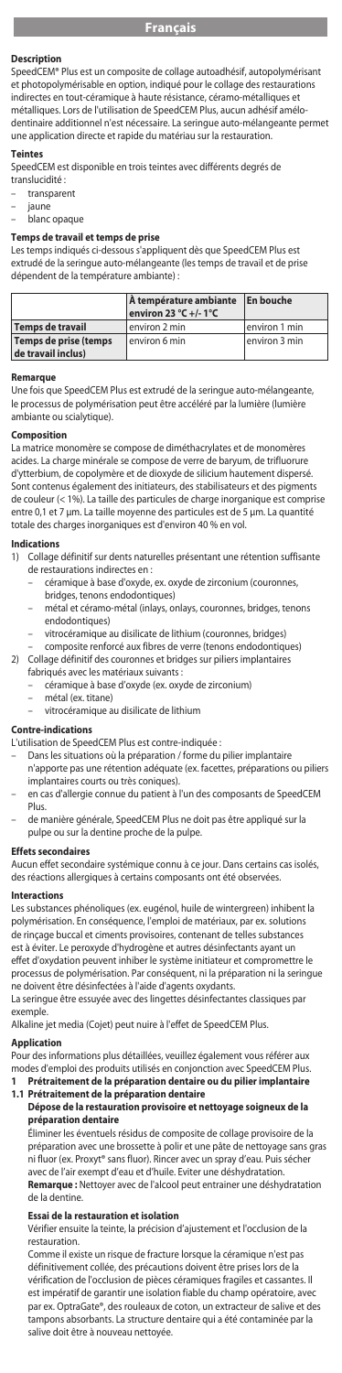#### **Descriptio**

SpeedCEM® Plus est un composite de collage autoadhésif, autopolymérisant et photopolymérisable en option, indiqué pour le collage des restaurations indirectes en tout-céramique à haute résistance, céramo-métalliques et métalliques. Lors de l'utilisation de SpeedCEM Plus, aucun adhésif amélodentinaire additionnel n'est nécessaire. La seringue auto-mélangeante permet une application directe et rapide du matériau sur la restauration.

#### **Teintes**

SpeedCEM est disponible en trois teintes avec différents degrés de translucidité :

transparent

- jaune
- blanc opaque

# **Temps de travail et temps de prise**

Les temps indiqués ci-dessous s'appliquent dès que SpeedCEM Plus est extrudé de la seringue auto-mélangeante (les temps de travail et de prise dépendent de la température ambiante) :

|                                             | À température ambiante En bouche<br>environ 23 °C +/-1 °C |               |
|---------------------------------------------|-----------------------------------------------------------|---------------|
| <b>Temps de travail</b>                     | environ 2 min                                             | environ 1 min |
| Temps de prise (temps<br>de travail inclus) | environ 6 min                                             | environ 3 min |

#### **Remarque**

Une fois que SpeedCEM Plus est extrudé de la seringue auto-mélangeante, le processus de polymérisation peut être accéléré par la lumière (lumière .<br>mbiante ou scialytique).

#### **Composition**

La matrice monomère se compose de diméthacrylates et de monomères acides. La charge minérale se compose de verre de baryum, de trifluorure d'ytterbium, de copolymère et de dioxyde de silicium hautement dispersé. Sont contenus également des initiateurs, des stabilisateurs et des pigments de couleur (< 1%). La taille des particules de charge inorganique est comprise entre 0,1 et 7 μm. La taille moyenne des particules est de 5 μm. La quantité totale des charges inorganiques est d'environ 40 % en vol.

# **Indications**<br>1) Collage

- Collage définitif sur dents naturelles présentant une rétention suffisante de restaurations indirectes en :
	- céramique à base d'oxyde, ex. oxyde de zirconium (couronnes, bridges, tenons endodontiques)
	- métal et céramo-métal (inlays, onlays, couronnes, bridges, tenons endodontiques)
	- vitrocéramique au disilicate de lithium (couronnes, bridges)
- composite renforcé aux fibres de verre (tenons endodontiques) 2) Collage définitif des couronnes et bridges sur piliers implantaires
	- fabriqués avec les matériaux suivants :
		- céramique à base d'oxyde (ex. oxyde de zirconium)
		- métal (ex. titane)
		- vitrocéramique au disilicate de lithium

#### **Contre-indications**

- L'utilisation de SpeedCEM Plus est contre-indiquée :
	- Dans les situations où la préparation / forme du pilier implantaire n'apporte pas une rétention adéquate (ex. facettes, préparations ou piliers
	- implantaires courts ou très coniques). – en cas d'allergie connue du patient à l'un des composants de SpeedCEM Plus.
- de manière générale, SpeedCEM Plus ne doit pas être appliqué sur la pulpe ou sur la dentine proche de la pulpe.

#### **Effets secondaires**

Aucun effet secondaire systémique connu à ce jour. Dans certains cas isolés, des réactions allergiques à certains composants ont été observées.

#### **Interactions**

Les substances phénoliques (ex. eugénol, huile de wintergreen) inhibent la polymérisation. En conséquence, l'emploi de matériaux, par ex. solutions de rinçage buccal et ciments provisoires, contenant de telles substances est à éviter. Le peroxyde d'hydrogène et autres désinfectants ayant un effet d'oxydation peuvent inhiber le système initiateur et compromettre le processus de polymérisation. Par conséquent, ni la préparation ni la seringue ne doivent être désinfectées à l'aide d'agents oxydants. La seringue être essuyée avec des lingettes désinfectantes classiques par

exemple. Alkaline jet media (Cojet) peut nuire à l'effet de SpeedCEM Plus.

#### **Application**

Pour des informations plus détaillées, veuillez également vous référer aux modes d'emploi des produits utilisés en conjonction avec SpeedCEM Plus.

**1 Prétraitement de la préparation dentaire ou du pilier implantaire 1.1 Prétraitement de la préparation dentaire** 

#### **Dépose de la restauration provisoire et nettoyage soigneux de la préparation dentaire**

Éliminer les éventuels résidus de composite de collage provisoire de la préparation avec une brossette à polir et une pâte de nettoyage sans gras ni fluor (ex. Proxyt® sans fluor). Rincer avec un spray d'eau. Puis sécher avec de l'air exempt d'eau et d'huile. Eviter une déshydratation. **Remarque :** Nettoyer avec de l'alcool peut entrainer une déshydratation de la dentine.

# **Essai de la restauration et isolation**

Vérifier ensuite la teinte, la précision d'ajustement et l'occlusion de la restauration.

Comme il existe un risque de fracture lorsque la céramique n'est pas définitivement collée, des précautions doivent être prises lors de vérification de l'occlusion de pièces céramiques fragiles et cassantes. Il est impératif de garantir une isolation fiable du champ opératoire, avec par ex. OptraGate®, des rouleaux de coton, un extracteur de salive et des tampons absorbants. La structure dentaire qui a été contaminée par la salive doit être à nouveau nettoyée.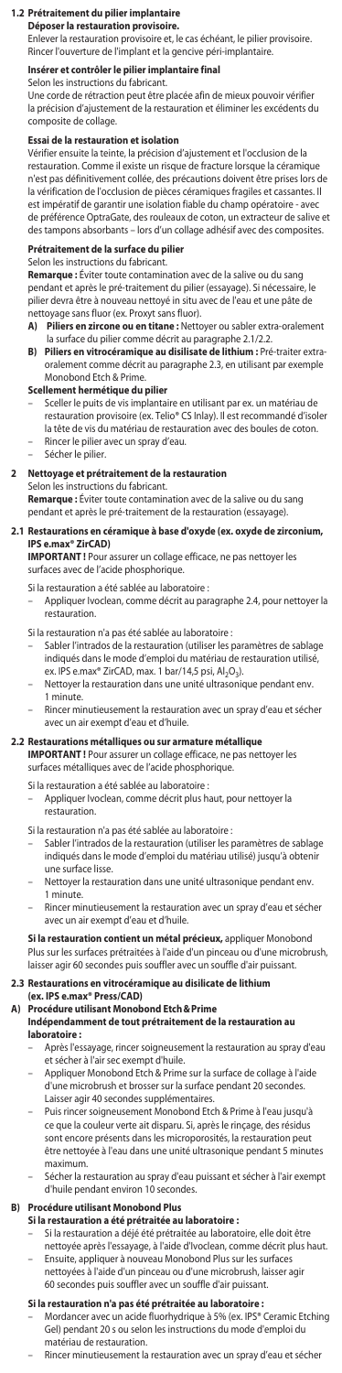## **1.2 Prétraitement du pilier implantair**

**Déposer la restauration provisoire.**

Enlever la restauration provisoire et, le cas échéant, le pilier provisoire. Rincer l'ouverture de l'implant et la gencive péri-implantaire.

# **Insérer et contrôler le pilier implantaire final**

Selon les instructions du fabricant. Une corde de rétraction peut être placée afin de mieux pouvoir vérifier la précision d'ajustement de la restauration et éliminer les excédents du composite de collage.

#### **Essai de la restauration et isolation**

Vérifier ensuite la teinte, la précision d'ajustement et l'occlusion de la restauration. Comme il existe un risque de fracture lorsque la céramique n'est pas définitivement collée, des précautions doivent être prises lors de la vérification de l'occlusion de pièces céramiques fragiles et cassantes. Il est impératif de garantir une isolation fiable du champ opératoire - avec de préférence OptraGate, des rouleaux de coton, un extracteur de salive et des tampons absorbants – lors d'un collage adhésif avec des composites.

# **Prétraitement de la surface du pilier** Selon les instructions du fabricant.

**Remarque :** Éviter toute contamination avec de la salive ou du sang pendant et après le pré-traitement du pilier (essayage). Si nécessaire, le pilier devra être à nouveau nettoyé in situ avec de l'eau et une pâte de nettoyage sans fluor (ex. Proxyt sans fluor).

- **A) Piliers en zircone ou en titane :** Nettoyer ou sabler extra-oralement la surface du pilier comme décrit au paragraphe 2.1/2.2.
- **B) Piliers en vitrocéramique au disilisate de lithium :** Pré-traiter extraoralement comme décrit au paragraphe 2.3, en utilisant par exemple Monobond Etch & Prime.

## **Scellement hermétique du pilier**

- Sceller le puits de vis implantaire en utilisant par ex. un matériau de restauration provisoire (ex. Telio® CS Inlay). Il est recommandé d'isoler la tête de vis du matériau de restauration avec des boules de coton.
- Rincer le pilier avec un spray d'eau. – Sécher le pilier.

#### **2 Nettoyage et prétraitement de la restauration**

Selon les instructions du fabricant.

**Remarque :** Éviter toute contamination avec de la salive ou du sang pendant et après le pré-traitement de la restauration (essayage).

#### **2.1 Restaurations en céramique à base d'oxyde (ex. oxyde de zirconium,**  2.1 Restaurations en cé<br>**IPS e.max**® ZirCAD)

**IMPORTANT !** Pour assurer un collage efficace, ne pas nettoyer les surfaces avec de l'acide phosphorique.

Si la restauration a été sablée au laboratoire :

– Appliquer Ivoclean, comme décrit au paragraphe 2.4, pour nettoyer la restauration.

Si la restauration n'a pas été sablée au laboratoire :

- Sabler l'intrados de la restauration (utiliser les paramètres de sablage indiqués dans le mode d'emploi du matériau de restauration utilisé, ex. IPS e.max® ZirCAD, max. 1 bar/14,5 psi, Al2O3).
- Nettoyer la restauration dans une unité ultrasonique pendant env. 1 minute.
- Rincer minutieusement la restauration avec un spray d'eau et sécher avec un air exempt d'eau et d'huile.

### **2.2 Restaurations métalliques ou sur armature métallique**

**IMPORTANT !** Pour assurer un collage efficace, ne pas nettoyer les surfaces métalliques avec de l'acide phosphorique.

- Si la restauration a été sablée au laboratoire :
	- Appliquer Ivoclean, comme décrit plus haut, pour nettoyer la restauration.
- 
- Si la restauration n'a pas été sablée au laboratoire : Sabler l'intrados de la restauration (utiliser les paramètres de sablage indiqués dans le mode d'emploi du matériau utilisé) jusqu'à obtenir une surface lisse.
- Nettoyer la restauration dans une unité ultrasonique pendant env. 1 minute.
- Rincer minutieusement la restauration avec un spray d'eau et sécher avec un air exempt d'eau et d'huile.

**Si la restauration contient un métal précieux,** appliquer Monobond<br>Plus sur les surfaces prétraitées à l'aide d'un pinceau ou d'une microbrush, laisser agir 60 secondes puis souffler avec un souffle d'air puissant.

# **2.3 Restaurations en vitrocéramique au disilicate de lithium**

**(ex. IPS e.max® Press/CAD) A) Procédure utilisant Monobond Etch&Prime** 

## **Indépendamment de tout prétraitement de la restauration au laboratoire :**

- Après l'essayage, rincer soigneusement la restauration au spray d'eau et sécher à l'air sec exempt d'huile.
- Appliquer Monobond Etch & Prime sur la surface de collage à l'aide d'une microbrush et brosser sur la surface pendant 20 secondes. Laisser agir 40 secondes supplémentaires.
- Puis rincer soigneusement Monobond Etch & Prime à l'eau jusqu'à ce que la couleur verte ait disparu. Si, après le rinçage, des sont encore présents dans les microporosités, la restauration peut être nettoyée à l'eau dans une unité ultrasonique pendant 5 minutes maximum.
- Sécher la restauration au spray d'eau puissant et sécher à l'air exempt d'huile pendant environ 10 secondes.

## **B) Procédure utilisant Monobond Plus**

#### **Si la restauration a été prétraitée au laboratoire :**

- Si la restauration a déjé été prétraitée au laboratoire, elle doit être nettoyée après l'essayage, à l'aide d'Ivoclean, comme décrit plus haut.
- Ensuite, appliquer à nouveau Monobond Plus sur les surfaces nettoyées à l'aide d'un pinceau ou d'une microbrush, laisser agir 60 secondes puis souffler avec un souffle d'air puissant.

## **Si la restauration n'a pas été prétraitée au laboratoire :**

- Mordancer avec un acide fluorhydrique à 5% (ex. IPS® Ceramic Etching Gel) pendant 20 s ou selon les instructions du mode d'emploi du matériau de restauration.
	- Rincer minutieusement la restauration avec un spray d'eau et sécher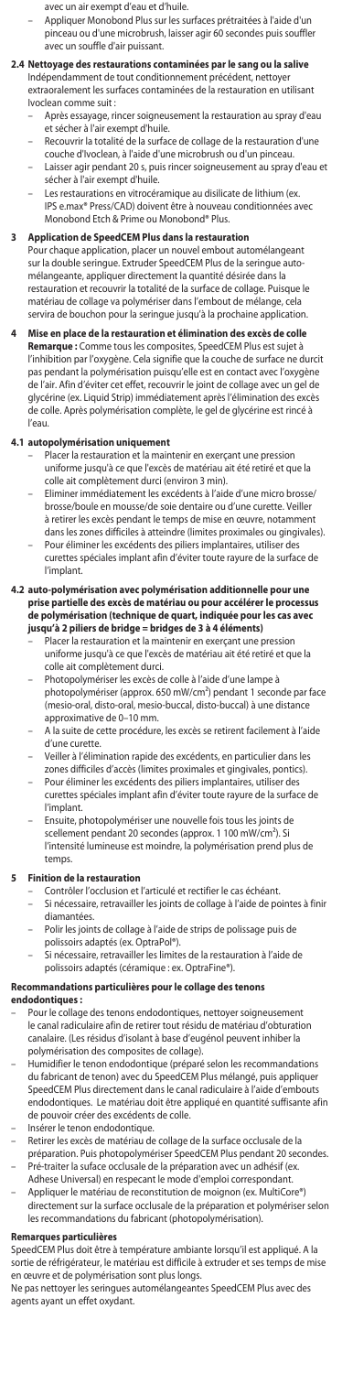- avec un air exempt d'eau et d'huile.
	- Appliquer Monobond Plus sur les surfaces prétraitées à l'aide d'un pinceau ou d'une microbrush, laisser agir 60 secondes puis souffler .<br>avec un souffle d'air puissant.

## **2.4 Nettoyage des restaurations contaminées par le sang ou la salive**

- Indépendamment de tout conditionnement précédent, nettoyer extraoralement les surfaces contaminées de la restauration en utilisant Ivoclean comme suit :
- Après essayage, rincer soigneusement la restauration au spray d'eau et sécher à l'air exempt d'huile.
- Recouvrir la totalité de la surface de collage de la restauration d'une
- couche d'Ivoclean, à l'aide d'une microbrush ou d'un pinceau. Laisser agir pendant 20 s, puis rincer soigneusement au spray d'eau et
- sécher à l'air exempt d'huile. Les restaurations en vitrocéramique au disilicate de lithium (ex.
	- IPS e.max® Press/CAD) doivent être à nouveau conditionnées avec Monobond Etch & Prime ou Monobond® Plus.

**3 Application de SpeedCEM Plus dans la restauration** Pour chaque application, placer un nouvel embout automélangeant sur la double seringue. Extruder SpeedCEM Plus de la seringue automélangeante, appliquer directement la quantité désirée dans la restauration et recouvrir la totalité de la surface de collage. Puisque le matériau de collage va polymériser dans l'embout de mélange, cela servira de bouchon pour la seringue jusqu'à la prochaine application.

## **4 Mise en place de la restauration et élimination des excès de colle**

**Remarque :** Comme tous les composites, SpeedCEM Plus est sujet à l'inhibition par l'oxygène. Cela signifie que la couche de surface ne durcit pas pendant la polymérisation puisqu'elle est en contact avec l'oxygène de l'air. Afin d'éviter cet effet, recouvrir le joint de collage avec un gel de glycérine (ex. Liquid Strip) immédiatement après l'élimination des excès de colle. Après polymérisation complète, le gel de glycérine est rincé à l'eau.

- **4.1 autopolymérisation uniquement** Placer la restauration et la maintenir en exerçant une pression uniforme jusqu'à ce que l'excès de matériau ait été retiré et que la colle ait complètement durci (environ 3 min).
	- Eliminer immédiatement les excédents à l'aide d'une micro brosse/ brosse/boule en mousse/de soie dentaire ou d'une curette. Veiller à retirer les excès pendant le temps de mise en œuvre, notamment dans les zones difficiles à atteindre (limites proximales ou gingivales). – Pour éliminer les excédents des piliers implantaires, utiliser des
	- curettes spéciales implant afin d'éviter toute rayure de la surface de l'implant.
- **4.2** auto-polymérisation avec polymérisation additionnelle pour **u prise partielle des excès de matériau ou pour accélérer le processus de polymérisation (technique de quart, indiquée pour les cas avec jusqu'à 2 piliers de bridge = bridges de 3 à 4 éléments)**
	- Placer la restauration et la maintenir en exerçant une pression uniforme jusqu'à ce que l'excès de matériau ait été retiré et que la colle ait complètement durci.
	- Photopolymériser les excès de colle à l'aide d'une lampe à photopolymériser (approx. 650 mW/cm²) pendant 1 seconde par face (mesio-oral, disto-oral, mesio-buccal, disto-buccal) à une distance approximative de 0–10 mm.
	- A la suite de cette procédure, les excès se retirent facilement à l'aide d'une curette.
	- Veiller à l'élimination rapide des excédents, en particulier dans les zones difficiles d'accès (limites proximales et gingivales, pontics).
	- Pour éliminer les excédents des piliers implantaires, utiliser des curettes spéciales implant afin d'éviter toute rayure de la surface de l'implant.
	- Ensuite, photopolymériser une nouvelle fois tous les joints de scellement pendant 20 secondes (approx. 1 100 mW/cm²). Si l'intensité lumineuse est moindre, la polymérisation prend plus de temps.

### **5 Finition de la restauration**

- Contrôler l'occlusion et l'articulé et rectifier le cas échéant.
- Si nécessaire, retravailler les joints de collage à l'aide de pointes à finir diamantées.
- Polir les joints de collage à l'aide de strips de polissage puis de polissoirs adaptés (ex. OptraPol®).
- Si nécessaire, retravailler les limites de la restauration à l'aide de polissoirs adaptés (céramique : ex. OptraFine®).

# **Recommandations particulières pour le collage des tenons**

- **endodontiques :**<br>– Pour le collage des tenons endodontiques, nettoyer soigneusement le canal radiculaire afin de retirer tout résidu de matériau d'obturation canalaire. (Les résidus d'isolant à base d'eugénol peuvent inhiber la
- polymérisation des composites de collage). – Humidifier le tenon endodontique (préparé selon les recommandations du fabricant de tenon) avec du SpeedCEM Plus mélangé, puis appliquer SpeedCEM Plus directement dans le canal radiculaire à l'aide d'embouts endodontiques. Le matériau doit être appliqué en quantité suffisante afin de pouvoir créer des excédents de colle.
- Insérer le tenon endodontique.
- Retirer les excès de matériau de collage de la surface occlusale de la préparation. Puis photopolymériser SpeedCEM Plus pendant 20 secondes. – Pré-traiter la suface occlusale de la préparation avec un adhésif (ex.
- Adhese Universal) en respecant le mode d'emploi correspondant.
- Appliquer le matériau de reconstitution de moignon (ex. MultiCore®) directement sur la surface occlusale de la préparation et polymériser selon les recommandations du fabricant (photopolymérisation).

# **Remarques particulières**

SpeedCEM Plus doit être à température ambiante lorsqu'il est appliqué. A la sortie de réfrigérateur, le matériau est difficile à extruder et ses temps de mise en œuvre et de polymérisation sont plus longs.

Ne pas nettoyer les seringues automélangeantes SpeedCEM Plus avec des agents ayant un effet oxydant.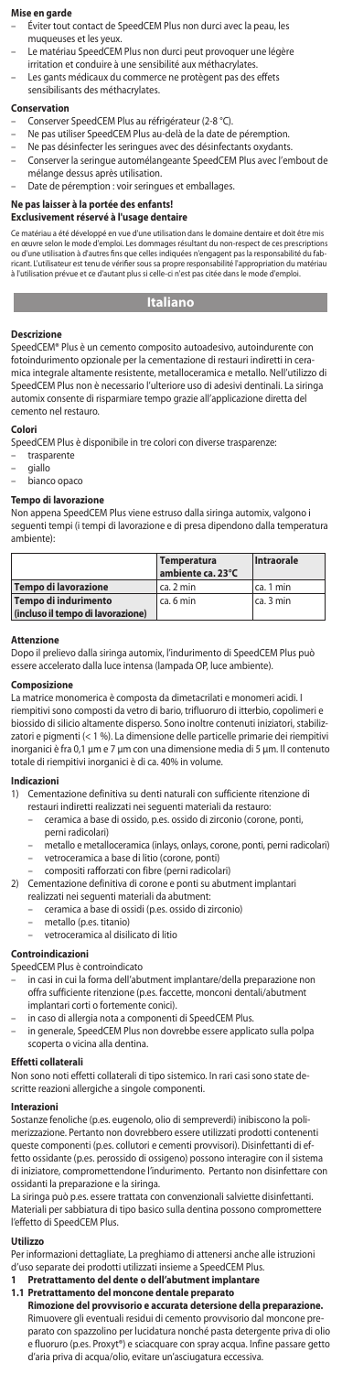# **Mise en garde**

- Éviter tout contact de SpeedCEM Plus non durci avec la peau, les
- muqueuses et les yeux. Le matériau SpeedCEM Plus non durci peut provoquer une légère
- irritation et conduire à une sensibilité aux méthacrylates.
- Les gants médicaux du commerce ne protègent pas des effets sensibilisants des méthacrylates.

#### **Conservation**

- 
- Conserver SpeedCEM Plus au réfrigérateur (2-8 °C). Ne pas utiliser SpeedCEM Plus au-delà de la date de péremption.
- Ne pas désinfecter les seringues avec des désinfectants oxydants.
- Conserver la seringue automélangeante SpeedCEM Plus avec l'embout de mélange dessus après utilisation.
- Date de péremption : voir seringues et emballages.

# **Ne pas laisser à la portée des enfants!**

## **Exclusivement réservé à l'usage dentaire**

au a été développé en vue d'une utilisation dans le domaine dentaire et doit <mark>êt</mark> en œuvre selon le mode d'emploi. Les dommages résultant du non-respect de ces prescriptions ou d'une utilisation à d'autres fins que celles indiquées n'engagent pas la responsabilité du fabricant. L'utilisateur est tenu de vérifier sous sa propre responsabilité l'appropriation du matériau à l'utilisation prévue et ce d'autant plus si celle-ci n'est pas citée dans le mode d'emploi.

# **Italiano**

# **College Descrizione**

SpeedCEM® Plus è un cemento composito autoadesivo, autoindurente con fotoindurimento opzionale per la cementazione di restauri indiretti in ceramica integrale altamente resistente, metalloceramica e metallo. Nell'utilizzo di SpeedCEM Plus non è necessario l'ulteriore uso di adesivi dentinali. La siringa automix consente di risparmiare tempo grazie all'applicazione diretta del cemento nel restauro.

## **Colori**

SpeedCEM Plus è disponibile in tre colori con diverse trasparenze:

- trasparente
- giallo bianco opaco
- 

# **Tempo di lavorazione**

Non appena SpeedCEM Plus viene estruso dalla siringa automix, valgono i seguenti tempi (i tempi di lavorazione e di presa dipendono dalla temperatura ambiente):

|                                   | Temperatura<br>ambiente ca. 23°C | Intraorale  |
|-----------------------------------|----------------------------------|-------------|
| Tempo di lavorazione              | l ca. 2 min                      | ca. 1 min   |
| Tempo di indurimento              | ca. 6 min                        | I ca. 3 min |
| (incluso il tempo di lavorazione) |                                  |             |

#### **Attenzione**

Dopo il prelievo dalla siringa automix, l'indurimento di SpeedCEM Plus può essere accelerato dalla luce intensa (lampada OP, luce ambiente).

#### **Composizione**

La matrice monomerica è composta da dimetacrilati e monomeri acidi. I riempitivi sono composti da vetro di bario, trifluoruro di itterbio, copolimeri e biossido di silicio altamente disperso. Sono inoltre contenuti iniziatori, stabilizzatori e pigmenti (< 1 %). La dimensione delle particelle primarie dei riempitivi inorganici è fra 0,1 µm e 7 µm con una dimensione media di 5 µm. Il contenuto totale di riempitivi inorganici è di ca. 40% in volume.

#### **Indicazioni**

- 1) Cementazione definitiva su denti naturali con sufficiente ritenzione di
	- restauri indiretti realizzati nei seguenti materiali da restauro: – ceramica a base di ossido, p.es. ossido di zirconio (corone, ponti,
	- perni radicolari)
	- metallo e metalloceramica (inlays, onlays, corone, ponti, perni radicolari) – vetroceramica a base di litio (corone, ponti)
	- compositi rafforzati con fibre (perni radicolari)
- 2) Cementazione definitiva di corone e ponti su abutment implantari realizzati nei seguenti materiali da abutment:
	-
	- ceramica a base di ossidi (p.es. ossido di zirconio)
		-
		- metallo (p.es. titanio) vetroceramica al disilicato di litio

### **Controindicazioni**

- SpeedCEM Plus è controindicato
	- in casi in cui la forma dell'abutment implantare/della preparazione non offra sufficiente ritenzione (p.es. faccette, monconi dentali/abutment implantari corti o fortemente conici).
	- in caso di allergia nota a componenti di SpeedCEM Plus.
- in generale, SpeedCEM Plus non dovrebbe essere applicato sulla polpa scoperta o vicina alla dentina.

#### **Effetti collaterali**

Non sono noti effetti collaterali di tipo sistemico. In rari casi sono state descritte reazioni allergiche a singole componenti.

## **Interazioni**

Sostanze fenoliche (p.es. eugenolo, olio di sempreverdi) inibiscono la polimerizzazione. Pertanto non dovrebbero essere utilizzati prodotti contenenti queste componenti (p.es. collutori e cementi provvisori). Disinfettanti di effetto ossidante (p.es. perossido di ossigeno) possono interagire con il sistema di iniziatore, compromettendone l'indurimento. Pertanto non disinfettare con ossidanti la preparazione e la siringa.

La siringa può p.es. essere trattata con convenzionali salviette disinfettanti. Materiali per sabbiatura di tipo basico sulla dentina possono compromettere l'effetto di SpeedCEM Plus.

#### **Utilizzo**

Per informazioni dettagliate, La preghiamo di attenersi anche alle istruzioni d'uso separate dei prodotti utilizzati insieme a SpeedCEM Plus.

**1 Pretrattamento del dente o dell'abutment implantare**

**1.1 Pretrattamento del moncone dentale preparato Rimozione del provvisorio e accurata detersione della preparazione.**  Rimuovere gli eventuali residui di cemento provvisorio dal moncone preparato con spazzolino per lucidatura nonché pasta detergente priva di olio e fluoruro (p.es. Proxyt®) e sciacquare con spray acqua. Infine passare getto d'aria priva di acqua/olio, evitare un'asciugatura eccessiva.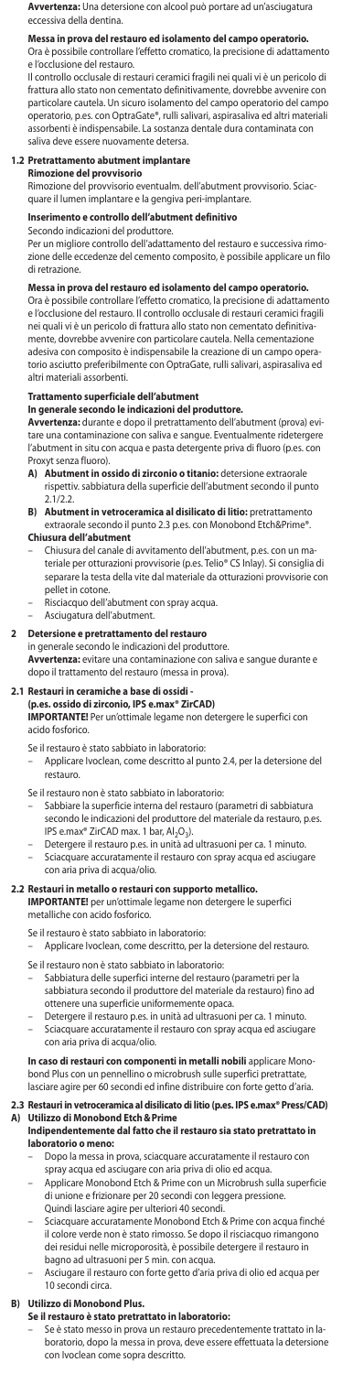**Avvertenza:** Una detersione con alcool può portare ad un'asciugatura eccessiva della dentina.

**Messa in prova del restauro ed isolamento del campo operatorio.** Ora è possibile controllare l'effetto cromatico, la precisione di adattamento e l'occlusione del restauro.

Il controllo occlusale di restauri ceramici fragili nei quali vi è un pericolo di frattura allo stato non cementato definitivamente, dovrebbe avvenire con particolare cautela. Un sicuro isolamento del campo operatorio del campo operatorio, p.es. con OptraGate®, rulli salivari, aspirasaliva ed altri materiali assorbenti è indispensabile. La sostanza dentale dura contaminata con saliva deve essere nuovamente detersa.

#### **1.2 Pretrattamento abutment implantare**

**Rimozione del provvisorio**

Rimozione del provvisorio eventualm. dell'abutment provvisorio. Sciacquare il lumen implantare e la gengiva peri-implantare.

# **Inserimento e controllo dell'abutment definitivo**

#### Secondo indicazioni del produttore.

Per un migliore controllo dell'adattamento del restauro e successiva rimozione delle eccedenze del cemento composito, è possibile applicare un filo di retrazione.

# **Messa in prova del restauro ed isolamento del campo operatorio.** Ora è possibile controllare l'effetto cromatico, la precisione di adattamento

e l'occlusione del restauro. Il controllo occlusale di restauri ceramici fragili nei quali vi è un pericolo di frattura allo stato non cementato definitiva-mente, dovrebbe avvenire con particolare cautela. Nella cementazione adesiva con composito è indispensabile la creazione di un campo operatorio asciutto preferibilmente con OptraGate, rulli salivari, aspirasaliva ed altri materiali assorbenti.

# **Trattamento superficiale dell'abutment**

**In generale secondo le indicazioni del produttore. Avvertenza:** durante e dopo il pretrattamento dell'abutment (prova) evitare una contaminazione con saliva e sangue. Eventualmente ridetergere l'abutment in situ con acqua e pasta detergente priva di fluoro (p.es. con Proxyt senza fluoro).

- **A) Abutment in ossido di zirconio o titanio:** detersione extraorale rispettiv. sabbiatura della superficie dell'abutment secondo il punto  $2.1/2.2$
- **B) Abutment in vetroceramica al disilicato di litio:** pretrattamento extraorale secondo il punto 2.3 p.es. con Monobond Etch&Prime®. **Chiusura dell'abutment**
	- Chiusura del canale di avvitamento dell'abutment, p.es. con un materiale per otturazioni provvisorie (p.es. Telio® CS Inlay). Si consiglia di separare la testa della vite dal materiale da otturazioni provvisorie con pellet in cotone.
- Risciacquo dell'abutment con spray acqua.
- Asciugatura dell'abutment.

#### **2 Detersione e pretrattamento del restauro**

in generale secondo le indicazioni del produttore. **Avvertenza:** evitare una contaminazione con saliva e sangue durante e dopo il trattamento del restauro (messa in prova).

# **2.1 Restauri in ceramiche a base di ossidi - (p.es. ossido di zirconio, IPS e.max® ZirCAD)**

**IMPORTANTE!** Per un'ottimale legame non detergere le superfici con acido fosforico.

- Se il restauro è stato sabbiato in laboratorio:
- Applicare Ivoclean, come descritto al punto 2.4, per la detersione del restauro.
- Se il restauro non è stato sabbiato in laboratorio:
- Sabbiare la superficie interna del restauro (parametri di sabbiatura secondo le indicazioni del produttore del materiale da restauro, p.es. IPS e.max® ZirCAD max. 1 bar, Al2O3).
- Detergere il restauro p.es. in unità ad ultrasuoni per ca. 1 minuto. – Sciacquare accuratamente il restauro con spray acqua ed asciugare
- con aria priva di acqua/olio.

**2.2 Restauri in metallo o restauri con supporto metallico. IMPORTANTE!** per un'ottimale legame non detergere le superfici metalliche con acido fosforico.

Se il restauro è stato sabbiato in laboratorio:

- Applicare Ivoclean, come descritto, per la detersione del restauro. Se il restauro non è stato sabbiato in laboratorio:
- Sabbiatura delle superfici interne del restauro (parametri per la sabbiatura secondo il produttore del materiale da restauro) fino ad ottenere una superficie uniformemente opaca.
- Detergere il restauro p.es. in unità ad ultrasuoni per ca. 1 minuto. Sciacquare accuratamente il restauro con spray acqua ed asciugar con aria priva di acqua/olio.

# **In caso di restauri con componenti in metalli nobili** applicare Monobond Plus con un pennellino o microbrush sulle superfici pretrattate, lasciare agire per 60 secondi ed infine distribuire con forte getto d'aria.

# **2.3 Restauri in vetroceramica al disilicato di litio (p.es. IPS e.max® Press/CAD) A) Utilizzo di Monobond Etch&Prime**

#### **Indipendentemente dal fatto che il restauro sia stato pretrattato in laboratorio o meno:**

- Dopo la messa in prova, sciacquare accuratamente il restauro con spray acqua ed asciugare con aria priva di olio ed acqua.
- Applicare Monobond Etch & Prime con un Microbrush sulla superficie di unione e frizionare per 20 secondi con leggera pressione. Quindi lasciare agire per ulteriori 40 secondi.
- Sciacquare accuratamente Monobond Etch & Prime con acqua finché il colore verde non è stato rimosso. Se dopo il risciacquo rimangono dei residui nelle microporosità, è possibile detergere il restauro in bagno ad ultrasuoni per 5 min. con acqua.
- Asciugare il restauro con forte getto d'aria priva di olio ed acqua per 10 secondi circa.

### **B) Utilizzo di Monobond Plus.**

- **Se il restauro è stato pretrattato in laboratorio:**
	- Se è stato messo in prova un restauro precedentemente trattato in laboratorio, dopo la messa in prova, deve essere effettuata la detersione con Ivoclean come sopra descritto.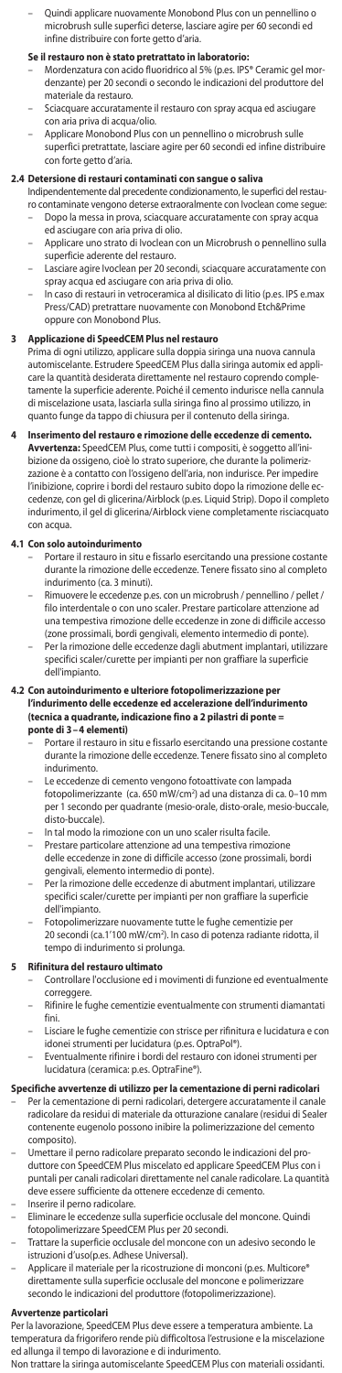– Quindi applicare nuovamente Monobond Plus con un pennellino o microbrush sulle superfici deterse, lasciare agire per 60 secondi ed infine distribuire con forte getto d'aria.

- **Se il restauro non è stato pretrattato in Iaboratorio:**<br>– Mordenzatura con acido fluoridrico al 5% (p.es. IPS® Ceramic gel mordenzante) per 20 secondi o secondo le indicazioni del produttore del materiale da restauro.
- Sciacquare accuratamente il restauro con spray acqua ed asciuga con aria priva di acqua/olio.
- Applicare Monobond Plus con un pennellino o microbrush sulle superfici pretrattate, lasciare agire per 60 secondi ed infine distribuire con forte getto d'aria.

### **2.4 Detersione di restauri contaminati con sangue o saliva**

Indipendentemente dal precedente condizionamento, le superfici del restauro contaminate vengono deterse extraoralmente con Ivoclean come segue: – Dopo la messa in prova, sciacquare accuratamente con spray acqua

- ed asciugare con aria priva di olio. – Applicare uno strato di Ivoclean con un Microbrush o pennellino sulla
- superficie aderente del restauro. – Lasciare agire Ivoclean per 20 secondi, sciacquare accuratamente con
- spray acqua ed asciugare con aria priva di olio. In caso di restauri in vetroceramica al disilicato di litio (p.es. IPS e.max
- Press/CAD) pretrattare nuovamente con Monobond Etch&Prime oppure con Monobond Plus.

# **3 Applicazione di SpeedCEM Plus nel restauro**

.<br>ma di ogni utilizzo, applicare sulla doppia siringa una nuova cannula automiscelante. Estrudere SpeedCEM Plus dalla siringa automix ed applicare la quantità desiderata direttamente nel restauro coprendo completamente la superficie aderente. Poiché il cemento indurisce nella cannula di miscelazione usata, lasciarla sulla siringa fino al prossimo utilizzo, in quanto funge da tappo di chiusura per il contenuto della siringa.

**Inserimento del restauro e rimozione delle eccedenze di ceme Avvertenza:** SpeedCEM Plus, come tutti i compositi, è soggetto all'ini-bizione da ossigeno, cioè lo strato superiore, che durante la polimerizzazione è a contatto con l'ossigeno dell'aria, non indurisce. Per impedire l'inibizione, coprire i bordi del restauro subito dopo la rimozione delle ec-cedenze, con gel di glicerina/Airblock (p.es. Liquid Strip). Dopo il completo indurimento, il gel di glicerina/Airblock viene completamente risciacquato con acqua.

### **4.1 Con solo autoindurimento**

- Portare il restauro in situ e fissarlo esercitando una pressione costante durante la rimozione delle eccedenze. Tenere fissato sino al completo indurimento (ca. 3 minuti).
- Rimuovere le eccedenze p.es. con un microbrush / pennellino / pellet / filo interdentale o con uno scaler. Prestare particolare attenzione ad una tempestiva rimozione delle eccedenze in zone di difficile accesso (zone prossimali, bordi gengivali, elemento intermedio di ponte).
- Per la rimozione delle eccedenze dagli abutment implantari, utilizzare specifici scaler/curette per impianti per non graffiare la superficie dell'impianto.

# **4.2 Con autoindurimento e ulteriore fotopolimerizzazione per l'indurimento delle eccedenze ed accelerazione dell'indurimento (tecnica a quadrante, indicazione fino a 2 pilastri di ponte =**

- **ponte di 3–4 elementi)**<br>– Portare il restauro in situ e fissarlo esercitando una pressione costante durante la rimozione delle eccedenze. Tenere fissato sino al completo indurimento.
- Le eccedenze di cemento vengono fotoattivate con lampada fotopolimerizzante (ca. 650 mW/cm2 ) ad una distanza di ca. 0–10 mm per 1 secondo per quadrante (mesio-orale, disto-orale, mesio-buccale, disto-buccale).
- In tal modo la rimozione con un uno scaler risulta facile.
- Prestare particolare attenzione ad una tempestiva rimozion delle eccedenze in zone di difficile accesso (zone prossimali, bordi gengivali, elemento intermedio di ponte).
- Per la rimozione delle eccedenze di abutment implantari, utilizzare specifici scaler/curette per impianti per non graffiare la superficie dell'impianto.
- Fotopolimerizzare nuovamente tutte le fughe cementizie per 20 secondi (ca.1'100 mW/cm2 ). In caso di potenza radiante ridotta, il tempo di indurimento si prolunga.

### **5** Rifinitura del restauro ultima

- Controllare l'occlusione ed i movimenti di funzione ed eventualmente correggere.
- Rifinire le fughe cementizie eventualmente con strumenti diamantati fini.
- Lisciare le fughe cementizie con strisce per rifinitura e lucidatura e con idonei strumenti per lucidatura (p.es. OptraPol®). – Eventualmente rifinire i bordi del restauro con idonei strumenti per
- lucidatura (ceramica: p.es. OptraFine®).

# **Specifiche avvertenze di utilizzo per la cementazione di perni radicolari**<br>– Per la cementazione di perni radicolari, detergere accuratamente il canale

radicolare da residui di materiale da otturazione canalare (residui di Sealer contenente eugenolo possono inibire la polimerizzazione del cemento composito).

- Umettare il perno radicolare preparato secondo le indicazioni del produttore con SpeedCEM Plus miscelato ed applicare SpeedCEM Plus con i puntali per canali radicolari direttamente nel canale radicolare. La quantità deve essere sufficiente da ottenere eccedenze di cemento.
- Inserire il perno radicolare
- Eliminare le eccedenze sulla superficie occlusale del moncone. Quindi fotopolimerizzare SpeedCEM Plus per 20 secondi.
	- Trattare la superficie occlusale del moncone con un adesivo secondo le istruzioni d'uso(p.es. Adhese Universal).
- Applicare il materiale per la ricostruzione di monconi (p.es. Multicore direttamente sulla superficie occlusale del moncone e polimerizzare secondo le indicazioni del produttore (fotopolimerizzazione).

### **Avvertenze particolari**

Per la lavorazione, SpeedCEM Plus deve essere a temperatura ambiente. La temperatura da frigorifero rende più difficoltosa l'estrusione e la miscelazione ed allunga il tempo di lavorazione e di indurimento.

Non trattare la siringa automiscelante SpeedCEM Plus con materiali ossidanti.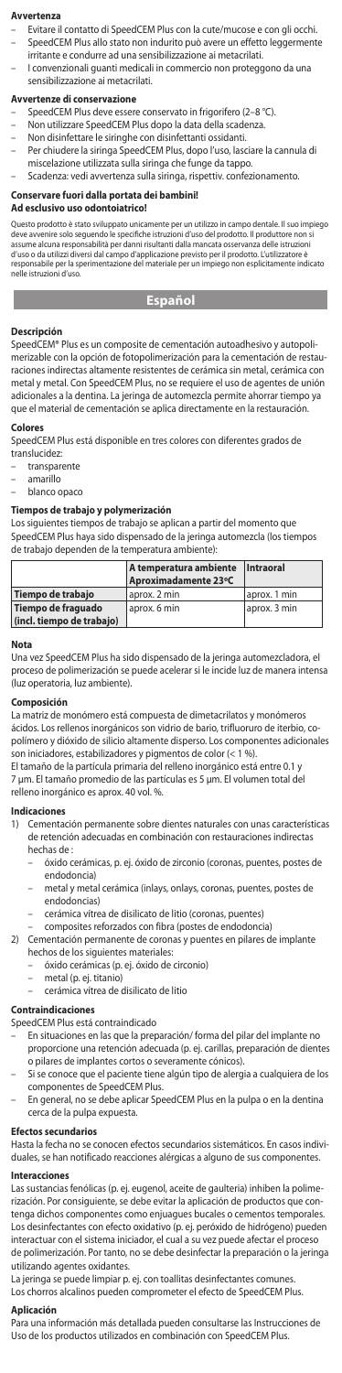#### **Avvertenza**

- Evitare il contatto di SpeedCEM Plus con la cute/mucose e con gli occhi. – SpeedCEM Plus allo stato non indurito può avere un effetto leggermente
- irritante e condurre ad una sensibilizzazione ai metacrilati.
- I convenzionali guanti medicali in commercio non proteggono da una sensibilizzazione ai metacrilati.

#### **Avvertenze di conservazione**

- SpeedCEM Plus deve essere conservato in frigorifero (2-8 °C).
- Non utilizzare SpeedCEM Plus dopo la data della scadenza.
- Non disinfettare le siringhe con disinfettanti ossidanti.
- Per chiudere la siringa SpeedCEM Plus, dopo l'uso, lasciare la cannula di miscelazione utilizzata sulla siringa che funge da tappo.
- Scadenza: vedi avvertenza sulla siringa, rispettiv. confezionamento.

# **Conservare fuori dalla portata dei bambini!**

### **Ad esclusivo uso odontoiatrico!**

Questo prodotto è stato sviluppato unicamente per un utilizzo in campo dentale. Il suo impiego<br>deve avvenire solo seguendo le specifiche istruzioni d'uso del prodotto. Il produttore non si<br>assume alcuna responsabilità per d'uso o da utilizzi diversi dal campo d'applicazione previsto per il prodotto. L'utilizzatore è responsabile per la sperimentazione del materiale per un impiego non esplicitamente indicato nelle istruzioni d'uso.

### **Español**

#### **Descripción**

SpeedCEM® Plus es un composite de cementación autoadhesivo y autopolimerizable con la opción de fotopolimerización para la cementación de restauraciones indirectas altamente resistentes de cerámica sin metal, cerámica con metal y metal. Con SpeedCEM Plus, no se requiere el uso de agentes de unión adicionales a la dentina. La jeringa de automezcla permite ahorrar tiempo ya que el material de cementación se aplica directamente en la restauración.

### **Colores**

SpeedCEM Plus está disponible en tres colores con diferentes grados de

- translucidez:
- transparente – amarillo
- blanco opaco

#### **Tiempos de trabajo y polymerización**

Los siguientes tiempos de trabajo se aplican a partir del momento que SpeedCEM Plus haya sido dispensado de la jeringa automezcla (los tiempos de trabajo dependen de la temperatura ambiente):

|                           | A temperatura ambiente   Intraoral<br>Aproximadamente 23°C |              |
|---------------------------|------------------------------------------------------------|--------------|
| Tiempo de trabajo         | aprox, 2 min                                               | aprox. 1 min |
| Tiempo de fraguado        | aprox, 6 min                                               | aprox. 3 min |
| (incl. tiempo de trabajo) |                                                            |              |

#### **Nota**

Una vez SpeedCEM Plus ha sido dispensado de la jeringa automezcladora, el proceso de polimerización se puede acelerar si le incide luz de manera intensa (luz operatoria, luz ambiente).

# **Composición**

La matriz de monómero está compuesta de dimetacrilatos y monómeros ácidos. Los rellenos inorgánicos son vidrio de bario, trifluoruro de iterbio, copolímero y dióxido de silicio altamente disperso. Los componentes adicionales son iniciadores, estabilizadores y pigmentos de color (< 1 %).

El tamaño de la partícula primaria del relleno inorgánico está entre 0.1 7 µm. El tamaño promedio de las partículas es 5 µm. El volumen total del relleno inorgánico es aprox. 40 vol. %.

# **Indicacion**<br>1) Cemer

- 1) Cementación permanente sobre dientes naturales con unas características de retención adecuadas en combinación con restauraciones indirectas hechas de :
	- óxido cerámicas, p. ej. óxido de zirconio (coronas, puentes, postes de endodoncia)
	- metal y metal cerámica (inlays, onlays, coronas, puentes, postes de endodoncias)
	- cerámica vítrea de disilicato de litio (coronas, puentes)
	- composites reforzados con fibra (postes de endodoncia)
- 2) Cementación permanente de coronas y puentes en pilares de implante hechos de los siguientes materiales:
	- óxido cerámicas (p. ej. óxido de circonio)
		- metal (p. ej. titanio)
			- cerámica vítrea de disilicato de litio

## **Contraindicaciones**

- SpeedCEM Plus está contraindicado
- En situaciones en las que la preparación/ forma del pilar del implante no proporcione una retención adecuada (p. ej. carillas, preparación de dientes o pilares de implantes cortos o severamente cónicos).
- Si se conoce que el paciente tiene algún tipo de alergia a cualquiera de los
- componentes de SpeedCEM Plus. En general, no se debe aplicar SpeedCEM Plus en la pulpa o en la dentina cerca de la pulpa expuesta.

#### **Efectos secundarios**

Hasta la fecha no se conocen efectos secundarios sistemáticos. En casos individuales, se han notificado reacciones alérgicas a alguno de sus componentes.

#### **Interacciones**

Las sustancias fenólicas (p. ej. eugenol, aceite de gaulteria) inhiben la polimerización. Por consiguiente, se debe evitar la aplicación de productos que contenga dichos componentes como enjuagues bucales o cementos temporales. Los desinfectantes con efecto oxidativo (p. ej. peróxido de hidrógeno) pueden interactuar con el sistema iniciador, el cual a su vez puede afectar el proceso de polimerización. Por tanto, no se debe desinfectar la preparación o la jeringa utilizando agentes oxidantes.

La jeringa se puede limpiar p. ej. con toallitas desinfectantes comunes. Los chorros alcalinos pueden comprometer el efecto de SpeedCEM Plus.

#### **Aplicación**

Para una información más detallada pueden consultarse las Instrucciones de Uso de los productos utilizados en combinación con SpeedCEM Plus.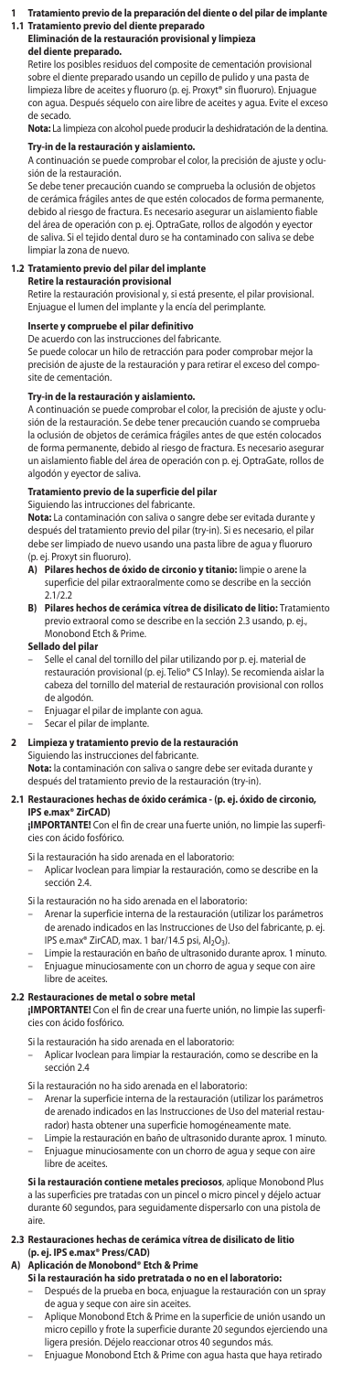# **1 Tratamiento previo de la preparación del diente o del pilar de implante**

# **1.1 Tratamiento previo del diente preparado Eliminación de la restauración provisional y limpieza del diente preparado.**

Retire los posibles residuos del composite de cementación provisional sobre el diente preparado usando un cepillo de pulido y una pasta de limpieza libre de aceites y fluoruro (p. ej. Proxyt® sin fluoruro). Enjuague con agua. Después séquelo con aire libre de aceites y agua. Evite el exceso de secado.

**Nota:** La limpieza con alcohol puede producir la deshidratación de la dentina.

# **Try-in de la restauración y aislamiento.**

A continuación se puede comprobar el color, la precisión de ajuste y oclusión de la restauración.

Se debe tener precaución cuando se comprueba la oclusión de objetos de cerámica frágiles antes de que estén colocados de forma permanente,<br>debido al riesgo de fractura. Es necesario asegurar un aislamiento fiable del área de operación con p. ej. OptraGate, rollos de algodón y eyector de saliva. Si el tejido dental duro se ha contaminado con saliva se debe limpiar la zona de nuevo.

## **1.2 Tratamiento previo del pilar del implante**

**Retire la restauración provisional** Retire la restauración provisional y, si está presente, el pilar provisional. Enjuague el lumen del implante y la encía del perimplante.

**Inserte y compruebe el pilar definitivo** De acuerdo con las instrucciones del fabricante.

Se puede colocar un hilo de retracción para poder comprobar mejor la precisión de ajuste de la restauración y para retirar el exceso del composite de cementación.

### **Try-in de la restauración y aislamiento.**

A continuación se puede comprobar el color, la precisión de ajuste y oclu-sión de la restauración. Se debe tener precaución cuando se comprueba la oclusión de objetos de cerámica frágiles antes de que estén colocados de forma permanente, debido al riesgo de fractura. Es necesario asegurar un aislamiento fiable del área de operación con p. ej. OptraGate, rollos de algodón y eyector de saliva.

# **Tratamiento previo de la superficie del pilar** Siguiendo las intrucciones del fabricante.

**Nota:** La contaminación con saliva o sangre debe ser evitada durante y después del tratamiento previo del pilar (try-in). Si es necesario, el pilar debe ser limpiado de nuevo usando una pasta libre de agua y fluor (p. ej. Proxyt sin fluoruro).

- **A) Pilares hechos de óxido de circonio y titanio:** limpie o arene la superficie del pilar extraoralmente como se describe en la sección 2.1/2.2
- **B) Pilares hechos de cerámica vítrea de disilicato de litio:** Tratamiento previo extraoral como se describe en la sección 2.3 usando, p. ej., Monobond Etch & Prime.

### **Sellado del pilar**

- Selle el canal del tornillo del pilar utilizando por p. ej. material de restauración provisional (p. ej. Telio® CS Inlay). Se recomienda aislar la cabeza del tornillo del material de restauración provisional con rollos de algodón.
- Enjuagar el pilar de implante con agua.
- Secar el pilar de implante.

### **2 Limpieza y tratamiento previo de la restauración**

Siguiendo las instrucciones del fabricante. **Nota:** la contaminación con saliva o sangre debe ser evitada durante y después del tratamiento previo de la restauración (try-in).

# **2.1 Restauraciones hechas de óxido cerámica - (p. ej. óxido de circonio,**

**IPS e.max® ZirCAD) ¡IMPORTANTE!** Con el fin de crear una fuerte unión, no limpie las superficies con ácido fosfórico.

Si la restauración ha sido arenada en el laboratorio:

– Aplicar Ivoclean para limpiar la restauración, como se describe en la sección 2.4.

- Si la restauración no ha sido arenada en el laboratorio:
- Arenar la superficie interna de la restauración (utilizar los parámetros de arenado indicados en las Instrucciones de Uso del fabricante, p. ej.
- IPS e.max® ZirCAD, max. 1 bar/14.5 psi, Al2O3). Limpie la restauración en baño de ultrasonido durante aprox. 1 minuto. – Enjuague minuciosamente con un chorro de agua y seque con aire libre de aceites.

#### **2.2 Restauraciones de metal o sobre metal**

- **¡IMPORTANTE!** Con el fin de crear una fuerte unión, no limpie las superficies con ácido fosfórico.
- Si la restauración ha sido arenada en el laboratorio:
- Aplicar Ivoclean para limpiar la restauración, como se describe en la sección 2.4
- Si la restauración no ha sido arenada en el laboratorio:
	- Arenar la superficie interna de la restauración (utilizar los parámetros de arenado indicados en las Instrucciones de Uso del material restaurador) hasta obtener una superficie homogéneamente mate
- Limpie la restauración en baño de ultrasonido durante aprox. 1 minuto. – Enjuague minuciosamente con un chorro de agua y seque con aire libre de aceites.

**Si la restauración contiene metales preciosos**, aplique Monobond Plus<br>a las superficies pre tratadas con un pincel o micro pincel y déjelo actuar<br>durante 60 segundos, para seguidamente dispersarlo con una pistola de aire.

## **2.3 Restauraciones hechas de cerámica vítrea de disilicato de litio (p. ej. IPS e.max® Press/CAD)**

# **A) Aplicación de Monobond® Etch & Prime**

- **Si la restauración ha sido pretratada o no en el laboratorio:**<br>– Después de la prueba en boca, enjuague la restauración con un spray de agua y seque con aire sin aceites.
- Aplique Monobond Etch & Prime en la superficie de unión usando un micro cepillo y frote la superficie durante 20 segundos ejerciendo una ligera presión. Déjelo reaccionar otros 40 segundos más.
	- Enjuague Monobond Etch & Prime con agua hasta que haya retirado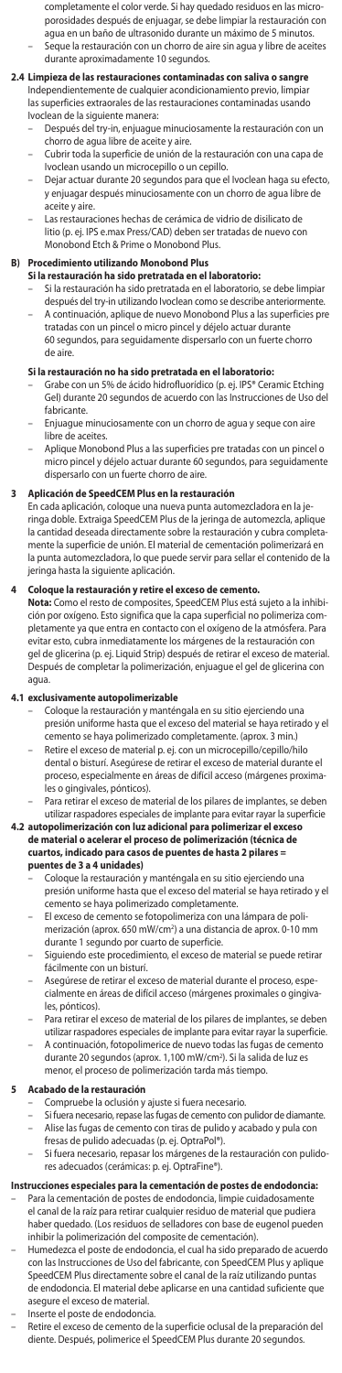- completamente el color verde. Si hay quedado residuos en las microporosidades después de enjuagar, se debe limpiar la restauración con agua en un baño de ultrasonido durante un máximo de 5 minutos.<br>Segue la restauración con un ebaño durante un máximo de 5 minutos. –<br>eque la restauración con un chorro de aire sin aqua y libre de aceites
- durante aproximadamente 10 segundos.

# **2.4 Limpieza de las restauraciones contaminadas con saliva o sangre** Independientemente de cualquier acondicionamiento previo, limpiar

- las superficies extraorales de las restauraciones contaminadas usando
	- Ivoclean de la siguiente manera: Después del try-in, enjuague minuciosamente la restauración con un chorro de agua libre de aceite y aire.
	- Cubrir toda la superficie de unión de la restauración con una capa de Ivoclean usando un microcepillo o un cepillo.
	- Dejar actuar durante 20 segundos para que el Ivoclean haga su efecto, y enjuagar después minuciosamente con un chorro de agua libre de aceite y aire.
	- Las restauraciones hechas de cerámica de vidrio de disilicato de litio (p. ej. IPS e.max Press/CAD) deben ser tratadas de nuevo con Monobond Etch & Prime o Monobond Plus.

### **B) Procedimiento utilizando Monobond Plus**

- 
- **Si la restauración ha sido pretratada en el laboratorio:** Si la restauración ha sido pretratada en el laboratorio, se debe limpiar después del try-in utilizando Ivoclean como se describe anteriormente. – A continuación, aplique de nuevo Monobond Plus a las superficies pre
- tratadas con un pincel o micro pincel y déjelo actuar durante 60 segundos, para seguidamente dispersarlo con un fuerte chorro de aire.

- **Si la restauración no ha sido pretratada en el laboratorio:**<br>– Grabe con un 5% de ácido hidrofluorídico (p. ej. IPS® Ceramic Etching Gel) durante 20 segundos de acuerdo con las Instrucciones de Uso del fabricante.
- Enjuague minuciosamente con un chorro de agua y seque con aire libre de aceites.
- Aplique Monobond Plus a las superficies pre tratadas con un pincel o micro pincel y déjelo actuar durante 60 segundos, para seguidamente dispersarlo con un fuerte chorro de aire.

### **3 Aplicación de SpeedCEM Plus en la restauración**

En cada aplicación, coloque una nueva punta automezcladora en la jeringa doble. Extraiga SpeedCEM Plus de la jeringa de automezcla, aplique la cantidad deseada directamente sobre la restauración y cubra completamente la superficie de unión. El material de cementación polimerizará en la punta automezcladora, lo que puede servir para sellar el contenido de la jeringa hasta la siguiente aplicación.

### **4 Coloque la restauración y retire el exceso de cemento.**

**Nota:** Como el resto de composites, SpeedCEM Plus está sujeto a la inhibi-ción por oxígeno. Esto significa que la capa superficial no polimeriza completamente ya que entra en contacto con el oxígeno de la atmósfera. Para evitar esto, cubra inmediatamente los márgenes de la restauración con gel de glicerina (p. ej. Liquid Strip) después de retirar el exceso de material. Después de completar la polimerización, enjuague el gel de glicerina con agua.

# **4.1 exclusivamente autopolimerizable**

- Coloque la restauración y manténgala en su sitio ejerciendo una presión uniforme hasta que el exceso del material se haya retirado y el nento se haya polimerizado completamente. (aprox. 3 min.)
- Retire el exceso de material p. ej. con un microcepillo/cepillo/hilo dental o bisturí. Asegúrese de retirar el exceso de material durante el proceso, especialmente en áreas de difícil acceso (márgenes proximales o gingivales, pónticos).
- Para retirar el exceso de material de los pilares de implantes, se deben utilizar raspadores especiales de implante para evitar rayar la superficie

# **4.2 autopolimerización con luz adicional para polimerizar el exceso de material o acelerar el proceso de polimerización (técnica de cuartos, indicado para casos de puentes de hasta 2 pilares = puentes de 3 a 4 unidades)**

- Coloque la restauración y manténgala en su sitio ejerciendo una presión uniforme hasta que el exceso del material se haya retirado y el cemento se haya polimerizado completamente.
- El exceso de cemento se fotopolimeriza con una lámpara de polimerización (aprox. 650 mW/cm<sup>2</sup>) a una distancia de aprox. 0-10 mm durante 1 segundo por cuarto de superficie.
- Siguiendo este procedimiento, el exceso de material se puede retirar fácilmente con un bisturí.
- Asegúrese de retirar el exceso de material durante el proceso, especialmente en áreas de difícil acceso (márgenes proximales o gingivales, pónticos).
- Para retirar el exceso de material de los pilares de implantes, se deben utilizar raspadores especiales de implante para evitar rayar la superficie.
- A continuación, fotopolimerice de nuevo todas las fugas de cemento durante 20 segundos (aprox. 1,100 mW/cm2 ). Si la salida de luz es menor, el proceso de polimerización tarda más tiempo.

# **5 Acabado de la restauración**

- Compruebe la oclusión y ajuste si fuera necesario.
- Si fuera necesario, repase las fugas de cemento con pulidor de diam – Alise las fugas de cemento con tiras de pulido y acabado y pula con fresas de pulido adecuadas (p. ej. OptraPol®).
- Si fuera necesario, repasar los márgenes de la restauración con pulidores adecuados (cerámicas: p. ej. OptraFine®).

# **Instrucciones especiales para la cementación de postes de endodoncia:**

- Para la cementación de postes de endodoncia, limpie cuidadosamente el canal de la raíz para retirar cualquier residuo de material que pudiera haber quedado. (Los residuos de selladores con base de eugenol pueden inhibir la polimerización del composite de cementación).
- Humedezca el poste de endodoncia, el cual ha sido preparado de ac con las Instrucciones de Uso del fabricante, con SpeedCEM Plus y aplique SpeedCEM Plus directamente sobre el canal de la raíz utilizando puntas de endodoncia. El material debe aplicarse en una cantidad suficiente que asegure el exceso de material.

### Inserte el poste de endodoncia.

– Retire el exceso de cemento de la superficie oclusal de la preparación del diente. Después, polimerice el SpeedCEM Plus durante 20 segundos.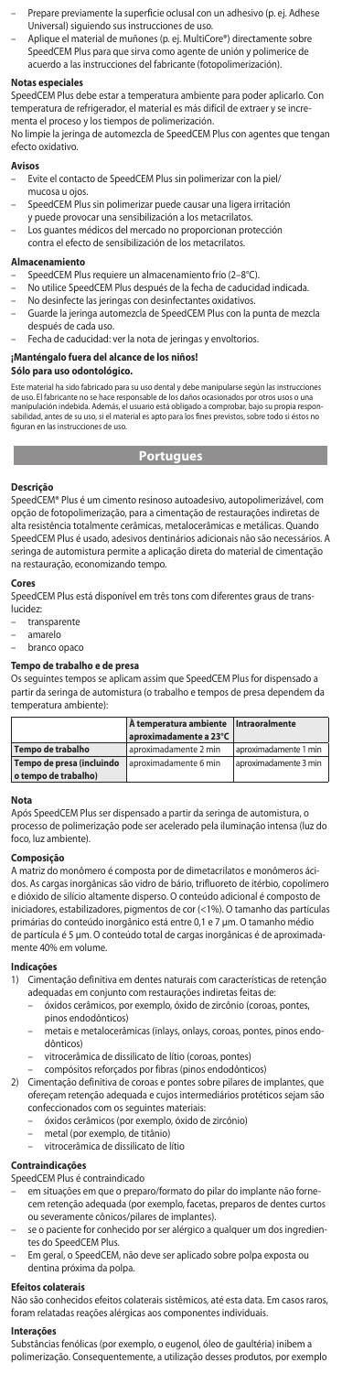- Prepare previamente la superficie oclusal con un adhesivo (p. ej. Adhese Universal) siguiendo sus instrucciones de uso.
- Aplique el material de muñones (p. ej. MultiCore®) directamente sobre SpeedCEM Plus para que sirva como agente de unión y polimerice de acuerdo a las instrucciones del fabricante (fotopolimerización).

### **Notas especiales**

SpeedCEM Plus debe estar a temperatura ambiente para poder aplicarlo. Con temperatura de refrigerador, el material es más difícil de extraer y se incrementa el proceso y los tiempos de polimerización.

No limpie la jeringa de automezcla de SpeedCEM Plus con agentes que tengan efecto oxidativo.

### **Avisos**

- Evite el contacto de SpeedCEM Plus sin polimerizar con la piel/ mucosa u ojos.
- SpeedCEM Plus sin polimerizar puede causar una ligera irritación y puede provocar una sensibilización a los metacrilatos.
- Los guantes médicos del mercado no proporcionan protección
- contra el efecto de sensibilización de los metacrilatos.

### **Almacenamiento**

- SpeedCEM Plus requiere un almacenamiento frío (2–8°C).
- No utilice SpeedCEM Plus después de la fecha de caducidad indicada.
- No desinfecte las jeringas con desinfectantes oxidativos.
- Guarde la jeringa automezcla de SpeedCEM Plus con la punta de mezcla después de cada uso.
- Fecha de caducidad: ver la nota de jeringas y envoltorios.

## **¡Manténgalo fuera del alcance de los niños!**

### **Sólo para uso odontológico.**

Este material ha sido fabricado para su uso dental y debe manipularse según las instruccion<br>de uso. El fabricante no se hace responsable de los daños ocasionados por otros usos o una de uso. El fabricante no se hace responsable de los daños ocasionados por otros usos o una<br>manipulación indebida. Además, el usuario está obligado a comprobar, bajo su propia respon-<br>sabilidad, antes de su uso, si el mater figuran en las instrucciones de uso.

# **Portugues**

#### **Descrição**

SpeedCEM® Plus é um cimento resinoso autoadesivo, autopolimerizável, com opção de fotopolimerização, para a cimentação de restaurações indiretas de alta resistência totalmente cerâmicas, metalocerâmicas e metálicas. Quando SpeedCEM Plus é usado, adesivos dentinários adicionais não são necessários. A seringa de automistura permite a aplicação direta do material de cimentação na restauração, economizando tempo.

#### **Cores**

SpeedCEM Plus está disponível em três tons com diferentes graus de translucidez:

- transparente
- amarelo
- branco opaco

#### **Tempo de trabalho e de presa**

Os seguintes tempos se aplicam assim que SpeedCEM Plus for dispensado a partir da seringa de automistura (o trabalho e tempos de presa dependem da temperatura ambiente):

|                                                   | À temperatura ambiente Intraoralmente<br>aproximadamente a 23°C |                       |
|---------------------------------------------------|-----------------------------------------------------------------|-----------------------|
| Tempo de trabalho                                 | aproximadamente 2 min                                           | aproximadamente 1 min |
| Tempo de presa (incluindo<br>o tempo de trabalho) | aproximadamente 6 min                                           | aproximadamente 3 min |

**Nota** Após SpeedCEM Plus ser dispensado a partir da seringa de automistura, o processo de polimerização pode ser acelerado pela iluminação intensa (luz do foco, luz ambiente).

## **Composição**

A matriz do monômero é composta por de dimetacrilatos e monômeros ácidos. As cargas inorgânicas são vidro de bário, trifluoreto de itérbio, copolímero e dióxido de silício altamente disperso. O conteúdo adicional é composto de iniciadores, estabilizadores, pigmentos de cor (<1%). O tamanho das partículas primárias do conteúdo inorgânico está entre 0,1 e 7 µm. O tamanho médio de partícula é 5 μm. O conteúdo total de cargas inorgânicas é de aproximadamente 40% em volume.

# **Indicações**

- 1) Cimentação definitiva em dentes naturais com características de retenção adequadas em conjunto com restaurações indiretas feitas de:
	- óxidos cerâmicos, por exemplo, óxido de zircônio (coroas, pontes, pinos endodônticos)
	- metais e metalocerâmicas (inlays, onlays, coroas, pontes, pinos endodônticos)
	- vitrocerâmica de dissilicato de lítio (coroas, pontes)
	- compósitos reforçados por fibras (pinos endodônticos)
- 2) Cimentação definitiva de coroas e pontes sobre pilares de implantes, que ofereçam retenção adequada e cujos intermediários protéticos sejam são confeccionados com os seguintes materiais:
	- óxidos cerâmicos (por exemplo, óxido de zircônio)
	- metal (por exemplo, de titânio)
	- vitrocerâmica de dissilicato de lítio

# **Contraindicações**

SpeedCEM Plus é contraindicado

- em situações em que o preparo/formato do pilar do implante não fornecem retenção adequada (por exemplo, facetas, preparos de dentes curtos ou severamente cônicos/pilares de implantes).
	- se o paciente for conhecido por ser alérgico a qualquer um dos ingredientes do SpeedCEM Plus.
- Em geral, o SpeedCEM, não deve ser aplicado sobre polpa exposta ou dentina próxima da polpa.

#### **Efeitos colaterais**

Não são conhecidos efeitos colaterais sistêmicos, até esta data. Em casos raros, foram relatadas reações alérgicas aos componentes individuais.

## **Interações**

Substâncias fenólicas (por exemplo, o eugenol, óleo de gaultéria) inibem a polimerização. Consequentemente, a utilização desses produtos, por exemplo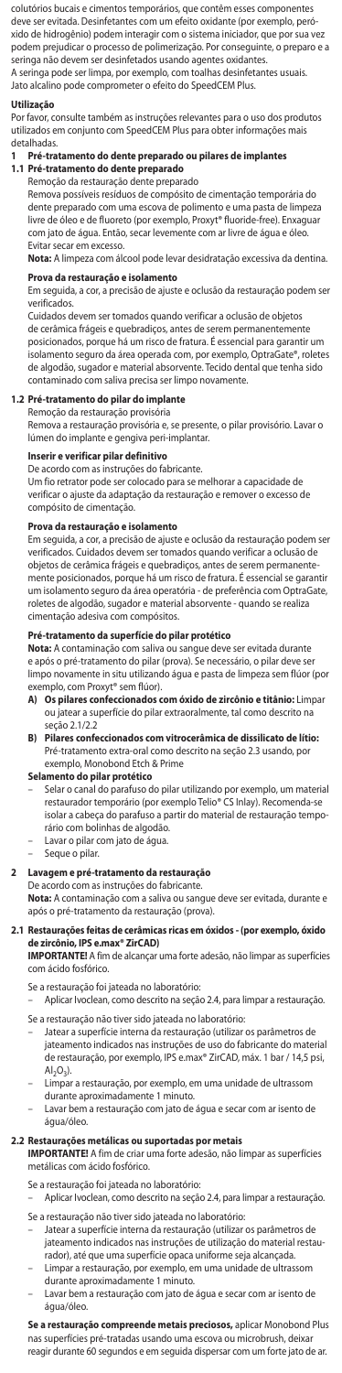colutórios bucais e cimentos temporários, que contêm esses componentes deve ser evitada. Desinfetantes com um efeito oxidante (por exemplo, peróxido de hidrogênio) podem interagir com o sistema iniciador, que por sua vez podem prejudicar o processo de polimerização. Por conseguinte, o preparo e a seringa não devem ser desinfetados usando agentes oxidantes. A seringa pode ser limpa, por exemplo, com toalhas desinfetantes usual Jato alcalino pode comprometer o efeito do SpeedCEM Plus.

#### **Utilização**

Por favor, consulte também as instruções relevantes para o uso dos produtos utilizados em conjunto com SpeedCEM Plus para obter informações mais detalhadas.

# **1 Pré-tratamento do dente preparado ou pilares de implantes 1.1 Pré-tratamento do dente preparado**

Remoção da restauração dente preparado

Remova possíveis resíduos de compósito de cimentação temporária do dente preparado com uma escova de polimento e uma pasta de limpeza livre de óleo e de fluoreto (por exemplo, Proxyt® fluoride-free). Enxaguar com jato de água. Então, secar levemente com ar livre de água e óleo. Evitar secar em excesso.

**Nota:** A limpeza com álcool pode levar desidratação excessiva da dentina.

**Prova da restauração e isolamento** Em seguida, a cor, a precisão de ajuste e oclusão da restauração podem ser verificados.

Cuidados devem ser tomados quando verificar a oclusão de objetos de cerâmica frágeis e quebradiços, antes de serem permanentemente posicionados, porque há um risco de fratura. É essencial para garantir um isolamento seguro da área operada com, por exemplo, OptraGate®, roletes de algodão, sugador e material absorvente. Tecido dental que tenha sido contaminado com saliva precisa ser limpo novamente.

# **1.2 Pré-tratamento do pilar do implante**

Remoção da restauração provisória Remova a restauração provisória e, se presente, o pilar provisório. Lavar o lúmen do implante e gengiva peri-implantar.

# **Inserir e verificar pilar definitivo**

De acordo com as instruções do fabricante.

Um fio retrator pode ser colocado para se melhorar a capacidade de verificar o ajuste da adaptação da restauração e remover o excesso de compósito de cimentação.

**Prova da restauração e isolamento** Em seguida, a cor, a precisão de ajuste e oclusão da restauração podem ser verificados. Cuidados devem ser tomados quando verificar a oclusão de objetos de cerâmica frágeis e quebradiços, antes de serem permanente-mente posicionados, porque há um risco de fratura. É essencial se garantir um isolamento seguro da área operatória - de preferência com OptraGate, roletes de algodão, sugador e material absorvente - quando se realiza cimentação adesiva com compósitos.

#### **Pré-tratamento da superfície do pilar protético**

**Nota:** A contaminação com saliva ou sangue deve ser evitada durante e após o pré-tratamento do pilar (prova). Se necessário, o pilar deve ser limpo novamente in situ utilizando água e pasta de limpeza sem flúor (por exemplo, com Proxyt® sem flúor).

- **A) Os pilares confeccionados com óxido de zircônio e titânio:** Limpar ou jatear a superfície do pilar extraoralmente, tal como descrito na
- seção 2.1/2.2 **B) Pilares confeccionados com vitrocerâmica de dissilicato de lítio:** Pré-tratamento extra-oral como descrito na seção 2.3 usando, por exemplo, Monobond Etch & Prime

#### **Selamento do pilar protético**

- Selar o canal do parafuso do pilar utilizando por exemplo, um material restaurador temporário (por exemplo Telio® CS Inlay). Recomenda-se isolar a cabeça do parafuso a partir do material de restauração temporário com bolinhas de algodão.
- Lavar o pilar com jato de água.
- Seque o pilar.

### **2 Lavagem e pré-tratamento da restauração**

De acordo com as instruções do fabricante. **Nota:** A contaminação com a saliva ou sangue deve ser evitada, durante e após o pré-tratamento da restauração (prova).

# **2.1 Restaurações feitas de cerâmicas ricas em óxidos - (por exemplo, óxido de zircônio, IPS e.max® ZirCAD)**

**IMPORTANTE!** A fim de alcançar uma forte adesão, não limpar as superfícies com ácido fosfórico.

- Se a restauração foi jateada no laboratório:
- Aplicar Ivoclean, como descrito na seção 2.4, para limpar a restauração.
- Se a restauração não tiver sido jateada no laboratório: – Jatear a superfície interna da restauração (utilizar os parâmetros de jateamento indicados nas instruções de uso do fabricante do material de restauração, por exemplo, IPS e.max® ZirCAD, máx. 1 bar / 14,5 psi,  $Al<sub>2</sub>O<sub>3</sub>$ ).
- Limpar a restauração, por exemplo, em uma unidade de ultrassom
- durante aproximadamente 1 minuto. Lavar bem a restauração com jato de água e secar com ar isento de água/óleo.

# **2.2 Restaurações metálicas ou suportadas por metais IMPORTANTE!** A fim de criar uma forte adesão, não limpar as superfícies

metálicas com ácido fosfórico.

- Se a restauração foi jateada no laboratório:
- Aplicar Ivoclean, como descrito na seção 2.4, para limpar a restauração. Se a restauração não tiver sido jateada no laboratório:
- Jatear a superfície interna da restauração (utilizar os parâmetros de jateamento indicados nas instruções de utilização do material restaurador), até que uma superfície opaca uniforme seja alcançada.
- Limpar a restauração, por exemplo, em uma unidade de ultrassom durante aproximadamente 1 minuto.
- Lavar bem a restauração com jato de água e secar com ar isento de água/óleo.

**Se a restauração compreende metais preciosos,** aplicar Monobond Plus nas superfícies pré-tratadas usando uma escova ou microbrush, deixar reagir durante 60 segundos e em seguida dispersar com um forte jato de ar.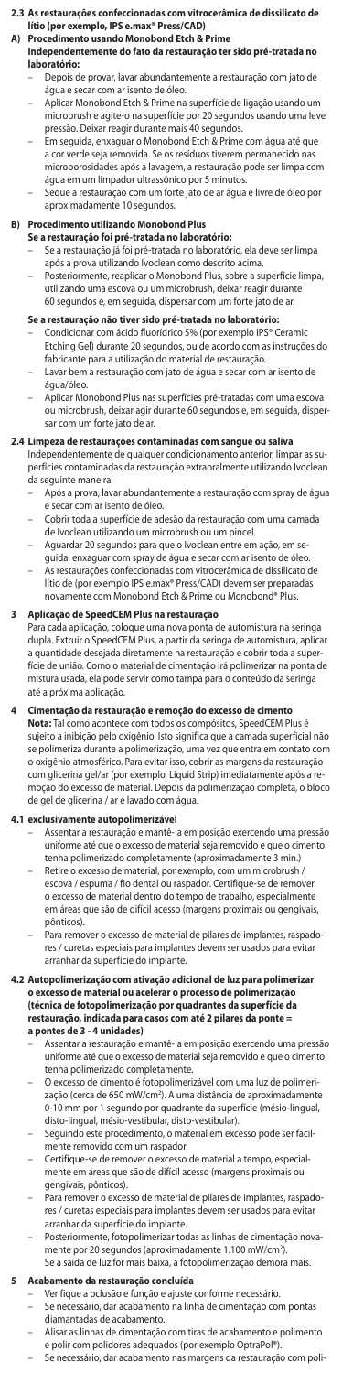### **2.3 As restaurações confeccionadas com vitrocerâmica de dissilicato de lítio (por exemplo, IPS e.max® Press/CAD)**

## **A) Procedimento usando Monobond Etch & Prime Independentemente do fato da restauração ter sido pré-tratada no laboratório:**

- Depois de provar, lavar abundantemente a restauração com jato de água e secar com ar isento de óleo.
- Aplicar Monobond Etch & Prime na superfície de ligação usando um microbrush e agite-o na superfície por 20 segundos usando uma leve pressão. Deixar reagir durante mais 40 segundos.
- Em seguida, enxaguar o Monobond Etch & Prime com água até que a cor verde seja removida. Se os resíduos tiverem permanecido n microporosidades após a lavagem, a restauração pode ser limpa com água em um limpador ultrassônico por 5 minutos.
- Seque a restauração com um forte jato de ar água e livre de óleo por aproximadamente 10 segundos.

# **B) Procedimento utilizando Monobond Plus**

- **Se a restauração foi pré-tratada no laboratório:**<br>– Se a restauração já foi pré-tratada no laboratório, ela deve ser limpa
- após a prova utilizando Ivoclean como descrito acima. – Posteriormente, reaplicar o Monobond Plus, sobre a superfície limpa, utilizando uma escova ou um microbrush, deixar reagir durante 60 segundos e, em seguida, dispersar com um forte jato de ar.

- **Se a restauração não tiver sido pré-tratada no laboratório:**<br>– Condicionar com ácido fluorídrico 5% (por exemplo IPS® Ceramic Etching Gel) durante 20 segundos, ou de acordo com as instruções do fabricante para a utilização do material de restauração. – Lavar bem a restauração com jato de água e secar com ar isento de
- água/óleo.
- Aplicar Monobond Plus nas superfícies pré-tratadas com uma escova ou microbrush, deixar agir durante 60 segundos e, em seguida, dispersar com um forte jato de ar.

**2.4 Limpeza de restaurações contaminadas com sangue ou saliva** Independentemente de qualquer condicionamento anterior, limpar as superfícies contaminadas da restauração extraoralmente utilizando Ivoclean da seguinte maneira:

- Após a prova, lavar abundantemente a restauração com spray de água e secar com ar isento de óleo.
- Cobrir toda a superfície de adesão da restauração com uma camada de Ivoclean utilizando um microbrush ou um pincel.
- Aguardar 20 segundos para que o Ivoclean entre em ação, em se-
- guida, enxaguar com spray de água e secar com ar isento de óleo. As restaurações confeccionadas com vitrocerâmica de dissilicato de lítio de (por exemplo IPS e.max® Press/CAD) devem ser preparadas novamente com Monobond Etch & Prime ou Monobond® Plus.

# **3 Aplicação de SpeedCEM Plus na restauração**

Para cada aplicação, coloque uma nova ponta de automistura na seringa dupla. Extruir o SpeedCEM Plus, a partir da seringa de automistura, aplicar a quantidade desejada diretamente na restauração e cobrir toda a superfície de união. Como o material de cimentação irá polimerizar na ponta de mistura usada, ela pode servir como tampa para o conteúdo da seringa até a próxima aplicação.

## **4 Cimentação da restauração e remoção do excesso de cimento**

**Nota:** Tal como acontece com todos os compósitos, SpeedCEM Plus é sujeito a inibição pelo oxigênio. Isto significa que a camada superficial não se polimeriza durante a polimerização, uma vez que entra em contato com o oxigênio atmosférico. Para evitar isso, cobrir as margens da restauração com glicerina gel/ar (por exemplo, Liquid Strip) imediatamente após a remoção do excesso de material. Depois da polimerização completa, o bloco de gel de glicerina / ar é lavado com água.

### **4.1 exclusivamente autopolimerizável**

- Assentar a restauração e mantê-la em posição exercendo uma pressão uniforme até que o excesso de material seja removido e que o cimento tenha polimerizado completamente (aproximadamente 3 min.)
- Retire o excesso de material, por exemplo, com um microbrush / escova / espuma / fio dental ou raspador. Certifique-se de remover o excesso de material dentro do tempo de trabalho, especialmente em áreas que são de difícil acesso (margens proximais ou gengivais, pônticos).
- Para remover o excesso de material de pilares de implantes, raspadores / curetas especiais para implantes devem ser usados para evitar arranhar da superfície do implante.

# **4.2 Autopolimerização com ativação adicional de luz para polimerizar o excesso de material ou acelerar o processo de polimerização (técnica de fotopolimerização por quadrantes da superfície da restauração, indicada para casos com até 2 pilares da ponte = a pontes de 3 - 4 unidades)**

- Assentar a restauração e mantê-la em posição exercendo uma pressão uniforme até que o excesso de material seja removido e que o cimento tenha polimerizado completamente.
- O excesso de cimento é fotopolimerizável com uma luz de polimeri-zação (cerca de 650 mW/cm2 ). A uma distância de aproximadamente 0-10 mm por 1 segundo por quadrante da superfície (mésio-lingual, disto-lingual, mésio-vestibular, disto-vestibular).
- Seguindo este procedimento, o material em excesso pode ser facilmente removido com um raspador.
- Certifique-se de remover o excesso de material a tempo, especial-mente em áreas que são de difícil acesso (margens proximais ou gengivais, pônticos).
- Para remover o excesso de material de pilares de implantes, raspado res / curetas especiais para implantes devem ser usados para evitar arranhar da superfície do implante.
- Posteriormente, fotopolimerizar todas as linhas de cimentação nova-mente por 20 segundos (aproximadamente 1.100 mW/cm2 ). Se a saída de luz for mais baixa, a fotopolimerização demora mais.

- **5 Acabamento da restauração concluída** Verifique a oclusão e função e ajuste conforme necessário.
	- Se necessário, dar acabamento na linha de cimentação com pontas diamantadas de acabamento.
	- Alisar as linhas de cimentação com tiras de acabamento e polimento e polir com polidores adequados (por exemplo OptraPol®).
	- Se necessário, dar acabamento nas margens da restauração com poli-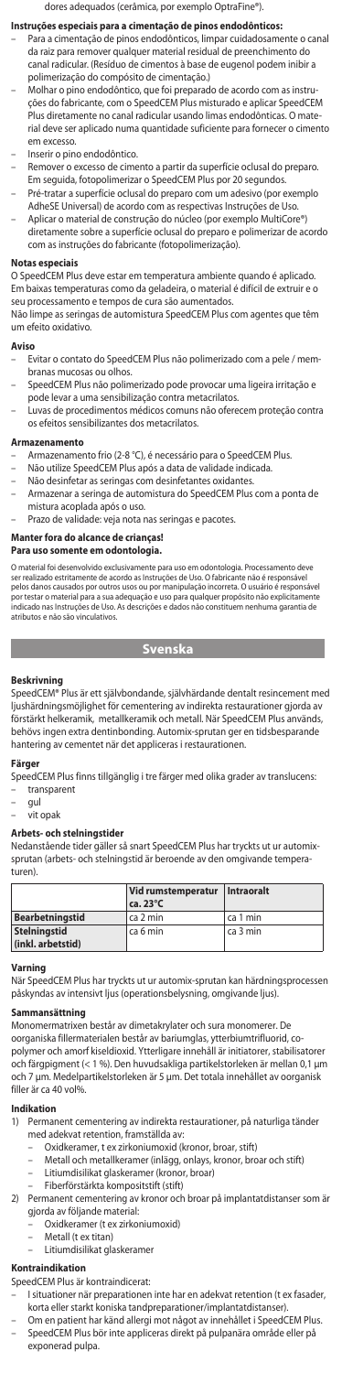dores adequados (cerâmica, por exemplo OptraFine®).

# **Instruções especiais para a cimentação de pinos endodônticos:**

- Para a cimentação de pinos endodônticos, limpar cuidadosamente o canal da raiz para remover qualquer material residual de preenchimento do canal radicular. (Resíduo de cimentos à base de eugenol podem inibir a polimerização do compósito de cimentação.)
- Molhar o pino endodôntico, que foi preparado de acordo com as instruções do fabricante, com o SpeedCEM Plus misturado e aplicar SpeedCEM Plus diretamente no canal radicular usando limas endodônticas. O mate-rial deve ser aplicado numa quantidade suficiente para fornecer o cimento em excesso.
- Inserir o pino endodôntico.
- Remover o excesso de cimento a partir da superfície oclusal do preparo. Em seguida, fotopolimerizar o SpeedCEM Plus por 20 segundos. – Pré-tratar a superfície oclusal do preparo com um adesivo (por exemplo
- AdheSE Universal) de acordo com as respectivas Instruções de Uso. – Aplicar o material de construção do núcleo (por exemplo MultiCore®)
- diretamente sobre a superfície oclusal do preparo e polimerizar de acordo com as instruções do fabricante (fotopolimerização).

#### **Notas especiais**

O SpeedCEM Plus deve estar em temperatura ambiente quando é aplicado. Em baixas temperaturas como da geladeira, o material é difícil de extruir e o seu processamento e tempos de cura são aumentados.

Não limpe as seringas de automistura SpeedCEM Plus com agentes que têm um efeito oxidativo.

### **Aviso**

- Evitar o contato do SpeedCEM Plus não polimerizado com a pele / mem-branas mucosas ou olhos.
- SpeedCEM Plus não polimerizado pode provocar uma ligeira irritação e
- pode levar a uma sensibilização contra metacrilatos. Luvas de procedimentos médicos comuns não oferecem proteção contra os efeitos sensibilizantes dos metacrilatos.

#### **Armazenamento**

- Armazenamento frio (2-8 °C), é necessário para o SpeedCEM Plus.
- Não utilize SpeedCEM Plus após a data de validade indicada.
- Não desinfetar as seringas com desinfetantes oxidantes. – Armazenar a seringa de automistura do SpeedCEM Plus com a ponta de
- mistura acoplada após o uso.
- Prazo de validade: veja nota nas seringas e pacotes.

# **Manter fora do alcance de crianças!**

# **Para uso somente em odontologia.**

O material foi desenvolvido exclusivamente para uso em odontologia. Processamento deve<br>ser realizado estritamente de acordo as Instruções de Uso. O fabricante não é responsável<br>pelos danos causados por outros usos ou por m por testar o material para a sua adequação e uso para qualquer propósito não explicitamente indicado nas Instruções de Uso. As descrições e dados não constituem nenhuma garantia de atributos e não são vinculativo

**Svenska**

**Beskrivning** SpeedCEM® Plus är ett självbondande, självhärdande dentalt resincement med ljushärdningsmöjlighet för cementering av indirekta restaurationer gjorda av förstärkt helkeramik, metallkeramik och metall. När SpeedCEM Plus används, behövs ingen extra dentinbonding. Automix-sprutan ger en tidsbesparande hantering av cementet när det appliceras i restaurationen.

### **Färger**

SpeedCEM Plus finns tillgänglig i tre färger med olika grader av translucens: – transparent

- gul
- vit opak

**Arbets- och stelningstider**  Nedanstående tider gäller så snart SpeedCEM Plus har tryckts ut ur automixsprutan (arbets- och stelningstid är beroende av den omgivande temperaturen).

|                                          | Vid rumstemperatur Intraoralt<br>$ca.23^{\circ}C$ |          |
|------------------------------------------|---------------------------------------------------|----------|
| Bearbetningstid                          | ca 2 min                                          | ca 1 min |
| <b>Stelningstid</b><br>(inkl. arbetstid) | ca 6 min                                          | ca 3 min |

# **Varning**

När SpeedCEM Plus har tryckts ut ur automix-sprutan kan härdningsprocessen påskyndas av intensivt ljus (operationsbelysning, omgivande ljus).

### **Sammansättning**

Monomermatrixen består av dimetakrylater och sura monomerer. De oorganiska fillermaterialen består av bariumglas, ytterbiumtrifluorid, co-polymer och amorf kiseldioxid. Ytterligare innehåll är initiatorer, stabilisatorer och färgpigment (< 1 %). Den huvudsakliga partikelstorleken är mellan 0,1 μm och 7 μm. Medelpartikelstorleken är 5 μm. Det totala innehållet av oorganisk filler är ca 40 vol%.

# **Indikation**<br>1) Perman

- 1) Permanent cementering av indirekta restaurationer, på naturliga tänder med adekvat retention, framställda av:
	- Oxidkeramer, t ex zirkoniumoxid (kronor, broar, stift)
	- Metall och metallkeramer (inlägg, onlays, kronor, broar och stift) – Litiumdisilikat glaskeramer (kronor, broar)
	- Fiberförstärkta kompositstift (stift)
- 2) Permanent cementering av kronor och broar på implantatdistanser som är gjorda av följande material:
	- Oxidkeramer (t ex zirkoniumoxid)
	- Metall (t ex titan)
	- Litiumdisilikat glaskeram

### **Kontraindikation**

- SpeedCEM Plus är kontraindicerat:
- I situationer när preparationen inte har en adekvat retention (t ex fasader, korta eller starkt koniska tandpreparationer/implantatdistanser).
- Om en patient har känd allergi mot något av innehållet i SpeedCEM Plus. SpeedCEM Plus bör inte appliceras direkt på pulpanära område eller på exponerad pulpa.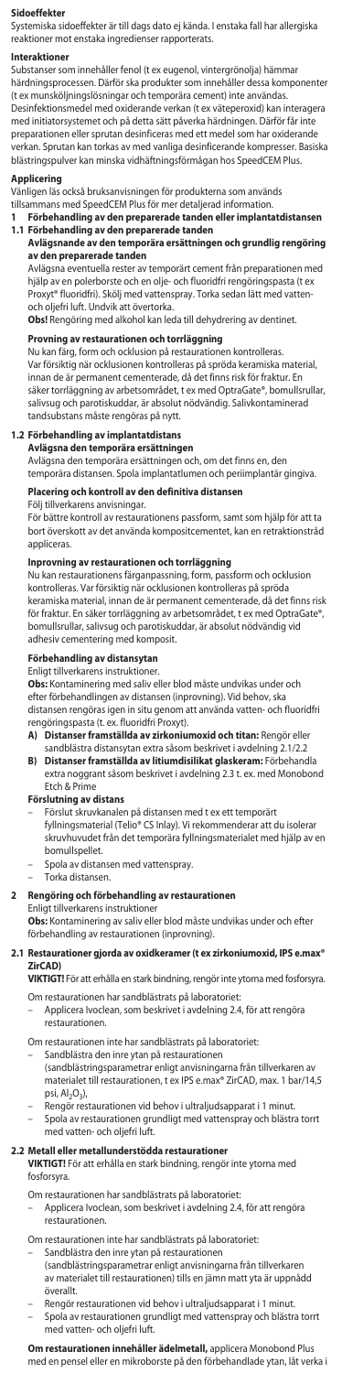#### **Sidoeffekter**

Systemiska sidoeffekter är till dags dato ej kända. I enstaka fall har allergiska reaktioner mot enstaka ingredienser rapporterats.

#### **Interaktioner**

Substanser som innehåller fenol (t ex eugenol, vintergrönolja) hämmar härdningsprocessen. Därför ska produkter som innehåller dessa komponenter unsköljningslösningar och temporära cement) inte användas. Desinfektionsmedel med oxiderande verkan (t ex väteperoxid) kan interagera med initiatorsystemet och på detta sätt påverka härdningen. Därför får inte preparationen eller sprutan desinficeras med ett medel som har oxiderande verkan. Sprutan kan torkas av med vanliga desinficerande kompresser. Basiska blästringspulver kan minska vidhäftningsförmågan hos SpeedCEM Plus.

# **Applicering**

Vänligen läs också bruksanvisningen för produkterna som används

tillsammans med SpeedCEM Plus för mer detaljerad information. **1 Förbehandling av den preparerade tanden eller implantatdistansen 1.1 Förbehandling av den preparerade tanden**

# **Avlägsnande av den temporära ersättningen och grundlig rengöring av den preparerade tanden**

Avlägsna eventuella rester av temporärt cement från preparationen med hjälp av en polerborste och en olje- och fluoridfri rengöringspasta (t ex Proxyt® fluoridfri). Skölj med vattenspray. Torka sedan lätt med vattenoch oljefri luft. Undvik att övertorka.

**Obs!** Rengöring med alkohol kan leda till dehydrering av dentinet.

### **Provning av restaurationen och torrläggning**

Nu kan färg, form och ocklusion på restaurationen kontrolleras. Var försiktig när ocklusionen kontrolleras på spröda keramiska material, innan de är permanent cementerade, då det finns risk för fraktur. En säker torrläggning av arbetsområdet, t ex med OptraGate®, bomullsrullar, salivsug och parotiskuddar, är absolut nödvändig. Salivkontaminerad tandsubstans måste rengöras på nytt.

#### **1.2 Förbehandling av implantatdistans**

**Avlägsna den temporära ersättningen** Avlägsna den temporära ersättningen och, om det finns en, den temporära distansen. Spola implantatlumen och periimplantär gingiva.

### Placering och kontroll av den definitiva dista

## Följ tillverkarens anvisningar.

För bättre kontroll av restaurationens passform, samt som hjälp för att ta bort överskott av det använda kompositcementet, kan en retraktionstråd appliceras.

### **Inprovning av restaurationen och torrläggning**

Nu kan restaurationens färganpassning, form, passform och ocklusion kontrolleras. Var försiktig när ocklusionen kontrolleras på spröda keramiska material, innan de är permanent cementerade, då det finns risk för fraktur. En säker torrläggning av arbetsområdet, t ex med OptraGate®, bomullsrullar, salivsug och parotiskuddar, är absolut nödvändig vid adhesiv cementering med komposit.

### **Förbehandling av distansytan**

Enligt tillverkarens instruktioner.

**Obs:** Kontaminering med saliv eller blod måste undvikas under och<br>efter förbehandlingen av distansen (inprovning). Vid behov, ska<br>distansen rengöras igen in situ genom att använda vatten- och fluoridfri rengöringspasta (t. ex. fluoridfri Proxyt).

- A) Distanser framställda av zirkoniumoxid och titan: Rengör elle
- sandblästra distansytan extra såsom beskrivet i avdelning 2.1/2.2 **B) Distanser framställda av litiumdisilikat glaskeram:** Förbehandla extra noggrant såsom beskrivet i avdelning 2.3 t. ex. med Monobond Etch & Prime

# **Förslutning av distans**

– Förslut skruvkanalen på distansen med t ex ett temporärt fyllningsmaterial (Telio® CS Inlay). Vi rekommenderar att du isolerar skruvhuvudet från det temporära fyllningsmaterialet med hjälp av en bomullspellet.

- Spola av distansen med vattenspray.
- Torka distansen.

### 2 Rengöring och förbehandling av restauration

Enligt tillverkarens instruktion

**Obs:** Kontaminering av saliv eller blod måste undvikas under och efter förbehandling av restaurationen (inprovning).

#### **2.1 Restaurationer gjorda av oxidkeramer (t ex zirkoniumoxid, IPS e.max® ZirCAD)**

**VIKTIGT!** För att erhålla en stark bindning, rengör inte ytorna med fosforsyra.

- Om restaurationen har sandblästrats på laboratoriet:
- Applicera Ivoclean, som beskrivet i avdelning 2.4, för att rengöra restaurationen.
- Om restaurationen inte har sandblästrats på laboratoriet:
- Sandblästra den inre ytan på restaurationen
	- (sandblästringsparametrar enligt anvisningarna från tillverkaren av materialet till restaurationen, t ex IPS e.max® ZirCAD, max. 1 bar/14,5 psi, Al<sub>2</sub>O<sub>3</sub>),
	-
- Rengör restaurationen vid behov i ultraljudsapparat i 1 minut. Spola av restaurationen grundligt med vattenspray och blästra torrt med vatten- och oljefri luft.

**2.2 Metall eller metallunderstödda restaurationer VIKTIGT!** För att erhålla en stark bindning, rengör inte ytorna med fosforsyra.

- Om restaurationen har sandblästrats på laboratoriet:
- Applicera Ivoclean, som beskrivet i avdelning 2.4, för att rengöra restaurationen.
- Om restaurationen inte har sandblästrats på laboratoriet:
- Sandblästra den inre ytan på restaurationen (sandblästringsparametrar enligt anvisningarna från tillverkaren av materialet till restaurationen) tills en jämn matt yta är uppnådd överallt.
- Rengör restaurationen vid behov i ultraljudsapparat i 1 minut. – Spola av restaurationen grundligt med vattenspray och blästra torrt med vatten- och oljefri luft.

**Om restaurationen innehåller ädelmetall,** applicera Monobond Plus med en pensel eller en mikroborste på den förbehandlade ytan, låt verka i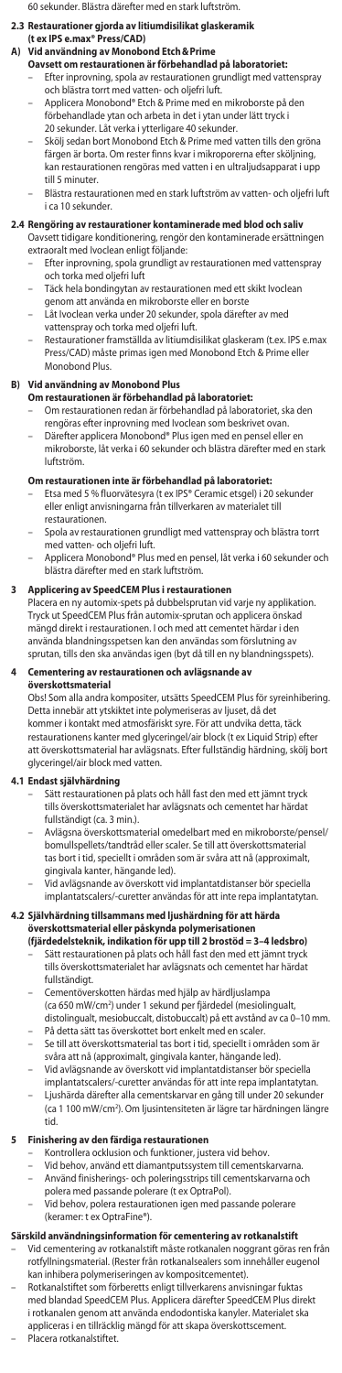60 sekunder. Blästra därefter med en stark luftström.

**2.3 Restaurationer gjorda av litiumdisilikat glaskeramik** 

### **(t ex IPS e.max® Press/CAD)**

- **A) Vid användning av Monobond Etch&Prime Oavsett om restaurationen är förbehandlad på laboratoriet:**
	- Efter inprovning, spola av restaurationen grundligt med vattenspray och blästra torrt med vatten- och oljefri luft.
	- Applicera Monobond® Etch & Prime med en mikroborste på den förbehandlade ytan och arbeta in det i ytan under lätt tryck i
	- 20 sekunder. Låt verka i ytterligare 40 sekunder. – Skölj sedan bort Monobond Etch & Prime med vatten tills den gröna
	- färgen är borta. Om rester finns kvar i mikroporerna efter sköljning, kan restaurationen rengöras med vatten i en ultraljudsapparat i upp till 5 minuter.
	- Blästra restaurationen med en stark luftström av vatten- och oljefri luft i ca 10 sekunder.

# **2.4 Rengöring av restaurationer kontaminerade med blod och saliv**

- Oavsett tidigare konditionering, rengör den kontaminerade ersättningen extraoralt med Ivoclean enligt följande:
	- Efter inprovning, spola grundligt av restaurationen med vattenspray och torka med oljefri luft
	- Täck hela bondingytan av restaurationen med ett skikt Ivoclean nom att använda en mikroborste eller en borste
	- Låt Ivoclean verka under 20 sekunder, spola därefter av med
	- vattenspray och torka med oljefri luft. – Restaurationer framställda av litiumdisilikat glaskeram (t.ex. IPS e.max Press/CAD) måste primas igen med Monobond Etch & Prime eller Monobond Plus.

### **B) Vid användning av Monobond Plus**

- **Om restaurationen är förbehandlad på laboratoriet:**<br>– Om restaurationen redan är förbehandlad på laboratoriet, ska den
	- rengöras efter inprovning med Ivoclean som beskrivet ovan.
- Därefter applicera Monobond® Plus igen med en pensel eller en mikroborste, låt verka i 60 sekunder och blästra därefter med en stark luftström.

- **Om restaurationen inte är förbehandlad på laboratoriet:**<br>– Etsa med 5 % fluorvätesyra (t ex IPS® Ceramic etsgel) i 20 sekunder eller enligt anvisningarna från tillverkaren av materialet till restaurationen.
- Spola av restaurationen grundligt med vattenspray och blästra torrt med vatten- och oljefri luft.
- Applicera Monobond® Plus med en pensel, låt verka i 60 sekunder och blästra därefter med en stark luftström.

### **3 Applicering av SpeedCEM Plus i restauration**

Placera en ny automix-spets på dubbelsprutan vid varje ny applikation. Tryck ut SpeedCEM Plus från automix-sprutan och applicera önskad mängd direkt i restaurationen. I och med att cementet härdar i den använda blandningsspetsen kan den användas som förslutning av sprutan, tills den ska användas igen (byt då till en ny blandningsspets).

### **4 Cementering av restaurationen och avlägsnande av överskottsmaterial**

Obs! Som alla andra kompositer, utsätts SpeedCEM Plus för syreinhibering. Detta innebär att ytskiktet inte polymeriseras av ljuset, då det kommer i kontakt med atmosfäriskt syre. För att undvika detta, täck restaurationens kanter med glyceringel/air block (t ex Liquid Strip) efter att överskottsmaterial har avlägsnats. Efter fullständig härdning, skölj bort glyceringel/air block med vatten.

# **4.1 Endast självhärdning**

- Sätt restaurationen på plats och håll fast den med ett jämnt tryck tills överskottsmaterialet har avlägsnats och cementet har härdat fullständigt (ca. 3 min.).
- Avlägsna överskottsmaterial omedelbart med en mikroborste/pensel/ bomullspellets/tandtråd eller scaler. Se till att överskottsmaterial tas bort i tid, speciellt i områden som är svåra att nå (approximalt, gingivala kanter, hängande led).
- Vid avlägsnande av överskott vid implantatdistanser bör speciella implantatscalers/-curetter användas för att inte repa implantatytan.

# **4.2 Självhärdning tillsammans med ljushärdning för att härda**

- **överskottsmaterial eller påskynda polymerisationen**<br>(**fjärdedelsteknik, indikation för upp till 2 brostöd = 3–4 ledsbro)**<br>– Sätt restaurationen på plats och håll fast den med ett jämnt tryck tills överskottsmaterialet har avlägsnats och cementet har härdat fullständigt.
- Cementöverskotten härdas med hjälp av härdljuslampa (ca 650 mW/cm2 ) under 1 sekund per fjärdedel (mesiolingualt, distolingualt, mesiobuccalt, distobuccalt) på ett avstånd av ca 0–10 mm.
- På detta sätt tas överskottet bort enkelt med en scaler.
- Se till att överskottsmaterial tas bort i tid, speciellt i områden som är svåra att nå (approximalt, gingivala kanter, hängande led).
- Vid avlägsnande av överskott vid implantatdistanser bör speciella
- implantatscalers/-curetter användas för att inte repa implantatytan. Ljushärda därefter alla cementskarvar en gång till under 20 sekunder (ca 1 100 mW/cm2 ). Om ljusintensiteten är lägre tar härdningen längre tid.

### **5** Finishering av den färdiga restauration

- Kontrollera ocklusion och funktioner, justera vid behov.
- Vid behov, använd ett diamantputssystem till cementskarvarna. Använd finisherings- och poleringsstrips till cementskarvarna och
- polera med passande polerare (t ex OptraPol).
- Vid behov, polera restaurationen igen med passande polerare (keramer: t ex OptraFine®).

## **Särskild användningsinformation för cementering av rotkanalstift**

- Vid cementering av rotkanalstift måste rotkanalen noggrant göras ren från rotfyllningsmaterial. (Rester från rotkanalsealers som innehåller eugenol kan inhibera polymeriseringen av kompositcementet).
- Rotkanalstiftet som förberetts enligt tillverkarens anvisningar fuktas med blandad SpeedCEM Plus. Applicera därefter SpeedCEM Plus direkt i rotkanalen genom att använda endodontiska kanyler. Materialet ska appliceras i en tillräcklig mängd för att skapa överskottscement. – Placera rotkanalstiftet.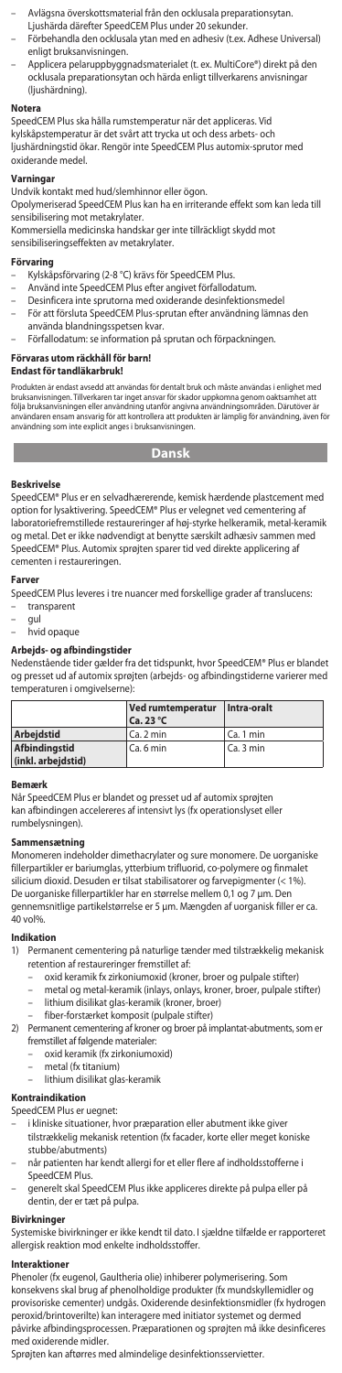- Avlägsna överskottsmaterial från den ocklusala preparationsytan.
- Ljushärda därefter SpeedCEM Plus under 20 sekunder. – Förbehandla den ocklusala ytan med en adhesiv (t.ex. Adhese Universal) enligt bruksanvisningen.
- Applicera pelaruppbyggnadsmaterialet (t. ex. MultiCore®) direkt på den ocklusala preparationsytan och härda enligt tillverkarens anvisningar (ljushärdning).

#### **Notera**

SpeedCEM Plus ska hålla rumstemperatur när det appliceras. Vid kylskåpstemperatur är det svårt att trycka ut och dess arbets- och ljushärdningstid ökar. Rengör inte SpeedCEM Plus automix-sprutor med oxiderande medel.

# **Varningar**

Undvik kontakt med hud/slemhinnor eller ögon.

Opolymeriserad SpeedCEM Plus kan ha en irriterande effekt som kan leda till sensibilisering mot metakrylater.

Kommersiella medicinska handskar ger inte tillräckligt skydd mot sensibiliseringseffekten av metakrylater.

### **Förvaring**

- Kylskåpsförvaring (2-8 °C) krävs för SpeedCEM Plus.
- Använd inte SpeedCEM Plus efter angivet förfallodatum.
- Desinficera inte sprutorna med oxiderande desinfektionsmedel – För att försluta SpeedCEM Plus-sprutan efter användning lämnas den
- använda blandningsspetsen kvar.
- Förfallodatum: se information på sprutan och förpackningen.

## **Förvaras utom räckhåll för barn!**

## **Endast för tandläkarbruk!**

Produkten är endast avsedd att användas för dentalt bruk och mäste användas i enlighet med<br>bruksanvisningen. Tillverkaren tar inget ansvar för skador uppkomna genom oaktsamhet att<br>följa bruksanvisningen eller användning ut

**Dansk**

## **Beskrivelse**

SpeedCEM® Plus er en selvadhærerende, kemisk hærdende plastcement med option for lysaktivering. SpeedCEM® Plus er velegnet ved cementering af laboratoriefremstillede restaureringer af høj-styrke helkeramik, metal-keramik og metal. Det er ikke nødvendigt at benytte særskilt adhæsiv sammen med SpeedCEM® Plus. Automix sprøjten sparer tid ved direkte applicering af cementen i restaureringen.

#### **Farver**

SpeedCEM Plus leveres i tre nuancer med forskellige grader af translucens: – transparent

- gul
- hvid opaque

#### **Arbejds- og afbindingstider**

Nedenstående tider gælder fra det tidspunkt, hvor SpeedCEM® Plus er blandet og presset ud af automix sprøjten (arbejds- og afbindingstiderne varierer med temperaturen i omgivelserne):

|                      | Ved rumtemperatur | Intra-oralt |
|----------------------|-------------------|-------------|
|                      | $Ca.23^{\circ}C$  |             |
| <b>Arbeidstid</b>    | Ca. 2 min         | l Ca. 1 min |
| <b>Afbindinastid</b> | Ca. 6 min         | l Ca. 3 min |
| (inkl. arbejdstid)   |                   |             |

#### **Bemærk**

Når SpeedCEM Plus er blandet og presset ud af automix sprøjten kan afbindingen accelereres af intensivt lys (fx operationslyset eller rumbelysningen).

**Sammensætning** Monomeren indeholder dimethacrylater og sure monomere. De uorganiske fillerpartikler er bariumglas, ytterbium trifluorid, co-polymere og finmalet silicium dioxid. Desuden er tilsat stabilisatorer og farvepigmenter (< 1%). De uorganiske fillerpartikler har en størrelse mellem 0,1 og 7 µm. Den gennemsnitlige partikelstørrelse er 5 µm. Mængden af uorganisk filler er ca. 40 vol%.

### **Indikatio**

- 1) Permanent cementering på naturlige tænder med tilstrækkelig mekanisk
	- retention af restaureringer fremstillet af: oxid keramik fx zirkoniumoxid (kroner, broer og pulpale stifter)
		- metal og metal-keramik (inlays, onlays, kroner, broer, pulpale stifter)
	- lithium disilikat glas-keramik (kroner, broer) fiber-forstærket komposit (pulpale stifter)
- 2) Permanent cementering af kroner og broer på implantat-abutments, som er
	- fremstillet af følgende materialer: oxid keramik (fx zirkoniumoxid)
	- metal (fx titanium)
	- lithium disilikat glas-keramik

#### **Kontraindikation**

SpeedCEM Plus er uegnet:

- 
- i kliniske situationer, hvor præparation eller abutment ikke giver tilstrækkelig mekanisk retention (fx facader, korte eller meget koniske stubbe/abutments)
- når patienten har kendt allergi for et eller flere af indholdsstofferne i SpeedCEM Plus.
- generelt skal SpeedCEM Plus ikke appliceres direkte på pulpa eller på dentin, der er tæt på pulpa.

**Bivirkninger**<br>Systemiske bivirkninger er ikke kendt til dato. I sjældne tilfælde er rapporteret<br>allergisk reaktion mod enkelte indholdsstoffer.

#### **Interaktioner**

Phenoler (fx eugenol, Gaultheria olie) inhiberer polymerisering. Som konsekvens skal brug af phenolholdige produkter (fx mundskyllemidler og provisoriske cementer) undgås. Oxiderende desinfektionsmidler (fx hydrogen peroxid/brintoverilte) kan interagere med initiator systemet og dermed påvirke afbindingsprocessen. Præparationen og sprøjten må ikke desinficeres med oxiderende midler.

Sprøjten kan aftørres med almindelige desinfektionsservietter.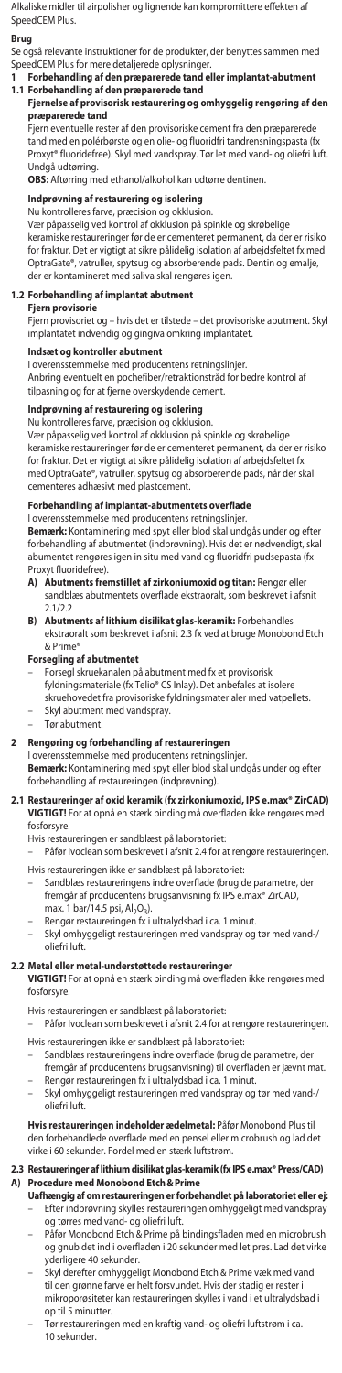Alkaliske midler til airpolisher og lignende kan kompromittere effekten af SpeedCEM Plus.

**Brug** Se også relevante instruktioner for de produkter, der benyttes sammen med SpeedCEM Plus for mere detaljerede oplysninger.

**1 Forbehandling af den præparerede tand eller implantat-abutment 1.1 Forbehandling af den præparerede tand**

**Fjernelse af provisorisk restaurering og omhyggelig rengøring af den** 

**præparerede tand** Fjern eventuelle rester af den provisoriske cement fra den præparerede tand med en polérbørste og en olie- og fluoridfri tandrensningspasta (fx Proxyt® fluoridefree). Skyl med vandspray. Tør let med vand- og oliefri luft.

Undgå udtørring. **OBS:** Aftørring med ethanol/alkohol kan udtørre dentinen.

**Indprøvning af restaurering og isolering** Nu kontrolleres farve, præcision og okklusion.

Vær påpasselig ved kontrol af okklusion på spinkle og skrøbelige keramiske restaureringer før de er cementeret permanent, da der er risiko for fraktur. Det er vigtigt at sikre pålidelig isolation af arbejdsfeltet fx med OptraGate®, vatruller, spytsug og absorberende pads. Dentin og emalje, der er kontamineret med saliva skal rengøres igen.

# **1.2 Forbehandling af implantat abutment**

## **Fiern provisori**

Fjern provisoriet og – hvis det er tilstede – det provisoriske abutment. Skyl .<br>nplantatet indvendig og gingiva omkring implantatet.

# **Indsæt og kontroller abutment**

I overensstemmelse med producentens retningslinjer. Anbring eventuelt en pochefiber/retraktionstråd for bedre kontrol af

tilpasning og for at fjerne overskydende cement.

# **Indprøvning af restaurering og isolering** Nu kontrolleres farve, præcision og okklusion.

Vær påpasselig ved kontrol af okklusion på spinkle og skrøbelige keramiske restaureringer før de er cementeret permanent, da der er risiko for fraktur. Det er vigtigt at sikre pålidelig isolation af arbejdsfeltet fx med OptraGate®, vatruller, spytsug og absorberende pads, når der skal cementeres adhæsivt med plastcement.

# **Forbehandling af implantat-abutmentets overflade**

I overensstemmelse med producentens retningslinjer. **Bemærk:** Kontaminering med spyt eller blod skal undgås under og efter forbehandling af abutmentet (indprøvning). Hvis det e abumentet rengøres igen in situ med vand og fluoridfri pudsepasta (fx

- Proxyt fluoridefree). **A) Abutments fremstillet af zirkoniumoxid og titan:** Rengør eller sandblæs abutmentets overflade ekstraoralt, som beskrevet i afsnit 2.1/2.2
- **B) Abutments af lithium disilikat glas-keramik:** Forbehandles ekstraoralt som beskrevet i afsnit 2.3 fx ved at bruge Monobond Etch

& Prime®

# **Forsegling af abutmentet**

- Forsegl skruekanalen på abutment med fx et provisorisk
- 
- fyldningsmateriale (fx Telio® CS Inlay). Det anbefales at isolere skruehovedet fra provisoriske fyldningsmaterialer med vatpellets. – Skyl abutment med vandspray.
- Tør abutment.

## **2** Rengøring og forbehandling af restaurering

I overensstemmelse med producentens retningslinjer. **Bemærk:** Kontaminering med spyt eller blod skal undgås under og efter forbehandling af restaureringen (indprøvning).

#### **2.1 Restaureringer af oxid keramik (fx zirkoniumoxid, IPS e.max® ZirCAD) VIGTIGT!** For at opnå en stærk binding må overfladen ikke rengøres med fosforsyre.

Hvis restaureringen er sandblæst på laboratoriet:

Påfør Ivoclean som beskrevet i afsnit 2.4 for at rengøre restaureringen. Hvis restaureringen ikke er sandblæst på laboratoriet:

Sandblæs restaureringens indre overflade (brug de parametre, de

- fremgår af producentens brugsanvisning fx IPS e.max® ZirCAD, max. 1 bar/14.5 psi,  $Al_2O_3$ ).
- Rengør restaureringen fx i ultralydsbad i ca. 1 minut.
- Skyl omhyggeligt restaureringen med vandspray og tør med vand-/ oliefri luft.

**2.2 Metal eller metal-understøttede restaureringer VIGTIGT!** For at opnå en stærk binding må overfladen ikke rengøres med fosforsyre.

Hvis restaureringen er sandblæst på laboratoriet:

– Påfør Ivoclean som beskrevet i afsnit 2.4 for at rengøre restaureringen. Hvis restaureringen ikke er sandblæst på laboratoriet:

- Sandblæs restaureringens indre overflade (brug de parametre, der
- fremgår af producentens brugsanvisning) til overfladen er jævnt mat. Rengør restaureringen fx i ultralydsbad i ca. 1 minut.
- Skyl omhyggeligt restaureringen med vandspray og tør med vand-/ oliefri luft.

#### **Hvis restaureringen indeholder ædelmetal:** Påfør Monobond Plus til den forbehandlede overflade med en pensel eller microbrush og lad det virke i 60 sekunder. Fordel med en stærk luftstrøm.

# **2.3 Restaureringer af lithium disilikat glas-keramik (fx IPS e.max® Press/CAD) A) Procedure med Monobond Etch&Prime**

- **Uafhængig af om restaureringen er forbehandlet på laboratoriet eller ej:**<br>– Efter indprøvning skylles restaureringen omhyggeligt med vandspray og tørres med vand- og oliefri luft.
- Påfør Monobond Etch & Prime på bindingsfladen med en microbrush og gnub det ind i overfladen i 20 sekunder med let pres. Lad det virke yderligere 40 sekunder.
- Skyl derefter omhyggeligt Monobond Etch & Prime væk med vand<br>til den grønne farve er helt forsvundet. Hvis der stadig er rester i .<br>elt forsvundet. Hvis der stadig er rester i mikroporøsiteter kan restaureringen skylles i vand i et ultralydsbad i op til 5 minutter.
- Tør restaureringen med en kraftig vand- og oliefri luftstrøm i ca. 10 sekunder.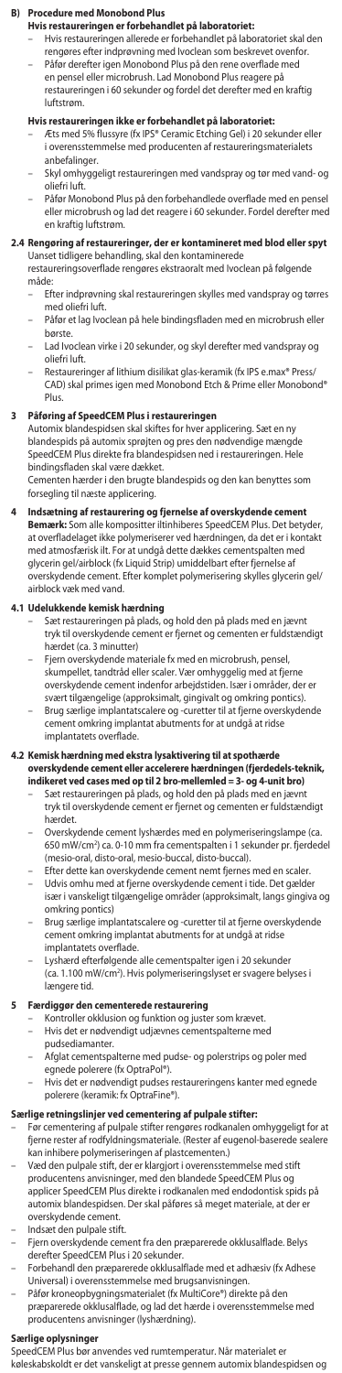### **B) Procedure med Monobond Plus**

**Hvis restaureringen er forbehandlet på laboratoriet:**<br>– Hvis restaureringen allerede er forbehandlet på laboratoriet skal den<br>rengøres efter indprøvning med Ivoclean som beskrevet ovenfor.

– Påfør derefter igen Monobond Plus på den rene overflade med en pensel eller microbrush. Lad Monobond Plus reagere på restaureringen i 60 sekunder og fordel det derefter med en kraftig luftstrøm.

- **Hvis restaureringen ikke er forbehandlet på laboratoriet:**<br>– Æts med 5% flussyre (fx IPS® Ceramic Etching Gel) i 20 sekunder eller i overensstemmelse med producenten af restaureringsmaterialets anbefalinger.
- Skyl omhyggeligt restaureringen med vandspray og tør med vand- og oliefri luft.
- Påfør Monobond Plus på den forbehandlede overflade med en pensel eller microbrush og lad det reagere i 60 sekunder. Fordel derefter med en kraftig luftstrøm.

# **2.4 Rengøring af restaureringer, der er kontamineret med blod eller spyt** Uanset tidligere behandling, skal den kontaminerede

restaureringsoverflade rengøres ekstraoralt med Ivoclean på følgende måde:

- Efter indprøvning skal restaureringen skylles med vandspray og tørres med oliefri luft.
- Påfør et lag Ivoclean på hele bindingsfladen med en microbrush eller børste.
- Lad Ivoclean virke i 20 sekunder, og skyl derefter med vandspray og oliefri luft.
- Restaureringer af lithium disilikat glas-keramik (fx IPS e.max® Press/ CAD) skal primes igen med Monobond Etch & Prime eller Monobond® Plus.

### **3 Påføring af SpeedCEM Plus i restaureringen**

Automix blandespidsen skal skiftes for hver applicering. Sæt en ny blandespids på automix sprøjten og pres den nødvendige mængde SpeedCEM Plus direkte fra blandespidsen ned i restaureringen. Hele bindingsfladen skal være dækket.

Cementen hærder i den brugte blandespids og den kan benyttes som forsegling til næste applicering.

**Indsætning af restaurering og fjernelse af overskydende ce Bemærk:** Som alle kompositter iltinhiberes SpeedCEM Plus. Det betyder, at overfladelaget ikke polymeriserer ved hærdningen, da det er i kontakt med atmosfærisk ilt. For at undgå dette dækkes cementspalten med glycerin gel/airblock (fx Liquid Strip) umiddelbart efter fjernelse af overskydende cement. Efter komplet polymerisering skylles glycerin gel/ airblock væk med vand.

- **4.1 Udelukkende kemisk hærdning**  Sæt restaureringen på plads, og hold den på plads med en jævnt tryk til overskydende cement er fjernet og cementen er fuldstændigt hærdet (ca. 3 minutter)
	- Fjern overskydende materiale fx med en microbrush, pensel, skumpellet, tandtråd eller scaler. Vær omhyggelig med at fjerne overskydende cement indenfor arbejdstiden. Især i områder, der er svært tilgængelige (approksimalt, gingivalt og omkring pontics). – Brug særlige implantatscalere og -curetter til at fjerne overskydende
	- cement omkring implantat abutments for at undgå at ridse implantatets overflade.

# **4.2 Kemisk hærdning med ekstra lysaktivering til at spothærde overskydende cement eller accelerere hærdningen (fjerdedels-teknik, indikeret ved cases med op til 2 bro-mellemled = 3- og 4-unit bro)**

- Sæt restaureringen på plads, og hold den på plads med en jævnt tryk til overskydende cement er fjernet og cementen er fuldstændigt hærdet.
- Overskydende cement lyshærdes med en polymeriseringslampe (ca. 650 mW/cm2 ) ca. 0-10 mm fra cementspalten i 1 sekunder pr. fjerdedel (mesio-oral, disto-oral, mesio-buccal, disto-buccal).
- Efter dette kan overskydende cement nemt fjernes med en scaler. – Udvis omhu med at fjerne overskydende cement i tide. Det gælder især i vanskeligt tilgængelige områder (approksimalt, langs gingiva og omkring pontics)
- Brug særlige implantatscalere og -curetter til at fjerne overskydende cement omkring implantat abutments for at undgå at ridse implantatets overflade.
- Lyshærd efterfølgende alle cementspalter igen i 20 sekunder (ca. 1.100 mW/cm2 ). Hvis polymeriseringslyset er svagere belyses i længere tid.

- **5 Færdiggør den cementerede restaurering**  Kontroller okklusion og funktion og juster som krævet.
	- Hvis det er nødvendigt udjævnes cementspalterne med pudsediamanter.
	- Afglat cementspalterne med pudse- og polerstrips og poler med egnede polerere (fx OptraPol®).
	- Hvis det er nødvendigt pudses restaureringens kanter med egnede polerere (keramik: fx OptraFine®).
		-

## **Særlige retningslinjer ved cementering af pulpale stifter:**

- Før cementering af pulpale stifter rengøres rodkanalen omhyggeligt for at fjerne rester af rodfyldningsmateriale. (Rester af eugenol-baserede sealere kan inhibere polymeriseringen af plastcementen.)
- Væd den pulpale stift, der er klargjort i overensstemmelse med stift producentens anvisninger, med den blandede SpeedCEM Plus og applicer SpeedCEM Plus direkte i rodkanalen med endodontisk spids på automix blandespidsen. Der skal påføres så meget materiale, at der er overskydende cement.
- Indsæt den pulpale stift.
- Fjern overskydende cement fra den præparerede okklusalflade. Belys derefter SpeedCEM Plus i 20 sekunder.
- Forbehandl den præparerede okklusalflade med et adhæsiv (fx Adhese Universal) i overensstemmelse med brugsanvisningen.
- Påfør kroneopbygningsmaterialet (fx MultiCore®) direkte på den præparerede okklusalflade, og lad det hærde i overensstemmelse med producentens anvisninger (lyshærdning).

# **Særlige oplysninger**

SpeedCEM Plus bør anvendes ved rumtemperatur. Når materialet er køleskabskoldt er det vanskeligt at presse gennem automix blandespidsen og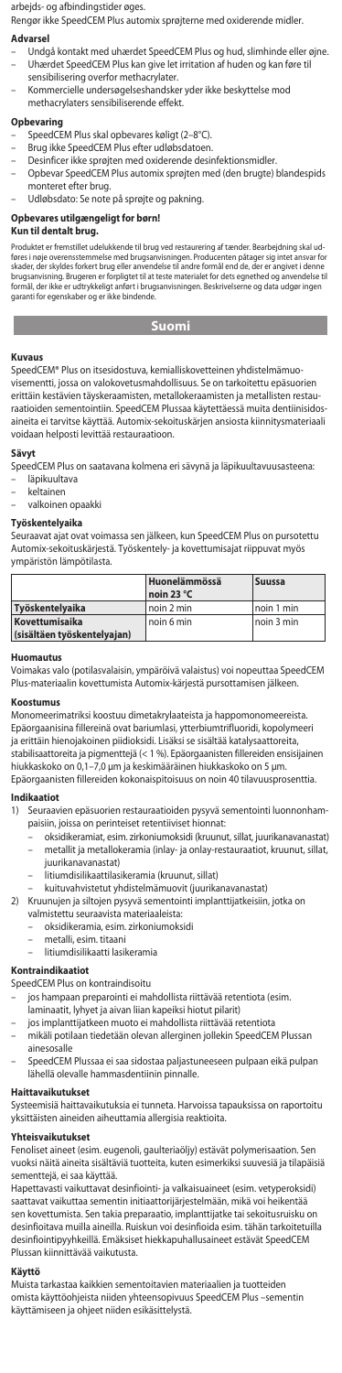arbejds- og afbindingstider øges.

Rengør ikke SpeedCEM Plus automix sprøjterne med oxiderende midler.

#### **Advarsel**

- Undgå kontakt med uhærdet SpeedCEM Plus og hud, slimhinde eller øjne. – Uhærdet SpeedCEM Plus kan give let irritation af huden og kan føre til
- sensibilisering overfor methacrylater. – Kommercielle undersøgelseshandsker yder ikke beskyttelse mod methacrylaters sensibiliserende effekt.

- **Opbevaring** SpeedCEM Plus skal opbevares køligt (2–8°C).
- Brug ikke SpeedCEM Plus efter udløbsdatoen.
- Desinficer ikke sprøjten med oxiderende desinfektionsmidler.
- Opbevar SpeedCEM Plus automix sprøjten med (den brugte) blandespids monteret efter brug.
- Udløbsdato: Se note på sprøjte og pakning.

# **Opbevares utilgængeligt for børn!**

# **Kun til dentalt brug.**

Produktet er fremstillet udelukkende til brug ved restaurenng af tænder. Bearbejdning skal ud-<br>føres i nøje overensstemmelse med brugsanvisningen. Producenten påtager sig intet ansvar for<br>skader, der skyldes forkert brug e brugsanvisning. Brugeren er forpligtet til at teste materialet for dets egnethed og anvendelse til formål, der ikke er udtrykkeligt anført i brugsanvisningen. Beskrivelserne og data udgør ingen Skaach, ach Skylach binden<br>brugsanvisning. Brugeren er fo<br>formål, der ikke er udtrykkeligt<br>garanti for egenskaber og er ik

# **Suomi**

# **The State Kuvaus**

SpeedCEM® Plus on itsesidostuva, kemialliskovetteinen yhdistelmämuovisementti, jossa on valokovetusmahdollisuus. Se on tarkoitettu epäsuorien erittäin kestävien täyskeraamisten, metallokeraamisten ja metallisten restauraatioiden sementointiin. SpeedCEM Plussaa käytettäessä muita dentiinisidosaineita ei tarvitse käyttää. Automix-sekoituskärjen ansiosta kiinnitysmateriaali voidaan helposti levittää restauraatioon.

### **Sävyt**

- SpeedCEM Plus on saatavana kolmena eri sävynä ja läpikuultavuusasteena: – läpikuultava
- keltainen
- valkoinen opaakki

#### **Työskentelyaika**

Seuraavat ajat ovat voimassa sen jälkeen, kun SpeedCEM Plus on pursotettu Automix-sekoituskärjestä. Työskentely- ja kovettumisajat riippuvat myös ympäristön lämpötilasta.

|                             | Huonelämmössä<br>noin 23 °C | <b>Suussa</b> |
|-----------------------------|-----------------------------|---------------|
| Työskentelyaika             | l noin 2 min                | noin 1 min    |
| Kovettumisaika              | noin 6 min                  | noin 3 min    |
| (sisältäen työskentelyajan) |                             |               |

#### **Huomautus**

Voimakas valo (potilasvalaisin, ympäröivä valaistus) voi nopeuttaa SpeedCEM Plus-materiaalin kovettumista Automix-kärjestä pursottamisen jälkeen.

#### **Koostumus**

Monomeerimatriksi koostuu dimetakrylaateista ja happomonomeereista. Epäorgaanisina fillereinä ovat bariumlasi, ytterbiumtrifluoridi, kopolymeeri ja erittäin hienojakoinen piidioksidi. Lisäksi se sisältää katalysaattoreita, stabilisaattoreita ja pigmenttejä (< 1 %). Epäorgaanisten fillereiden ensisijainen hiukkaskoko on 0,1–7,0 μm ja keskimääräinen hiukkaskoko on 5 μm. Epäorgaanisten fillereiden kokonaispitoisuus on noin 40 tilavuusprosenttia.

# **Indikaatiot**

- 1) Seuraavien epäsuorien restauraatioiden pysyvä sementointi luonnonhampaisiin, joissa on perinteiset retentiiviset hionnat:
	- oksidikeramiat, esim. zirkoniumoksidi (kruunut, sillat, juurikanavanastat) – metallit ja metallokeramia (inlay- ja onlay-restauraatiot, kruunut, sillat, juurikanavanastat)
		- litiumdisilikaattilasikeramia (kruunut, sillat)
	- kuituvahvistetut yhdistelmämuovit (juurikanavanastat)
- 2) Kruunujen ja siltojen pysyvä sementointi implanttijatkeisiin, jotka on valmistettu seuraavista materiaaleista:
	- oksidikeramia, esim. zirkoniumoksidi
	- metalli, esim. titaani
	- litiumdisilikaatti lasikeramia
	-

# **Kontraindikaatiot**

SpeedCEM Plus on kontraindisoitu

- jos hampaan preparointi ei mahdollista riittävää retentiota (esim
- 
- laminaatit, lyhyet ja aivan liian kapeiksi hiotut pilarit) jos implanttijatkeen muoto ei mahdollista riittävää retentiota
- mikäli potilaan tiedetään olevan allerginen jollekin SpeedCEM Plussan ainesosalle
- SpeedCEM Plussaa ei saa sidostaa paljastuneeseen pulpaan eikä pulpan lähellä olevalle hammasdentiinin pinnalle.

### **Haittavaikutukset**

Systeemisiä haittavaikutuksia ei tunneta. Harvoissa tapauksissa on raportoitu yksittäisten aineiden aiheuttamia allergisia reaktioita.

## **Yhteisvaikutukset**

Fenoliset aineet (esim. eugenoli, gaulteriaöljy) estävät polymerisaation. Sen vuoksi näitä aineita sisältäviä tuotteita, kuten esimerkiksi suuvesiä ja tilapäisiä sementtejä, ei saa käyttää.

Hapettavasti vaikuttavat desinfiointi- ja valkaisuaineet (esim. vetyperoksidi) saattavat vaikuttaa sementin initiaattorijärjestelmään, mikä voi heikentää sen kovettumista. Sen takia preparaatio, implanttijatke tai sekoitusruisku on desinfioitava muilla aineilla. Ruiskun voi desinfioida esim. tähän tarkoitetuilla desinfiointipyyhkeillä. Emäksiset hiekkapuhallusaineet estävät SpeedCEM Plussan kiinnittävää vaikutusta.

#### **Käyttö**

Muista tarkastaa kaikkien sementoitavien materiaalien ja tuotteiden omista käyttöohjeista niiden yhteensopivuus SpeedCEM Plus –sementin käyttämiseen ja ohjeet niiden esikäsittelystä.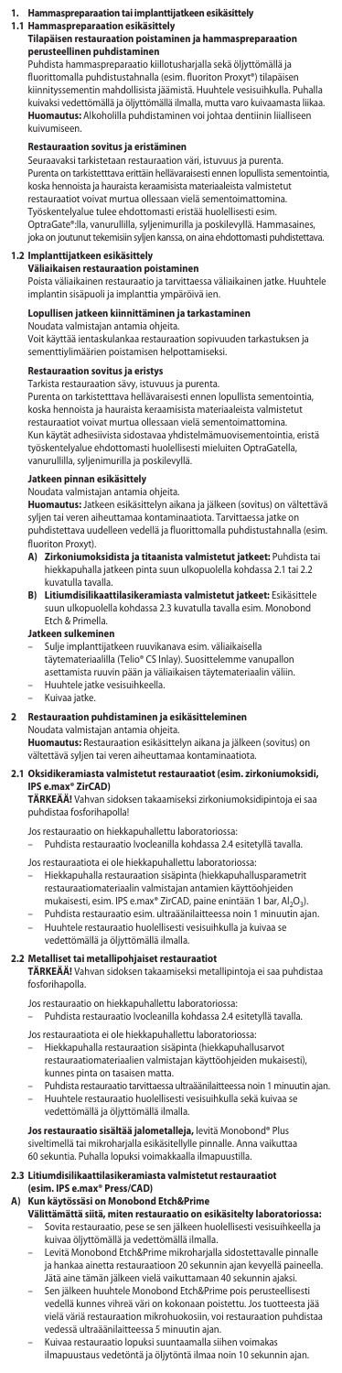### **1. Hammaspreparaation tai implanttijatkeen esikäsittely**

# **1.1 Hammaspreparaation esikäsittely**

 **Tilapäisen restauraation poistaminen ja hammaspreparaation perusteellinen puhdistaminen** Puhdista hammaspreparaatio kiillotusharjalla sekä öljyttömällä ja

fluorittomalla puhdistustahnalla (esim. fluoriton Proxyt®) tilapäisen kiinnityssementin mahdollisista jäämistä. Huuhtele vesisuihkulla. Puhalla kuivaksi vedettömällä ja öljyttömällä ilmalla, mutta varo kuivaamasta liikaa. **Huomautus:** Alkoholilla puhdistaminen voi johtaa dentiinin liialliseen kuivumiseen.

### **Restauraation sovitus ja eristämin**

Seuraavaksi tarkistetaan restauraation väri, istuvuus ja purenta. Purenta on tarkistetttava erittäin hellävaraisesti ennen lopullista sementointia, koska hennoista ja hauraista keraamisista materiaaleista valmistetut restauraatiot voivat murtua ollessaan vielä sementoimattomina. Työskentelyalue tulee ehdottomasti eristää huolellisesti esim.

OptraGate®:lla, vanurullilla, syljenimurilla ja poskilevyllä. Hammasaines, joka on joutunut tekemisiin syljen kanssa, on aina ehdottomasti puhdistettava.

### **1.2 Implanttijatkeen esikäsittely**

**Väliaikaisen restauraation poistaminen**

Poista väliaikainen restauraatio ja tarvittaessa väliaikainen jatke. Huuhtele implantin sisäpuoli ja implanttia ympäröivä ien.

# **Lopullisen jatkeen kiinnittäminen ja tarkastaminen**

Noudata valmistajan antamia ohjeita. Voit käyttää ientaskulankaa restauraation sopivuuden tarkastuksen ja sementtiylimäärien poistamisen helpottamiseksi.

## **Restauraation sovitus ja eristys**

Tarkista restauraation sävy, istuvuus ja purenta.

Purenta on tarkistetttava hellävaraisesti ennen lopullista sementointia, koska hennoista ja hauraista keraamisista materiaaleista valmistetut restauraatiot voivat murtua ollessaan vielä sementoimattomina. Kun käytät adhesiivista sidostavaa yhdistelmämuovisementointia, eristä työskentelyalue ehdottomasti huolellisesti mieluiten OptraGatella, vanurullilla, syljenimurilla ja poskilevyllä.

#### **Jatkeen pinnan esikäsittely**

Noudata valmistajan antamia ohjeita. **Huomautus:** Jatkeen esikäsittelyn aikana ja jälkeen (sovitus) on vältettävä syljen tai veren aiheuttamaa kontaminaatiota. Tarvittaessa jatke on puhdistettava uudelleen vedellä ja fluorittomalla puhdistustahnalla (esim.

- fluoriton Proxyt).<br>A) **Zirkoniumo A) Zirkoniumoksidista ja titaanista valmistetut jatkeet:** Puhdista tai hiekkapuhalla jatkeen pinta suun ulkopuolella kohdassa 2.1 tai 2.2 kuvatulla tavalla.
- **B) Litiumdisilikaattilasikeramiasta valmistetut jatkeet:** Esikäsittele suun ulkopuolella kohdassa 2.3 kuvatulla tavalla esim. Monobond Etch & Primella.

## **Jatkeen sulkeminen**

- Sulje implanttijatkeen ruuvikanava esim. väliaikaisella täytemateriaalilla (Telio® CS Inlay). Suosittelemme vanupallon asettamista ruuvin pään ja väliaikaisen täytemateriaalin väliin.
- Huuhtele jatke vesisuihkeella. Kuivaa jatke.

## **2 Restauraation puhdistaminen ja esikäsitteleminen**

Noudata valmistajan antamia ohjeita. **Huomautus:** Restauraation esikäsittelyn aikana ja jälkeen (sovitus) on vältettävä syljen tai veren aiheuttamaa kontaminaatiota.

#### **2.1 Oksidikeramiasta valmistetut restauraatiot (esim. zirkoniumoksidi, IPS e.max® ZirCAD)**

**TÄRKEÄÄ!** Vahvan sidoksen takaamiseksi zirkoniumoksidipintoja ei saa puhdistaa fosforihapolla!

# Jos restauraatio on hiekkapuhallettu laboratoriossa:

– Puhdista restauraatio Ivocleanilla kohdassa 2.4 esitetyllä tavalla.

Jos restauraatiota ei ole hiekkapuhallettu laboratoriossa: – Hiekkapuhalla restauraation sisäpinta (hiekkapuhallusparametrit

- restauraatiomateriaalin valmistajan antamien käyttöohjeiden mukaisesti, esim. IPS e.max® ZirCAD, paine enintään 1 bar, Al<sub>2</sub>O<sub>3</sub>) – Puhdista restauraatio esim. ultraäänilaitteessa noin 1 minuutin ajan.
- Huuhtele restauraatio huolellisesti vesisuihkulla ja kuivaa se vedettömällä ja öljyttömällä ilmalla.

**2.2 Metalliset tai metallipohjaiset restauraatiot TÄRKEÄÄ!** Vahvan sidoksen takaamiseksi metallipintoja ei saa puhdistaa fosforihapolla.

- Jos restauraatio on hiekkapuhallettu laboratoriossa:
- Puhdista restauraatio Ivocleanilla kohdassa 2.4 esitetyllä tavalla. Jos restauraatiota ei ole hiekkapuhallettu laboratorioss
- Hiekkapuhalla restauraation sisäpinta (hiekkapuhallusarvot
	- restauraatiomateriaalien valmistajan käyttöohjeiden mukaisesti), kunnes pinta on tasaisen matta.
	- Puhdista restauraatio tarvittaessa ultraäänilaitteessa noin 1 minuutin ajan. – Huuhtele restauraatio huolellisesti vesisuihkulla sekä kuivaa se vedettömällä ja öljyttömällä ilmalla.

### **Jos restauraatio sisältää jalometalleja,** levitä Monobond® Plus siveltimellä tai mikroharjalla esikäsitellylle pinnalle. Anna vaikuttaa

60 sekuntia. Puhalla lopuksi voimakkaalla ilmapuustilla.

# **2.3 Litiumdisilikaattilasikeramiasta valmistetut restauraatiot**

# **(esim. IPS e.max® Press/CAD)**

- **A) Kun käytössäsi on Monobond Etch&Prime Välittämättä siitä, miten restauraatio on esikäsitelty laboratoriossa:** – Sovita restauraatio, pese se sen jälkeen huolellisesti vesisuihkeella ja kuivaa öljyttömällä ja vedettömällä ilmalla.
	- Levitä Monobond Etch&Prime mikroharjalla sidostettavalle pinnalle ja hankaa ainetta restauraatioon 20 sekunnin ajan kevyellä paineella. Jätä aine tämän jälkeen vielä vaikuttamaan 40 sekunnin ajaksi.
	- Sen jälkeen huuhtele Monobond Etch&Prime pois perusteellisesti vedellä kunnes vihreä väri on kokonaan poistettu. Jos tuotteesta jää vielä väriä restauraation mikrohuokosiin, voi restauraation puhdistaa vedessä ultraäänilaitteessa 5 minuutin ajan.
	- Kuivaa restauraatio lopuksi suuntaamalla siihen voimakas ilmapuustaus vedetöntä ja öljytöntä ilmaa noin 10 sekunnin ajan.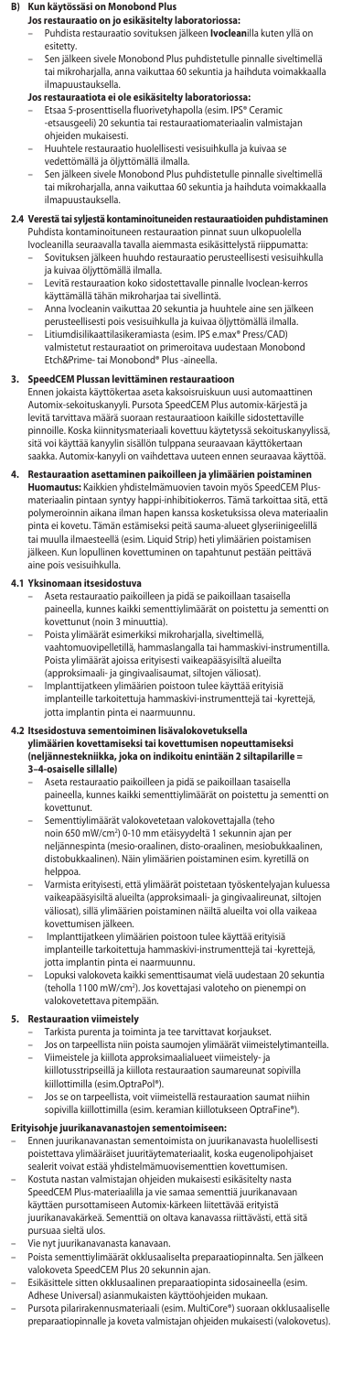### **B) Kun käytössäsi on Monobond Plus**

# **Jos restauraatio on jo esikäsitelty laboratoriossa:**

- Puhdista restauraatio sovituksen jälkeen **Ivoclean**illa kuten yllä on esitetty.
- Sen jälkeen sivele Monobond Plus puhdistetulle pinnalle siveltimellä tai mikroharjalla, anna vaikuttaa 60 sekuntia ja haihduta voimakkaalla ilmapuustauksella.

## **Jos restauraatiota ei ole esikäsitelty laboratoriossa:**

- Etsaa 5-prosenttisella fluorivetyhapolla (esim. IPS® Ceramic -etsausgeeli) 20 sekuntia tai restauraatiomateriaalin valmistajan ohjeiden mukaisesti.
- Huuhtele restauraatio huolellisesti vesisuihkulla ja kuivaa se vedettömällä ja öljyttömällä ilmalla.
- Sen jälkeen sivele Monobond Plus puhdistetulle pinnalle siveltimellä tai mikroharjalla, anna vaikuttaa 60 sekuntia ja haihduta voimakkaalla ilmapuustauksella.

### **2.4 Verestä tai syljestä kontaminoituneiden restauraatioiden puhdistaminen**

Puhdista kontaminoituneen restauraation pinnat suun ulkopuolella Ivocleanilla seuraavalla tavalla aiemmasta esikäsittelystä riippumatta: – Sovituksen jälkeen huuhdo restauraatio perusteellisesti vesisuihkulla

- ja kuivaa öljyttömällä ilmalla. – Levitä restauraation koko sidostettavalle pinnalle Ivoclean-kerros
- käyttämällä tähän mikroharjaa tai sivellintä.
- Anna Ivocleanin vaikuttaa 20 sekuntia ja huuhtele aine sen jälkeen perusteellisesti pois vesisuihkulla ja kuivaa öljyttömällä ilmalla.
- Litiumdisilikaattilasikeramiasta (esim. IPS e.max® Press/CAD)
	- valmistetut restauraatiot on primeroitava uudestaan Monobond Etch&Prime- tai Monobond® Plus -aineella.

### **3. SpeedCEM Plussan levittäminen restauraatioon**

Ennen jokaista käyttökertaa aseta kaksoisruiskuun uusi automaattinen Automix-sekoituskanyyli. Pursota SpeedCEM Plus automix-kärjestä ja levitä tarvittava määrä suoraan restauraatioon kaikille sidostettaville pinnoille. Koska kiinnitysmateriaali kovettuu käytetyssä sekoituskanyylissä,<br>sitä voi käyttää kanyylin sisällön tulppana seuraavaan käyttökertaan sitä voi käyttää kanyylin sisällön tulppana seura saakka. Automix-kanyyli on vaihdettava uuteen ennen seuraavaa käyttöä.

#### **4. Restauraation asettaminen paikoilleen ja ylimäärien poistaminen Huomautus:** Kaikkien yhdistelmämuovien tavoin myös SpeedCEM Plusmateriaalin pintaan syntyy happi-inhibitiokerros. Tämä tarkoittaa sitä, että polymeroinnin aikana ilman hapen kanssa kosketuksissa oleva materiaalin pinta ei kovetu. Tämän estämiseksi peitä sauma-alueet glyseriinigeelillä tai muulla ilmaesteellä (esim. Liquid Strip) heti ylimäärien poistamisen jälkeen. Kun lopullinen kovettuminen on tapahtunut pestään peittävä aine pois vesisuihkulla.

### **4.1 Yksinomaan itsesidostuva**

- Aseta restauraatio paikoilleen ja pidä se paikoillaan tasaisella paineella, kunnes kaikki sementtiylimäärät on poistettu ja sementti on kovettunut (noin 3 minuuttia).
- Poista ylimäärät esimerkiksi mikroharjalla, siveltimellä, vaahtomuovipelletillä, hammaslangalla tai hammaskivi-instrumentilla. Poista ylimäärät ajoissa erityisesti vaikeapääsyisiltä alueilta (approksimaali- ja gingivaalisaumat, siltojen väliosat). – Implanttijatkeen ylimäärien poistoon tulee käyttää erityisiä
- implanteille tarkoitettuja hammaskivi-instrumenttejä tai -kyrettejä, jotta implantin pinta ei naarmuunnu.

# **4.2 Itsesidostuva sementoiminen lisävalokovetuksella**

# **ylimäärien kovettamiseksi tai kovettumisen nopeuttamiseksi (neljännestekniikka, joka on indikoitu enintään 2 siltapilarille = 3–4-osaiselle sillalle)**

- Aseta restauraatio paikoilleen ja pidä se paikoillaan tasaisella paineella, kunnes kaikki sementtiylimäärät on poistettu ja sementti on kovettunut.
- Sementtiylimäärät valokovetetaan valokovettajalla (teho noin 650 mW/cm2 ) 0-10 mm etäisyydeltä 1 sekunnin ajan per neljännespinta (mesio-oraalinen, disto-oraalinen, mesiobukkaalinen, distobukkaalinen). Näin ylimäärien poistaminen esim. kyretillä on helppoa.
- Varmista erityisesti, että ylimäärät poistetaan työskentelyajan kuluessa vaikeapääsyisiltä alueilta (approksimaali- ja gingivaalireunat, siltojen väliosat), sillä ylimäärien poistaminen näiltä alueilta voi olla vaikeaa kovettumisen jälkeen.
- Implanttijatkeen ylimäärien poistoon tulee käyttää erityisiä implanteille tarkoitettuja hammaskivi-instrumenttejä tai -kyrettejä, jotta implantin pinta ei naarmuunnu.
- Lopuksi valokoveta kaikki sementtisaumat vielä uudestaan 20 sekuntia (teholla 1100 mW/cm<sup>2</sup>). Jos kovettajasi valoteho on pienempi on valokovetettava pitempään.

### **5. Restauraation viimeistely**

- 
- Tarkista purenta ja toiminta ja tee tarvittavat korjaukset. Jos on tarpeellista niin poista saumojen ylimäärät viimeistelytimanteilla. – Viimeistele ja kiillota approksimaalialueet viimeistely- ja kiillotusstripseillä ja kiillota restauraation saumareunat sopivilla
- kiillottimilla (esim.OptraPol®). – Jos se on tarpeellista, voit viimeistellä restauraation saumat niihin
- sopivilla kiillottimilla (esim. keramian kiillotukseen OptraFine®).

# **Erityisohje juurikanavanastojen sementoimiseen:**

- Ennen juurikanavanastan sementoimista on juurikanavasta huolellisesti poistettava ylimääräiset juuritäytemateriaalit, koska eugenolipohjaiset .<br>sealerit voivat estää yhdistelmämuovisementtien kovettumis
- Kostuta nastan valmistajan ohjeiden mukaisesti esikäsitelty nasta SpeedCEM Plus-materiaalilla ja vie samaa sementtiä juurikanavaan käyttäen pursottamiseen Automix-kärkeen liitettävää erityistä
- juurikanavakärkeä. Sementtiä on oltava kanavassa riittävästi, että sitä pursuaa sieltä ulos.
- Vie nyt juurikanavanasta kanavaan.
- Poista sementtiylimäärät okklusaaliselta preparaatiopinnalta. Sen jälkeen valokoveta SpeedCEM Plus 20 sekunnin ajan.
- Esikäsittele sitten okklusaalinen preparaatiopinta sidosaineella (esim. Adhese Universal) asianmukaisten käyttöohjeiden mukaan.
- Pursota pilarirakennusmateriaali (esim. MultiCore®) suoraan okklusaaliselle preparaatiopinnalle ja koveta valmistajan ohjeiden mukaisesti (valokovetus).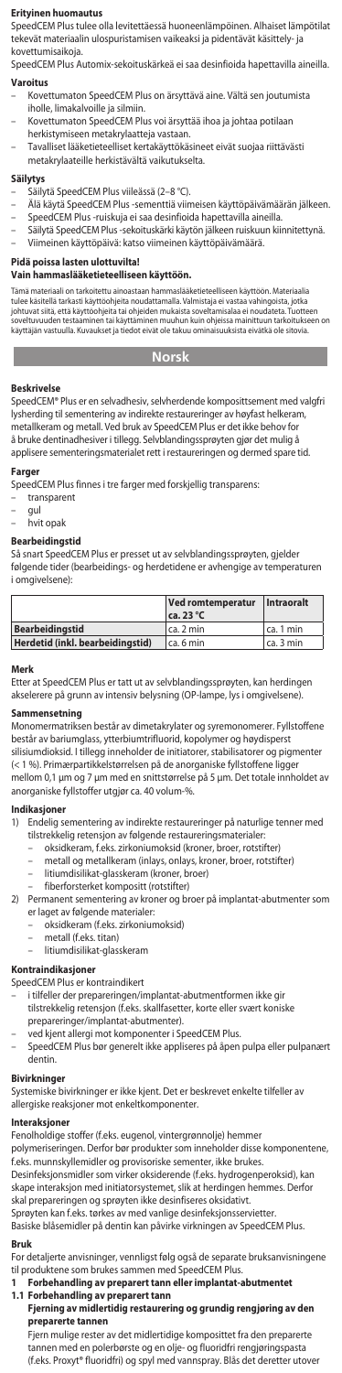### **Erityinen huomautus**

SpeedCEM Plus tulee olla levitettäessä huoneenlämpöinen. Alhaiset lämpötilat tekevät materiaalin ulospuristamisen vaikeaksi ja pidentävät käsittely- ja kovettumisaikoja.

SpeedCEM Plus Automix-sekoituskärkeä ei saa desinfioida hapettavilla aineilla.

# **Varoitus**

- Kovettumaton SpeedCEM Plus on ärsyttävä aine. Vältä sen joutumista iholle, limakalvoille ja silmiin.
- Kovettumaton SpeedCEM Plus voi ärsyttää ihoa ja johtaa potilaan herkistymiseen metakrylaatteja vastaan.
- Tavalliset lääketieteelliset kertakäyttökäsineet eivät suojaa riittävästi metakrylaateille herkistävältä vaikutukselta.

### **Säilytys**

- Säilytä SpeedCEM Plus viileässä (2–8 °C).
- Älä käytä SpeedCEM Plus -sementtiä viimeisen käyttöpäivämäärän jälkeen. SpeedCEM Plus -ruiskuja ei saa desinfioida hapettavilla aineilla. Säilytä SpeedCEM Plus -sekoituskärki käytön jälkeen ruiskuun kiinnitettynä.
- 
- Viimeinen käyttöpäivä: katso viimeinen käyttöpäivämäärä.

**Pidä poissa lasten ulottuvilta!**

# **Vain hammaslääketieteelliseen käyttöön.**

Tämä materiaali on tarkoitettu ainoastaan hammaslääketieteelliseen käyttöön. Materiaalia<br>tulee käsitellä tarkasti käyttööhjeita noudattamalla. Valmistaja ei vastaa vahingoista, jotka<br>johtuvat siitä, että käyttöohjeita tai soveltuvuuden testaaminen tai käyttäminen muuhun kuin ohjeissa mainittuun tarkoitukseen on käyttäjän vastuulla. Kuvaukset ja tiedot eivät ole takuu ominaisuuksista eivätkä ole sitovia.

# **Norsk**

# **Contract**

**Beskrivelse** SpeedCEM® Plus er en selvadhesiv, selvherdende komposittsement med valgfri lysherding til sementering av indirekte restaureringer av høyfast helkeram, metallkeram og metall. Ved bruk av SpeedCEM Plus er det ikke behov for å bruke dentinadhesiver i tillegg. Selvblandingssprøyten gjør det mulig å applisere sementeringsmaterialet rett i restaureringen og dermed spare tid.

## **Farger**

- SpeedCEM Plus finnes i tre farger med forskjellig transparens:
- transparent
- gul hvit opak
- 

# **Bearbeidingstid**

Så snart SpeedCEM Plus er presset ut av selvblandingssprøyten, gjelder følgende tider (bearbeidings- og herdetidene er avhengige av temperaturen i omgivelsene):

|                                  | Ved romtemperatur<br>$ca.23^{\circ}C$ | Intraoralt  |
|----------------------------------|---------------------------------------|-------------|
| <b>Bearbeidingstid</b>           | ca. 2 min                             | l ca. 1 min |
| Herdetid (inkl. bearbeidingstid) | l ca. 6 min                           | l ca. 3 min |

#### **Merk**

Etter at SpeedCEM Plus er tatt ut av selvblandingssprøyten, kan herdingen akselerere på grunn av intensiv belysning (OP-lampe, lys i omgivelsene).

## **Sammensetning**

Monomermatriksen består av dimetakrylater og syremonomerer. Fyllstoffene består av bariumglass, ytterbiumtrifluorid, kopolymer og høydisperst silisiumdioksid. I tillegg inneholder de initiatorer, stabilisatorer og pigmenter (< 1 %). Primærpartikkelstørrelsen på de anorganiske fyllstoffene ligger mellom 0,1 μm og 7 μm med en snittstørrelse på 5 μm. Det totale innholdet av anorganiske fyllstoffer utgjør ca. 40 volum-%.

# **Indikasjoner**

- 1) Endelig sementering av indirekte restaureringer på naturlige tenner med tilstrekkelig retensjon av følgende restaureringsmaterialer:
	-
	- oksidkeram, f.eks. zirkoniumoksid (kroner, broer, rotstifter) metall og metallkeram (inlays, onlays, kroner, broer, rotstifter)
	- litiumdisilikat-glasskeram (kroner, broer)
	- fiberforsterket kompositt (rotstifter)
- 2) Permanent sementering av kroner og broer på implantat-abutmenter som er laget av følgende materialer:
	- oksidkeram (f.eks. zirkoniumoksid)
	- metall (f.eks. titan)
	- litiumdisilikat-glasske

## **Kontraindikasjoner**

- SpeedCEM Plus er kontraindikert
	- i tilfeller der prepareringen/implantat-abutmentformen ikke gir tilstrekkelig retensjon (f.eks. skallfasetter, korte eller svært koniske
	- prepareringer/implantat-abutmenter).
	- ved kjent allergi mot komponenter i SpeedCEM Plus.
- SpeedCEM Plus bør generelt ikke appliseres på åpen pulpa eller pulpanæ dentin.

# **Bivirkninger**

Systemiske bivirkninger er ikke kjent. Det er beskrevet enkelte tilfeller av allergiske reaksjoner mot enkeltkomponenter.

# **Interaksjoner**

Fenolholdige stoffer (f.eks. eugenol, vintergrønnolje) hemmer polymeriseringen. Derfor bør produkter som inneholder disse komponentene, f.eks. munnskyllemidler og provisoriske sementer, ikke brukes.

Desinfeksjonsmidler som virker oksiderende (f.eks. hydrogenperoksid), kan skape interaksjon med initiatorsystemet, slik at herdingen hemmes. Derfor skal prepareringen og sprøyten ikke desinfiseres oksidativt.

Sprøyten kan f.eks. tørkes av med vanlige desinfeksjonsservietter. Basiske blåsemidler på dentin kan påvirke virkningen av SpeedCEM Plus.

Bruk<br>For detaljerte anvisninger, vennligst følg også de separate bruksanvisningene<br>til produktene som brukes sammen med SpeedCEM Plus.<br>1 **Forbehandling av preparert tann eller implantat-abutmentet<br>1.1 Forbehandling av prep** 

- 
- **preparerte tannen**

Fjern mulige rester av det midlertidige komposittet fra den preparerte tannen med en polerbørste og en olje- og fluoridfri rengjøringspasta (f.eks. Proxyt® fluoridfri) og spyl med vannspray. Blås det deretter utover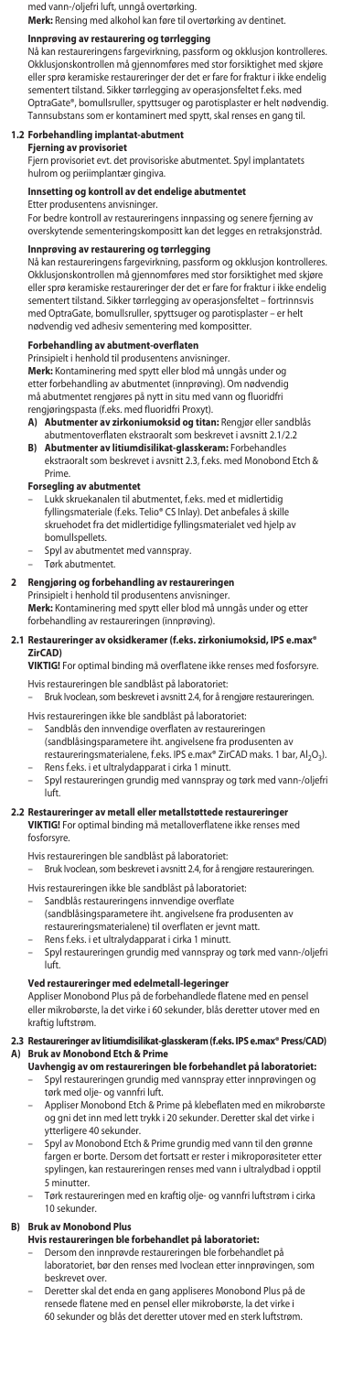med vann-/oljefri luft, unngå overtørking.

**Merk:** Rensing med alkohol kan føre til overtørking av dentinet.

**Innprøving av restaurering og tørrlegging**<br>Nå kan restaureringens fargevirkning, passform og okklusjon kontrolleres. Okklusjonskontrollen må gjennomføres med stor forsiktighet med skjøre eller sprø keramiske restaureringer der det er fare for fraktur i ikke endelig sementert tilstand. Sikker tørrlegging av operasjonsfeltet f.eks. med OptraGate®, bomullsruller, spyttsuger og parotisplaster er helt nødvendig. Tannsubstans som er kontaminert med spytt, skal renses en gang til.

# **1.2 Forbehandling implantat-abutment**

**Fjerning av provisoriet**

Fjern provisoriet evt. det provisoriske abutmentet. Spyl implantatets .<br>Im og periimplantær gingiva.

## **Innsetting og kontroll av det endelige abutmentet**

Etter produsentens anvisninger.

For bedre kontroll av restaureringens innpassing og senere fjerning av overskytende sementeringskompositt kan det legges en retraksjonstråd.

**Innprøving av restaurering og tørrlegging**<br>Nå kan restaureringens fargevirkning, passform og okklusjon kontrolleres. Okklusjonskontrollen må gjennomføres med stor forsiktighet med skjøre eller sprø keramiske restaureringer der det er fare for fraktur i ikke endelig sementert tilstand. Sikker tørrlegging av operasjonsfeltet – fortrinnsvis med OptraGate, bomullsruller, spyttsuger og parotisplaster – er helt nødvendig ved adhesiv sementering med kompositter.

# **Forbehandling av abutment-overflaten**

Prinsipielt i henhold til produsentens anvisninger. **Merk:** Kontaminering med spytt eller blod må unngås under og etter forbehandling av abutmentet (innprøving). Om nødvendi må abutmentet rengjøres på nytt in situ med vann og fluoridfri

- rengjøringspasta (f.eks. med fluoridfri Proxyt). **A) Abutmenter av zirkoniumoksid og titan:** Rengjør eller sandblås abutmentoverflaten ekstraoralt som beskrevet i avsnitt 2.1/2.2
- **B) Abutmenter av litiumdisilikat-glasskeram:** Forbehandles ekstraoralt som beskrevet i avsnitt 2.3, f.eks. med Monobond Etch & Prime.

**Forsegling av abutmentet** – Lukk skruekanalen til abutmentet, f.eks. med et midlertidig fyllingsmateriale (f.eks. Telio® CS Inlay). Det anbefales å skille skruehodet fra det midlertidige fyllingsmaterialet ved hjelp av bomullspellets.

- Spyl av abutmentet med vannspray.
- Tørk abutmentet.

# **2 Rengjøring og forbehandling av restaureringen**

Prinsipielt i henhold til produsentens anvisninger. **Merk:** Kontaminering med spytt eller blod må unngås under og etter forbehandling av restaureringen (innprøving).

#### **2.1 Restaureringer av oksidkeramer (f.eks. zirkoniumoksid, IPS e.max® ZirCAD)**

**VIKTIG!** For optimal binding må overflatene ikke renses med fosforsyre.

Hvis restaureringen ble sandblåst på laboratoriet: – Bruk Ivoclean, som beskrevet i avsnitt 2.4, for å rengjøre restaureringen.

Hvis restaureringen ikke ble sandblåst på laboratoriet:

- Sandblås den innvendige overflaten av restaureringen (sandblåsingsparametere iht. angivelsene fra produsenten av
- restaureringsmaterialene, f.eks. IPS e.max® ZirCAD maks. 1 bar, Al<sub>2</sub>O<sub>3</sub>). – Rens f.eks. i et ultralydapparat i cirka 1 minutt.
- Spyl restaureringen grundig med vannspray og tørk med vann-/oljefri luft.

# **2.2 Restaureringer av metall eller metallstøttede restaureringer**

**VIKTIG!** For optimal binding må metalloverflatene ikke renses med fosforsyre.

Hvis restaureringen ble sandblåst på laboratoriet:

– Bruk Ivoclean, som beskrevet i avsnitt 2.4, for å rengjøre restaureringen. Hvis restaureringen ikke ble sandblåst på laboratoriet:

- Sandblås restaureringens innvendige overflate
- (sandblåsingsparametere iht. angivelsene fra produsenten av restaureringsmaterialene) til overflaten er jevnt matt.
	- Rens f.eks. i et ultralydapparat i cirka 1 minutt.
- Spyl restaureringen grundig med vannspray og tørk med vann-/oljefri luft.

### **Ved restaureringer med edelmetall-legeringer**

Appliser Monobond Plus på de forbehandlede flatene med en pensel eller mikrobørste, la det virke i 60 sekunder, blås deretter utover med en kraftig luftstrøm.

- **2.3 Restaureringer av litiumdisilikat-glasskeram (f.eks. IPS e.max® Press/CAD) A) Bruk av Monobond Etch & Prime**
	- **Uavhengig av om restaureringen ble forbehandlet på laboratoriet:** – Spyl restaureringen grundig med vannspray etter innprøvingen og tørk med olje- og vannfri luft.
	- Appliser Monobond Etch & Prime på klebeflaten med en mikrobørste og gni det inn med lett trykk i 20 sekunder. Deretter skal det virke i ytterligere 40 sekunder.
	- Spyl av Monobond Etch & Prime grundig med vann til den grønne fargen er borte. Dersom det fortsatt er rester i mikroporøsiteter etter spylingen, kan restaureringen renses med vann i ultralydbad i opptil 5 minutter.
	- Tørk restaureringen med en kraftig olje- og vannfri luftstrøm i cirka 10 sekunder.

#### **B) Bruk av Monobond Plus**

- **Hvis restaureringen ble forbehandlet på laboratoriet:**
- Dersom den innprøvde restaureringen ble forbehandlet på laboratoriet, bør den renses med Ivoclean etter innprøvingen, som beskrevet over.
- Deretter skal det enda en gang appliseres Monobond Plus på de rensede flatene med en pensel eller mikrobørste, la det virke i 60 sekunder og blås det deretter utover med en sterk luftstrøm.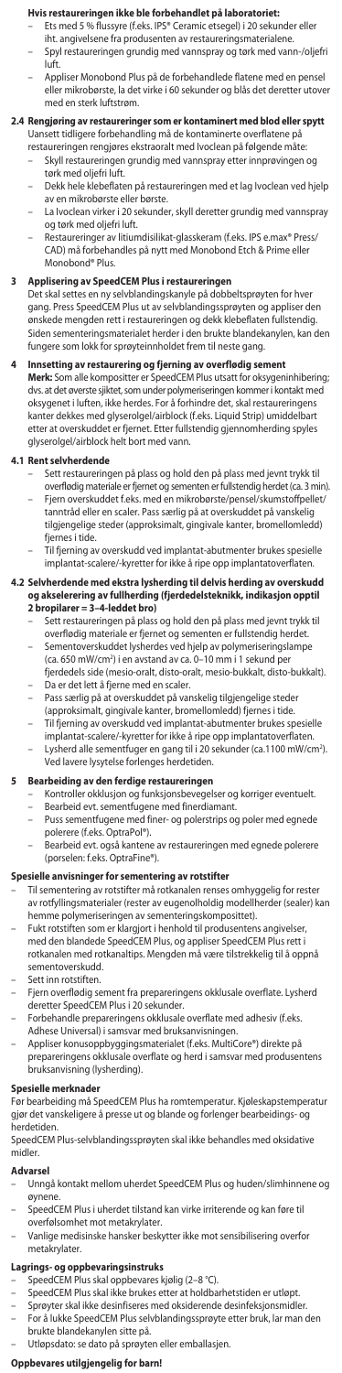# **Hvis restaureringen ikke ble forbehandlet på laboratoriet:**

- Ets med 5 % flussyre (f.eks. IPS® Ceramic etsegel) i 20 sekunder eller iht. angivelsene fra produsenten av restaureringsmaterialene. – Spyl restaureringen grundig med vannspray og tørk med vann-/oljefri
- luft.
- Appliser Monobond Plus på de forbehandlede flatene med en pensel eller mikrobørste, la det virke i 60 sekunder og blås det deretter utover med en sterk luftstrøm.

# **2.4 Rengjøring av restaureringer som er kontaminert med blod eller spytt** Uansett tidligere forbehandling må de kontaminerte overflatene på

- restaureringen rengjøres ekstraoralt med Ivoclean på følgende måte: – Skyll restaureringen grundig med vannspray etter innprøvingen og tørk med oljefri luft.
- Dekk hele klebeflaten på restaureringen med et lag Ivoclean ved hjelp
- av en mikrobørste eller børste. La Ivoclean virker i 20 sekunder, skyll deretter grundig med vannspray og tørk med oljefri luft.
- Restaureringer av litiumdisilikat-glasskeram (f.eks. IPS e.max® Press/ CAD) må forbehandles på nytt med Monobond Etch & Prime eller Monobond® Plus.

**3 Applisering av SpeedCEM Plus i restaureringen** Det skal settes en ny selvblandingskanyle på dobbeltsprøyten for hver gang. Press SpeedCEM Plus ut av selvblandingssprøyten og appliser den ønskede mengden rett i restaureringen og dekk klebeflaten fullstendig. Siden sementeringsmaterialet herder i den brukte blandekanylen, kan den fungere som lokk for sprøyteinnholdet frem til neste gang.

**4 Innsetting av restaurering og fjerning av overflødig sement**<br>Merk: Som alle kompositter er SpeedCEM Plus utsatt for oksygeninhibering;<br>dvs. at det øverste sjiktet, som under polymeriseringen kommer i kontakt med oksygenet i luften, ikke herdes. For å forhindre det, skal restaureringens er dekkes med glyserolgel/airblock (f.eks. Liquid Strip) umiddelbart etter at overskuddet er fjernet. Etter fullstendig gjennomherding spyles glyserolgel/airblock helt bort med vann.

### **4.1 Rent selvherdende**

- 
- Sett restaureringen på plass og hold den på plass med jevnt trykk til overflødig materiale er fjernet og sementen er fullstendig herdet (ca. 3 min). Fjern overskuddet f.eks. med en mikrobørste/pensel/skumstoffpellet/ tanntråd eller en scaler. Pass særlig på at overskuddet på vanskelig tilgjengelige steder (approksimalt, gingivale kanter, bromellomledd) fjernes i tide.
- Til fjerning av overskudd ved implantat-abutmenter brukes spesielle implantat-scalere/-kyretter for ikke å ripe opp implantatoverflaten.
- **4.2 Selvherdende med ekstra lysherding til delvis herding av overskudd og akselerering av fullherding (fjerdedelsteknikk, indikasjon opptil** 
	- **2 bropilarer = 3–4-leddet bro)**<br>– Sett restaureringen på plass og hold den på plass med jevnt trykk til overflødig materiale er fjernet og sementen er fullstendig herdet.
	- Sementoverskuddet lysherdes ved hjelp av polymeriseringslampe (ca. 650 mW/cm2 ) i en avstand av ca. 0–10 mm i 1 sekund per fjerdedels side (mesio-oralt, disto-oralt, mesio-bukkalt, disto-bukkalt). – Da er det lett å fjerne med en scaler.
	- Pass særlig på at overskuddet på vanskelig tilgjengelige steder
	- (approksimalt, gingivale kanter, bromellomledd) fjernes i tide.
	- Til fjerning av overskudd ved implantat-abutmenter brukes spesielle implantat-scalere/-kyretter for ikke å ripe opp implantatoverflaten.
	- Lysherd alle sementfuger en gang til i 20 sekunder (ca.1100 mW/cm2 ). Ved lavere lysytelse forlenges herdetiden.

### **5 Bearbeiding av den ferdige restaureringen**

- Kontroller okklusjon og funksjonsbevegelser og korriger eventuelt.
- Bearbeid evt. sementfugene med finerdiamant. Puss sementfugene med finer- og polerstrips og poler med egnede polerere (f.eks. OptraPol®).
- Bearbeid evt. også kantene av restaureringen med egnede polerere (porselen: f.eks. OptraFine®).

### **Spesielle anvisninger for sementering av rotstifter**

- Til sementering av rotstifter må rotkanalen renses omhyggelig for rester av rotfyllingsmaterialer (rester av eugenolholdig modellherder (sealer) kan hemme polymeriseringen av sementeringskomposittet).
- Fukt rotstiften som er klargjort i henhold til produsentens angivelser, med den blandede SpeedCEM Plus, og appliser SpeedCEM Plus rett i rotkanalen med rotkanaltips. Mengden må være tilstrekkelig til å oppnå sementoverskudd.
- Sett inn rotstiften.
- Fjern overflødig sement fra prepareringens okklusale overflate. Lysherd deretter SpeedCEM Plus i 20 sekunder.
- Forbehandle prepareringens okklusale overflate med adhesiv (f.eks. Adhese Universal) i samsvar med bruksanvisningen.
- Appliser konusoppbyggingsmaterialet (f.eks. MultiCore®) direkte på prepareringens okklusale overflate og herd i samsvar med produsentens bruksanvisning (lysherding).

**Spesielle merknader** Før bearbeiding må SpeedCEM Plus ha romtemperatur. Kjøleskapstemperatur gjør det vanskeligere å presse ut og blande og forlenger bearbeidings- og herdetider

SpeedCEM Plus-selvblandingssprøyten skal ikke behandles med oksidative .<br>Mer

## **Advarsel**

- Unngå kontakt mellom uherdet SpeedCEM Plus og huden/slimhinnene og øynene.
- SpeedCEM Plus i uherdet tilstand kan virke irriterende og kan føre til overfølsomhet mot metakrylater.
- Vanlige medisinske hansker beskytter ikke mot sensibilisering overfor metakrylater.

### **Lagrings- og oppbevaringsinstruks**

- SpeedCEM Plus skal oppbevares kjølig (2–8 °C).
- 
- SpeedCEM Plus skal ikke brukes etter at holdbarhetstiden er utløpt. Sprøyter skal ikke desinfiseres med oksiderende desinfeksjonsmidler.
- For å lukke SpeedCEM Plus selvblandingssprøyte etter bruk, lar man den brukte blandekanylen sitte på.
- Utløpsdato: se dato på sprøyten eller emballasjen.

# **Oppbevares utilgjengelig for barn!**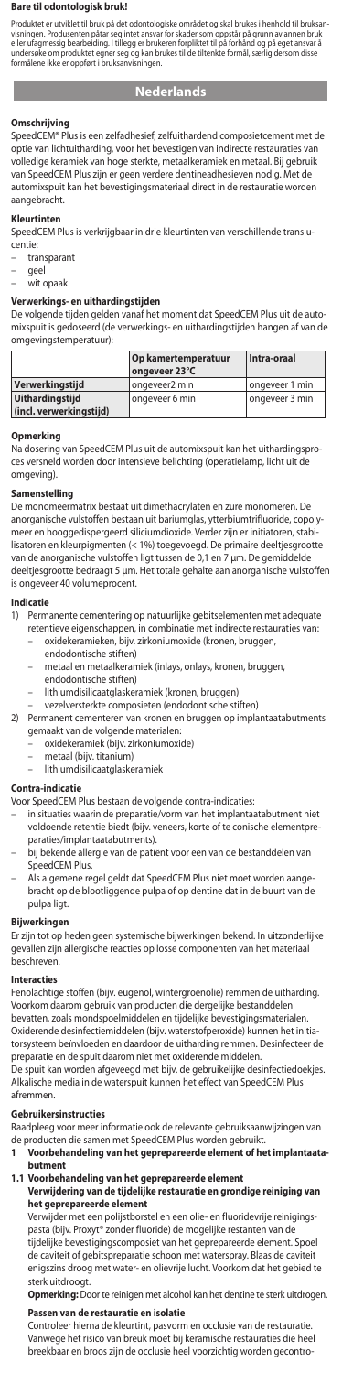### **Bare til odontologisk bruk!**

Produktet er utviklet til bruk på det odontologiske området og skal brukes i henhold til bruksan-<br>visningen. Produsenten påtar seg intet ansvar for skader som oppstår på grunn av annen bruk<br>eller ufagmessig bearbeiding. I einer uragmissig bearbeiding. I tillegg er brukeren forpliktet til på fornand og på eget ansva<br>indersøke om produktet egner seg og kan brukes til de tiltenkte formål, særlig dersom diss<br>formålene ikke er oppført i bruksanv sig bearbeiding.<br>h produktet egner<br>e er oppført i bruk

# **Nederlands**

#### **Omschrijving**

SpeedCEM® Plus is een zelfadhesief, zelfuithardend composietcement met de optie van lichtuitharding, voor het bevestigen van indirecte restauraties van volledige keramiek van hoge sterkte, metaalkeramiek en metaal. Bij gebruik van SpeedCEM Plus zijn er geen verdere dentineadhesieven nodig. Met de automixspuit kan het bevestigingsmateriaal direct in de restauratie word aangebracht.

#### **Kleurtinten**

SpeedCEM Plus is verkrijgbaar in drie kleurtinten van verschillende translucentie:

- transparant
- geel
- –<br>wit opaak

### **Verwerkings- en uithardingstijden**

De volgende tijden gelden vanaf het moment dat SpeedCEM Plus uit de auto-mixspuit is gedoseerd (de verwerkings- en uithardingstijden hangen af van de omgevingstemperatuur):

|                         | Op kamertemperatuur<br>ongeveer 23°C | Intra-oraal    |
|-------------------------|--------------------------------------|----------------|
| Verwerkinastiid         | ongeveer <sub>2</sub> min            | ongeveer 1 min |
| <b>Uithardingstiid</b>  | l ongeveer 6 min                     | ongeveer 3 min |
| (incl. verwerkingstiid) |                                      |                |

**Opmerking** Na dosering van SpeedCEM Plus uit de automixspuit kan het uithardingsproces versneld worden door intensieve belichting (operatielamp, licht uit de omgeving).

# **Samenstelling**

De monomeermatrix bestaat uit dimethacrylaten en zure monomeren. De anorganische vulstoffen bestaan uit bariumglas, ytterbiumtrifluoride, copoly-meer en hooggedispergeerd siliciumdioxide. Verder zijn er initiatoren, stabilisatoren en kleurpigmenten (< 1%) toegevoegd. De primaire deeltjesgrootte van de anorganische vulstoffen ligt tussen de 0,1 en 7 µm. De gemiddelde deeltjesgrootte bedraagt 5 µm. Het totale gehalte aan anorganische vulstoffen is ongeveer 40 volumeprocent.

# **Indicatie**

- 1) Permanente cementering op natuurlijke gebitselementen met adequate retentieve eigenschappen, in combinatie met indirecte restauraties van:
	- oxidekeramieken, bijv. zirkoniumoxide (kronen, bruggen, endodontische stiften)
	- metaal en metaalkeramiek (inlays, onlays, kronen, bruggen,
	- endodontische stiften)
	- lithiumdisilicaatglaskeramiek (kronen, bruggen)
- vezelversterkte composieten (endodontische stiften) 2) Permanent cementeren van kronen en bruggen op implantaatabutments gemaakt van de volgende materialen:
	- oxidekeramiek (bijv. zirkoniumoxide)
	- metaal (bijv. titanium)
	- lithiumdisilicaatglaskeramiek

#### **Contra-indicatie**

Voor SpeedCEM Plus bestaan de volgende contra-indicaties: .<br>'vorm van het implantaatabutment niet voldoende retentie biedt (bijv. veneers, korte of te conische elementpreparaties/implantaatabutments).

- bij bekende allergie van de patiënt voor een van de bestanddelen van SpeedCEM Plus.
- Als algemene regel geldt dat SpeedCEM Plus niet moet worden aangebracht op de blootliggende pulpa of op dentine dat in de buurt van de pulpa ligt.

### **Bijwerkingen**

Er zijn tot op heden geen systemische bijwerkingen bekend. In uitzonderlijke gevallen zijn allergische reacties op losse componenten van het materiaal beschreven.

#### **Interacties**

Fenolachtige stoffen (bijv. eugenol, wintergroenolie) remmen de uitharding. Voorkom daarom gebruik van producten die dergelijke bestanddelen bevatten, zoals mondspoelmiddelen en tijdelijke bevestigingsmaterialen. Oxiderende desinfectiemiddelen (bijv. waterstofperoxide) kunnen het initiatorsysteem beïnvloeden en daardoor de uitharding remmen. Desinfecteer de preparatie en de spuit daarom niet met oxiderende middelen. De spuit kan worden afgeveegd met bijv. de gebruikelijke desinfectiedoekjes. Alkalische media in de waterspuit kunnen het effect van SpeedCEM Plus afremmen.

#### **Gebruikersinstructies**

- Raadpleeg voor meer informatie ook de relevante gebruiksaanwijzingen van de producten die samen met SpeedCEM Plus worden gebruikt. **1 Voorbehandeling van het geprepareerde element of het implantaata-**
- **butment**
- **1.1 Voorbehandeling van het geprepareerde element Verwijdering van de tijdelijke restauratie en grondige reiniging van het geprepareerde element**

Verwijder met een polijstborstel en een olie- en fluoridevrije reinigingspasta (bijv. Proxyt® zonder fluoride) de mogelijke restanten van de tijdelijke bevestigingscomposiet van het geprepareerde element. Spoel de caviteit of gebitspreparatie schoon met waterspray. Blaas de caviteit enigszins droog met water- en olievrije lucht. Voorkom dat het gebied te sterk uitdroogt.

**Opmerking:** Door te reinigen met alcohol kan het dentine te sterk uitdrogen.

#### **Passen van de restauratie en isolatie**

Controleer hierna de kleurtint, pasvorm en occlusie van de restauratie. Vanwege het risico van breuk moet bij keramische restauraties die heel breekbaar en broos zijn de occlusie heel voorzichtig worden gecontro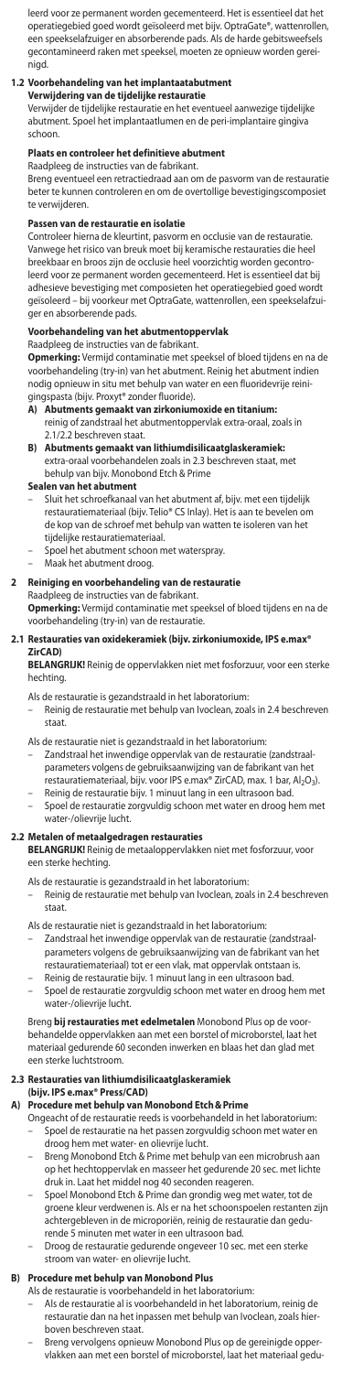leerd voor ze permanent worden gecementeerd. Het is essentieel dat het operatiegebied goed wordt geïsoleerd met bijv. OptraGate®, wattenrollen, een speekselafzuiger en absorberende pads. Als de harde gebitsweefsels gecontamineerd raken met speeksel, moeten ze opnieuw worden gereinigd.

**1.2 Voorbehandeling van het implantaatabutment Verwijdering van de tijdelijke restauratie**

Verwijder de tijdelijke restauratie en het eventueel aanwezige tijdelijke abutment. Spoel het implantaatlumen en de peri-implantaire gingiva schoon.

### **Plaats en controleer het definitieve abutment**

Raadpleeg de instructies van de fabrikant. Breng eventueel een retractiedraad aan om de pasvorm van de restauratie beter te kunnen controleren en om de overtollige bevestigingscomposiet te verwijderen.

### **Passen van de restauratie en isolatie**

Controleer hierna de kleurtint, pasvorm en occlusie van de restauratie. Vanwege het risico van breuk moet bij keramische restauraties die heel breekbaar en broos zijn de occlusie heel voorzichtig worden gecontroleerd voor ze permanent worden gecementeerd. Het is essentieel dat bij adhesieve bevestiging met composieten het operatiegebied goed wordt geïsoleerd – bij voorkeur met OptraGate, wattenrollen, een speekselafzuiger en absorberende pads.

# **Voorbehandeling van het abutmentoppervlak** Raadpleeg de instructies van de fabrikant.

**Opmerking:** Vermijd contaminatie met speeksel of bloed tijdens en na de voorbehandeling (try-in) van het abutment. Reinig het abutment indien nodig opnieuw in situ met behulp van water en een fluoridevrije reinigingspasta (bijv. Proxyt® zonder fluoride).

- **A) Abutments gemaakt van zirkoniumoxide en titanium:** reinig of zandstraal het abutmentoppervlak extra-oraal, zoals in 2.1/2.2 beschreven staat.
- **B) Abutments gemaakt van lithiumdisilicaatglaskeramiek:** extra-oraal voorbehandelen zoals in 2.3 beschreven staat, met behulp van bijv. Monobond Etch & Prime

#### **Sealen van het abutment**

- Sluit het schroefkanaal van het abutment af, bijv. met een tijdelijk restauratiemateriaal (bijv. Telio® CS Inlay). Het is aan te bevelen o de kop van de schroef met behulp van watten te isoleren van het tijdelijke restauratiemateriaal.
- Spoel het abutment schoon met waterspray.
- Maak het abutment droog.

# **2 Reiniging en voorbehandeling van de restauratie** Raadpleeg de instructies van de fabrikant.

**Opmerking:** Vermijd contaminatie met speeksel of bloed tijdens en na de<br>voorbehandeling (try-in) van de restauratie.

#### **2.1 Restauraties van oxidekeramiek (bijv. zirkoniumoxide, IPS e.max® ZirCAD)**

**BELANGRIJK!** Reinig de oppervlakken niet met fosforzuur, voor een sterke hechting.

- 
- Als de restauratie is gezandstraald in het laboratorium: Reinig de restauratie met behulp van Ivoclean, zoals in 2.4 beschreven staat.
- Als de restauratie niet is gezandstraald in het laboratorium: Zandstraal het inwendige oppervlak van de restauratie (zandstraalparameters volgens de gebruiksaanwijzing van de fabrikant van het
- restauratiemateriaal, bijv. voor IPS e.max® ZirCAD, max. 1 bar, Al<sub>2</sub>O<sub>3</sub>).<br>– Reinig de restauratie bijv. 1 minuut lang in een ultrasoon bad.
- Spoel de restauratie zorgvuldig schoon met water en droog hem met water-/olievrije lucht.

### **2.2 Metalen of metaalgedragen restauraties**

**BELANGRIJK!** Reinig de metaaloppervlakken niet met fosforzuur, voor een sterke hechting.

Als de restauratie is gezandstraald in het laboratorium:

– Reinig de restauratie met behulp van Ivoclean, zoals in 2.4 beschreven staat.

Als de restauratie niet is gezandstraald in het laboratorium:

- Zandstraal het inwendige oppervlak van de restauratie (zandstraalparameters volgens de gebruiksaanwijzing van de fabrikant van het restauratiemateriaal) tot er een vlak, mat oppervlak ontstaan is.
- Reinig de restauratie bijv. 1 minuut lang in een ultrasoon bad.
- Spoel de restauratie zorgvuldig schoon met water en droog hem met water-/olievrije lucht.

Breng **bij restauraties met edelmetalen** Monobond Plus op de voorbehandelde oppervlakken aan met een borstel of microborstel, laat het materiaal gedurende 60 seconden inwerken en blaas het dan glad met een sterke luchtstroom.

## **2.3 Restauraties van lithiumdisilicaatglaskeramiek**

**(bijv. IPS e.max® Press/CAD)**

# **A) Procedure met behulp van Monobond Etch&Prime**

- Ongeacht of de restauratie reeds is voorbehandeld in het laboratorium: – Spoel de restauratie na het passen zorgvuldig schoon met water en droog hem met water- en olievrije lucht.
- Breng Monobond Etch & Prime met behulp van een microbrush aan op het hechtoppervlak en masseer het gedurende 20 sec. met lichte druk in. Laat het middel nog 40 seconden reageren.
- Spoel Monobond Etch & Prime dan grondig weg met water, tot de groene kleur verdwenen is. Als er na het schoonspoelen restanten zijn achtergebleven in de microporiën, reinig de restauratie dan gedu-
- rende 5 minuten met water in een ultrasoon bad. Droog de restauratie gedurende ongeveer 10 sec. met een sterke stroom van water- en olievrije lucht.

**B) Procedure met behulp van Monobond Plus** Als de restauratie is voorbehandeld in het laboratorium:

- Als de restauratie al is voorbehandeld in het laboratorium, reinig de restauratie dan na het inpassen met behulp van Ivoclean, zoals hierboven beschreven staat.
- Breng vervolgens opnieuw Monobond Plus op de gereinigde opper-vlakken aan met een borstel of microborstel, laat het materiaal gedu-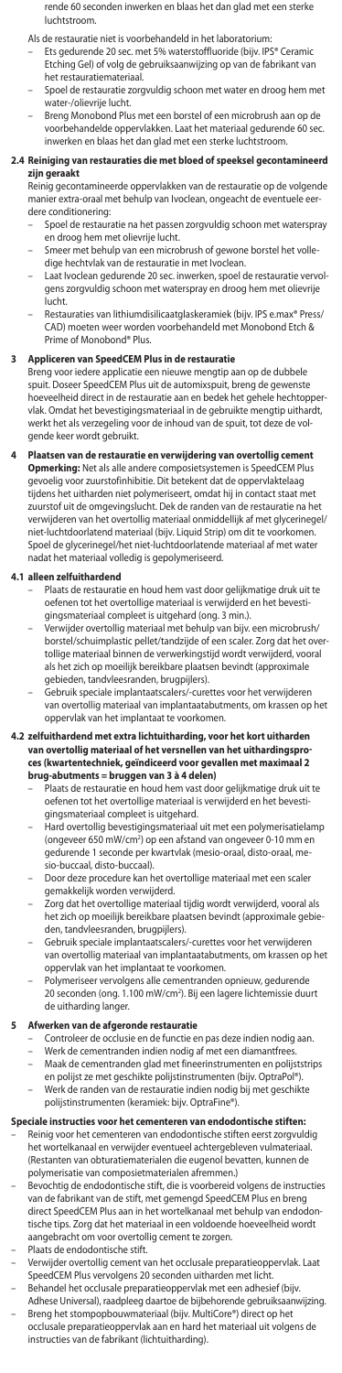- rende 60 seconden inwerken en blaas het dan glad met een sterke luchtstroom.
- 
- Als de restauratie niet is voorbehandeld in het laboratorium: Ets gedurende 20 sec. met 5% waterstoffluoride (bijv. IPS® Ceramic Etching Gel) of volg de gebruiksaanwijzing op van de fabrikant van het restauratiemateriaal.
- Spoel de restauratie zorgvuldig schoon met water en droog hem met water-/olievrije lucht.
- Breng Monobond Plus met een borstel of een microbrush aan op de voorbehandelde oppervlakken. Laat het materiaal gedurende 60 sec. inwerken en blaas het dan glad met een sterke luchtstroom.

# **2.4 Reiniging van restauraties die met bloed of speeksel gecontamineerd zijn gera**

Reinig gecontamineerde oppervlakken van de restauratie op de volgende manier extra-oraal met behulp van Ivoclean, ongeacht de eventuele eerdere conditionering:

- Spoel de restauratie na het passen zorgvuldig schoon met waterspray en droog hem met olievrije lucht.
- Smeer met behulp van een microbrush of gewone borstel het volledige hechtvlak van de restauratie in met Ivoclean.
- Laat Ivoclean gedurende 20 sec. inwerken, spoel de restauratie vervolgens zorgvuldig schoon met waterspray en droog hem met olievrije lucht
- Restauraties van lithiumdisilicaatglaskeramiek (bijv. IPS e.max® Press/ CAD) moeten weer worden voorbehandeld met Monobond Etch & Prime of Monobond® Plus.

**3 Appliceren van SpeedCEM Plus in de restauratie** Breng voor iedere applicatie een nieuwe mengtip aan op de dubbele spuit. Doseer SpeedCEM Plus uit de automixspuit, breng de gewenste hoeveelheid direct in de restauratie aan en bedek het gehele hechtopp vlak. Omdat het bevestigingsmateriaal in de gebruikte mengtip uithardt, werkt het als verzegeling voor de inhoud van de spuit, tot deze de volgende keer wordt gebruikt.

#### **4 Plaatsen van de restauratie en verwijdering van overtollig cement Opmerking:** Net als alle andere composietsystemen is SpeedCEM Plus

gevoelig voor zuurstofinhibitie. Dit betekent dat de oppervlaktelaag .<br>het uitharden niet polymeriseert, omdat hij in contact staat met zuurstof uit de omgevingslucht. Dek de randen van de restauratie na het verwijderen van het overtollig materiaal onmiddellijk af met glycerinegel/ niet-luchtdoorlatend materiaal (bijv. Liquid Strip) om dit te voorkomen. Spoel de glycerinegel/het niet-luchtdoorlatende materiaal af met water nadat het materiaal volledig is gepolymeriseerd.

### **4.1 alleen zelfuithardend**

- Plaats de restauratie en houd hem vast door gelijkmatige druk uit te oefenen tot het overtollige materiaal is verwijderd en het bevesti-gingsmateriaal compleet is uitgehard (ong. 3 min.).
- Verwijder overtollig materiaal met behulp van bijv. een microbrush/ borstel/schuimplastic pellet/tandzijde of een scaler. Zorg dat het overtollige materiaal binnen de verwerkingstijd wordt verwijderd, vooral als het zich op moeilijk bereikbare plaatsen bevindt (approximale
- gebieden, tandvleesranden, brugpijlers). Gebruik speciale implantaatscalers/-curettes voor het verwijderen van overtollig materiaal van implantaatabutments, om krassen op het oppervlak van het implantaat te voorkomen.

# **4.2 zelfuithardend met extra lichtuitharding, voor het kort uitharden van overtollig materiaal of het versnellen van het uithardingsproces (kwartentechniek, geïndiceerd voor gevallen met maximaal 2<br><b>brug-abutments = bruggen van 3 à 4 delen)**<br>– Plaats de restauratie en houd hem vast door gelijkmatige druk uit te

- oefenen tot het overtollige materiaal is verwijderd en het bevestigingsmateriaal compleet is uitgehard.
- Hard overtollig bevestigingsmateriaal uit met een polymerisatielamp (ongeveer 650 mW/cm2 ) op een afstand van ongeveer 0-10 mm en gedurende 1 seconde per kwartvlak (mesio-oraal, disto-oraal, mesio-buccaal, disto-buccaal).
- Door deze procedure kan het overtollige materiaal met e gemakkelijk worden verwijderd.
- Zorg dat het overtollige materiaal tijdig wordt verwijderd, vooral als het zich op moeilijk bereikbare plaatsen bevindt (approximale gebieden, tandvleesranden, brugpijlers).
- Gebruik speciale implantaatscalers/-curettes voor het verwijderen van overtollig materiaal van implantaatabutments, om krassen op het oppervlak van het implantaat te voorkomen.
- Polymeriseer vervolgens alle cementranden opnieuw, gedurende 20 seconden (ong. 1.100 mW/cm2 ). Bij een lagere lichtemissie duurt de uitharding langer.

### **5 Afwerken van de afgeronde restauratie**

- Controleer de occlusie en de functie en pas deze indien nodig aan. Werk de cementranden indien nodig af met een diamantfrees.
- Maak de cementranden glad met fineerinstrumenten en polijststrips
- en polijst ze met geschikte polijstinstrumenten (bijv. OptraPol®). – Werk de randen van de restauratie indien nodig bij met geschikte
- polijstinstrumenten (keramiek: bijv. OptraFine®).
- **Speciale instructies voor het cementeren van endodontische stiften:** – Reinig voor het cementeren van endodontische stiften eerst zorgvuldig het wortelkanaal en verwijder eventueel achtergebleven vulmateriaal. (Restanten van obturatiematerialen die eugenol bevatten, kunnen de polymerisatie van composietmaterialen afremmen.)
- Bevochtig de endodontische stift, die is voorbereid volgens de instructies van de fabrikant van de stift, met gemengd SpeedCEM Plus en breng direct SpeedCEM Plus aan in het wortelkanaal met behulp van endodon-tische tips. Zorg dat het materiaal in een voldoende hoeveelheid wordt aangebracht om voor overtollig cement te zorgen.
- Plaats de endodontische stift.
- Verwijder overtollig cement van het occlusale preparatieoppervlak. La
- SpeedCEM Plus vervolgens 20 seconden uitharden met licht. Behandel het occlusale preparatieoppervlak met een adhesief (bijv. Adhese Universal), raadpleeg daartoe de bijbehorende gebruiksaanwijzing.
- Breng het stompopbouwmateriaal (bijv. MultiCore®) direct op het occlusale preparatieoppervlak aan en hard het materiaal uit volge occlusale preparatieoppervlak aan en hard het materiaal uit volgens de instructies van de fabrikant (lichtuitharding).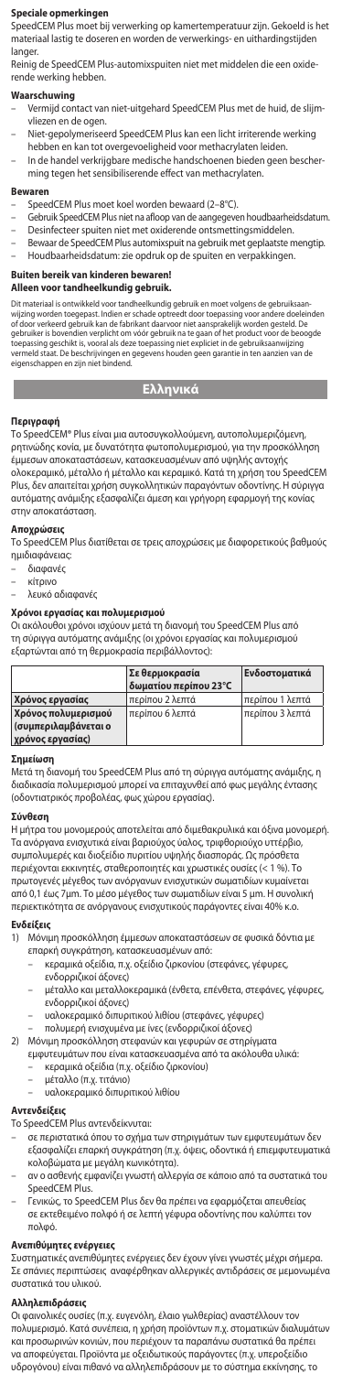## **Speciale opmerkingen**

SpeedCEM Plus moet bij verwerking op kamertemperatuur zijn. Gekoeld is het materiaal lastig te doseren en worden de verwerkings- en uithardingstijden langer.

Reinig de SpeedCEM Plus-automixspuiten niet met middelen die een oxiderende werking hebben.

# **Waarschuwing**

- Vermijd contact van niet-uitgehard SpeedCEM Plus met de huid, de slijmvliezen en de ogen.
- Niet-gepolymeriseerd SpeedCEM Plus kan een licht irriterende werking hebben en kan tot overgevoeligheid voor methacrylaten leiden.
- In de handel verkrijgbare medische handschoenen bieden geen bescherming tegen het sensibiliserende effect van methacrylaten.

## **Bewaren**

- 
- SpeedCEM Plus moet koel worden bewaard (2–8°C). Gebruik SpeedCEM Plus niet na afloop van de aangegeven houdbaarheidsdatum. – Desinfecteer spuiten niet met oxiderende ontsmettingsmiddelen.
- Bewaar de SpeedCEM Plus automixspuit na gebruik met geplaatste mengtip.
- Houdbaarheidsdatum: zie opdruk op de spuiten en verpakkingen.

# **Buiten bereik van kinderen bewaren!**

# **Alleen voor tandheelkundig gebruik.**

Dit materiaal is ontwikkeld voor tandheelkundig gebruik en moet volgens de gebruiksaan-<br>viiging worden toegepast. Indien er schade optreedt door toepassing voor andere doeleinden<br>of door verkeerd gebruik kan de fabrikant d

**Ελληνικά**

**Περιγραφή** Το SpeedCEM® Plus είναι μια αυτοσυγκολλούμενη, αυτοπολυμεριζόμενη, ρητινώδης κονία, με δυνατότητα φωτοπολυμερισμού, για την προσκόλληση έμμεσων αποκαταστάσεων, κατασκευασμένων από υψηλής αντοχής ολοκεραμικό, μέταλλο ή μέταλλο και κεραμικό. Κατά τη χρήση του SpeedCEM Plus, δεν απαιτείται χρήση συγκολλητικών παραγόντων οδοντίνης. Η σύριγγα αυτόματης ανάμιξης εξασφαλίζει άμεση και γρήγορη εφαρμογή της κονίας στην αποκατάσταση.

#### **Αποχρώσεις**

Το SpeedCEM Plus διατίθεται σε τρεις αποχρώσεις με διαφορετικούς βαθμούς ημιδιαφάνειας:

- διαφανές
- κίτρινο
- λευκό αδιαφανές

### **Χρόνοι εργασίας και πολυμερισμού**

Οι ακόλουθοι χρόνοι ισχύουν μετά τη διανομή του SpeedCEM Plus από τη σύριγγα αυτόματης ανάμιξης (οι χρόνοι εργασίας και πολυμερισμού εξαρτώνται από τη θερμοκρασία περιβάλλοντος):

|                      | Σε θερμοκρασία<br>δωματίου περίπου 23°C | Ενδοστοματικά   |
|----------------------|-----------------------------------------|-----------------|
| Χρόνος εργασίας      | περίπου 2 λεπτά                         | περίπου 1 λεπτά |
| Χρόνος πολυμερισμού  | περίπου 6 λεπτά                         | περίπου 3 λεπτά |
| (συμπεριλαμβάνεται ο |                                         |                 |
| χρόνος εργασίας)     |                                         |                 |

#### **Σημείωση**

Μετά τη διανομή του SpeedCEM Plus από τη σύριγγα αυτόματης ανάμιξης, η διαδικασία πολυμερισμού μπορεί να επιταχυνθεί από φως μεγάλης έντασης (οδοντιατρικός προβολέας, φως χώρου εργασίας).

# **Σύνθεση**

Η μήτρα του μονομερούς αποτελείται από διμεθακρυλικά και όξινα μονομερή. Τα ανόργανα ενισχυτικά είναι βαριούχος ύαλος, τριφθοριούχο υττέρβιο,<br>συμπολυμερές και διοξείδιο πυριτίου υψηλής διασποράς. Ως πρόσθετα περιέχονται εκκινητές, σταθεροποιητές και χρωστικές ουσίες (< 1 %). Το πρωτογενές μέγεθος των ανόργανων ενισχυτικών σωματιδίων κυμαίνεται από 0,1 έως 7μm. Το μέσο μέγεθος των σωματιδίων είναι 5 μm. Η συνολική περιεκτικότητα σε ανόργανους ενισχυτικούς παράγοντες είναι 40% κ.ο.

### **Ενδείξεις**

- 1) Μόνιμη προσκόλληση έμμεσων αποκαταστάσεων σε φυσικά δόντια με επαρκή συγκράτηση, κατασκευασμένων από:
	- κεραμικά οξείδια, π.χ. οξείδιο ζιρκονίου (στεφάνες, γέφυρες,
	- ενδορριζικοί άξονες) – μέταλλο και μεταλλοκεραμικά (ένθετα, επένθετα, στεφάνες, γέφυρες,
	- ενδορριζικοί άξονες) – υαλοκεραμικό διπυριτικού λιθίου (στεφάνες, γέφυρες)
	- πολυμερή ενισχυμένα με ίνες (ενδορριζικοί άξονες)
- 
- 2) Μόνιμη προσκόλληση στεφανών και γεφυρών σε στηρίγματα εμφυτευμάτων που είναι κατασκευασμένα από τα ακόλουθα υλικά:
	- κεραμικά οξείδια (π.χ. οξείδιο ζιρκονίου)
		-
		- μέταλλο (π.χ. τιτάνιο) υαλοκεραμικό διπυριτικού λιθίου

### **Αντενδείξεις**

Το SpeedCEM Plus αντενδείκνυται:

- σε περιστατικά όπου το σχήμα των στηριγμάτων των εμφυτευμάτων δεν εξασφαλίζει επαρκή συγκράτηση (π.χ. όψεις, οδοντικά ή επιεμφυτευματικά κολοβώματα με μεγάλη κωνικότητα).
- αν ο ασθενής εμφανίζει γνωστή αλλεργία σε κάποιο από τα συστατικά του SpeedCEM Plus.
- Γενικώς, το SpeedCEM Plus δεν θα πρέπει να εφαρμόζεται απευθείας σε εκτεθειμένο πολφό ή σε λεπτή γέφυρα οδοντίνης που καλύπτει τον πολφό.

**Ανεπιθύμητες ενέργειες**  Συστηματικές ανεπιθύμητες ενέργειες δεν έχουν γίνει γνωστές μέχρι σήμερα. Σε σπάνιες περιπτώσεις αναφέρθηκαν αλλεργικές αντιδράσεις σε μεμονωμένα συστατικά του υλικού.

# **Αλληλεπιδράσεις**

Οι φαινολικές ουσίες (π.χ. ευγενόλη, έλαιο γωλθερίας) αναστέλλουν τον πολυμερισμό. Κατά συνέπεια, η χρήση προϊόντων π.χ. στοματικών διαλυμάτων και προσωρινών κονιών, που περιέχουν τα παραπάνω συστατικά θα πρέπει να αποφεύγεται. Προϊόντα με οξειδωτικούς παράγοντες (π.χ. υπεροξείδιο υδρογόνου) είναι πιθανό να αλληλεπιδράσουν με το σύστημα εκκίνησης, τ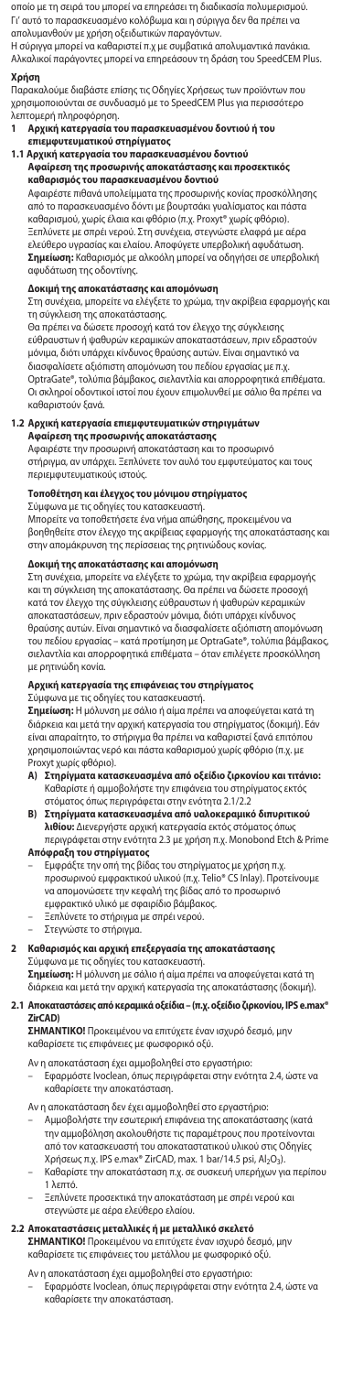οποίο με τη σειρά του μπορεί να επηρεάσει τη διαδικασία πολυμερισμού. Γι' αυτό το παρασκευασμένο κολόβωμα και η σύριγγα δεν θα πρέπει να απολυμανθούν με χρήση οξειδωτικών παραγόντων. Η σύριγγα μπορεί να καθαριστεί π.χ με συμβατικά απολυμαντικά πανάκια.

Αλκαλικοί παράγοντες μπορεί να επηρεάσουν τη δράση του SpeedCEM Plus.

# **Χρήση**

Παρακαλούμε διαβάστε επίσης τις Οδηγίες Χρήσεως των προϊόντων που χρησιμοποιούνται σε συνδυασμό με το SpeedCEM Plus για περισσότερο

- λεπτομερή πληροφόρηση.<br>1 **Αονική κατεονασία τ** - <sub>Ρερματική κατεργασία του παρασκευασμένου δοντιού ή το<br>**Αρχική κατεργασία του παρασκευασμένου** δοντιού ή το<br>επιεμφυτευματικού στηρίγματος</sub>
- 
- **επιεμφυτευματικού στηρίγματος 1.1 Αρχική κατεργασία του παρασκευασμένου δοντιού**
	- **Αφαίρεση της προσωρινής αποκατάστασης και προσεκτικός καθαρισμός του παρασκευασμένου δοντιού**

Αφαιρέστε πιθανά υπολείμματα της προσωρινής κονίας προσκόλλησης από το παρασκευασμένο δόντι με βουρτσάκι γυαλίσματος και πάστα καθαρισμού, χωρίς έλαια και φθόριο (π.χ. Proxyt® χωρίς φθόριο). Ξεπλύνετε με σπρέι νερού. Στη συνέχεια, στεγνώστε ελαφρά με αέρα ελεύθερο υγρασίας και ελαίου. Αποφύγετε υπερβολική αφυδάτωση. **Σημείωση:** Καθαρισμός με αλκοόλη μπορεί να οδηγήσει σε υπερβολική αφυδάτωση της οδοντίνης.

# **Δοκιμή της αποκατάστασης και απομόνωση**

Στη συνέχεια, μπορείτε να ελέγξετε το χρώμα, την ακρίβεια εφαρμογής και τη σύγκλειση της αποκατάστασης.

Θα πρέπει να δώσετε προσοχή κατά τον έλεγχο της σύγκλεισης εύθραυστων ή ψαθυρών κεραμικών αποκαταστάσεων, πριν εδραστούν μόνιμα, διότι υπάρχει κίνδυνος θραύσης αυτών. Είναι σημαντικό να διασφαλίσετε αξιόπιστη απομόνωση του πεδίου εργασίας με π.χ. OptraGate®, τολύπια βάμβακος, σιελαντλία και απορροφητικά επιθέματα. Οι σκληροί οδοντικοί ιστοί που έχουν επιμολυνθεί με σάλιο θα πρέπει να καθαριστούν ξανά.

# **1.2 Αρχική κατεργασία επιεμφυτευματικών στηριγμάτων Αφαίρεση της προσωρινής αποκατάστασης** Αφαιρέστε την προσωρινή αποκατάσταση και το προσωρινό

στήριγμα, αν υπάρχει. Ξεπλύνετε τον αυλό του εμφυτεύματος και τους περιεμφυτευματικούς ιστούς.

**Τοποθέτηση και έλεγχος του μόνιμου στηρίγματος**  Σύμφωνα με τις οδηγίες του κατασκευαστή.

Μπορείτε να τοποθετήσετε ένα νήμα απώθησης, προκειμένου να βοηθηθείτε στον έλεγχο της ακρίβειας εφαρμογής της αποκατάστασης και στην απομάκρυνση της περίσσειας της ρητινώδους κονίας.

**Δοκιμή της αποκατάστασης και απομόνωση**  Στη συνέχεια, μπορείτε να ελέγξετε το χρώμα, την ακρίβεια εφαρμογής και τη σύγκλειση της αποκατάστασης. Θα πρέπει να δώσετε προσοχή κατά τον έλεγχο της σύγκλεισης εύθραυστων ή ψαθυρών κεραμικών αποκαταστάσεων, πριν εδραστούν μόνιμα, διότι υπάρχει κίνδυνος θραύσης αυτών. Είναι σημαντικό να διασφαλίσετε αξιόπιστη απομόνωση του πεδίου εργασίας – κατά προτίμηση με OptraGate®, τολύπια βάμβακος, σιελαντλία και απορροφητικά επιθέματα – όταν επιλέγετε προσκόλληση με ρητινώδη κονία.

#### **Αρχική κατεργασία της επιφάνειας του στηρίγματος** ..<br>μφωνα με τις οδηγίες του κατασκευαστή.

**Σημείωση:** Η μόλυνση με σάλιο ή αίμα πρέπει να αποφεύγεται κατά τη διάρκεια και μετά την αρχική κατεργασία του στηρίγματος (δοκιμή). Εάν είναι απαραίτητο, το στήριγμα θα πρέπει να καθαριστεί ξανά επιτόπου χρησιμοποιώντας νερό και πάστα καθαρισμού χωρίς φθόριο (π.χ. με

- Proxyt χωρίς φθόριο). **A) Στηρίγματα κατασκευασμένα από οξείδιο ζιρκονίου και τιτάνιο:**  Καθαρίστε ή αμμοβολήστε την επιφάνεια του στηρίγματος εκτός στόματος όπως περιγράφεται στην ενότητα 2.1/2.2
- **B) Στηρίγματα κατασκευασμένα από υαλοκεραμικό διπυριτικού λιθίου:** Διενεργήστε αρχική κατεργασία εκτός στόματος όπως περιγράφεται στην ενότητα 2.3 με χρήση π.χ. Monobond Etch & Prime **Απόφραξη του στηρίγματος**
- 
- Εμφράξτε την οπή της βίδας του στηρίγματος με χρήση π.χ. προσωρινού εμφρακτικού υλικού (π.χ. Telio® CS Inlay). Προτείνουμε να απομονώσετε την κεφαλή της βίδας από το προσωρινό εμφρακτικό υλικό με σφαιρίδιο βάμβακος.
- Ξεπλύνετε το στήριγμα με σπρέι νερού. Στεγνώστε το στήριγμα.

# **2 Καθαρισμός και αρχική επεξεργασία της αποκατάστασης**

Σύμφωνα με τις οδηγίες του κατασκευαστή. **Σημείωση:** Η μόλυνση με σάλιο ή αίμα πρέπει να αποφεύγεται κατά τη διάρκεια και μετά την αρχική κατεργασία της αποκατάστασης (δοκιμή).

### **2.1 Αποκαταστάσεις από κεραμικά οξείδια – (π.χ. οξείδιο ζιρκονίου, IPS e.max® ZirCAD)**

**ΣΗΜΑΝΤΙΚΟ!** Προκειμένου να επιτύχετε έναν ισχυρό δεσμό, μην καθαρίσετε τις επιφάνειες με φωσφορικό οξύ.

Αν η αποκατάσταση έχει αμμοβοληθεί στο εργαστήριο:

– Εφαρμόστε Ivoclean, όπως περιγράφεται στην ενότητα 2.4, ώστε να καθαρίσετε την αποκατάσταση.

Αν η αποκατάσταση δεν έχει αμμοβοληθεί στο εργαστήριο:

- Αμμοβολήστε την εσωτερική επιφάνεια της αποκατάστασης (κατά την αμμοβόληση ακολουθήστε τις παραμέτρους που προτείνονται από τον κατασκευαστή του αποκαταστατικού υλικού στις Οδηγίες Χρήσεως π.χ. IPS e.max® ZirCAD, max. 1 bar/14.5 psi, Al2O3).
- Καθαρίστε την αποκατάσταση π.χ. σε συσκευή υπερήχων για περίπου 1 λεπτό.
	- Ξεπλύνετε προσεκτικά την αποκατάσταση με σπρέι νερού και στεγνώστε με αέρα ελεύθερο ελαίου.

**2.2 Αποκαταστάσεις μεταλλικές ή με μεταλλικό σκελετό ΣΗΜΑΝΤΙΚΟ!** Προκειμένου να επιτύχετε έναν ισχυρό δεσμό, μην καθαρίσετε τις επιφάνειες του μετάλλου με φωσφορικό οξύ.

- Αν η αποκατάσταση έχει αμμοβοληθεί στο εργαστήριο:
- Εφαρμόστε Ivoclean, όπως περιγράφεται στην ενότητα 2.4, ώστε να καθαρίσετε την αποκατάσταση.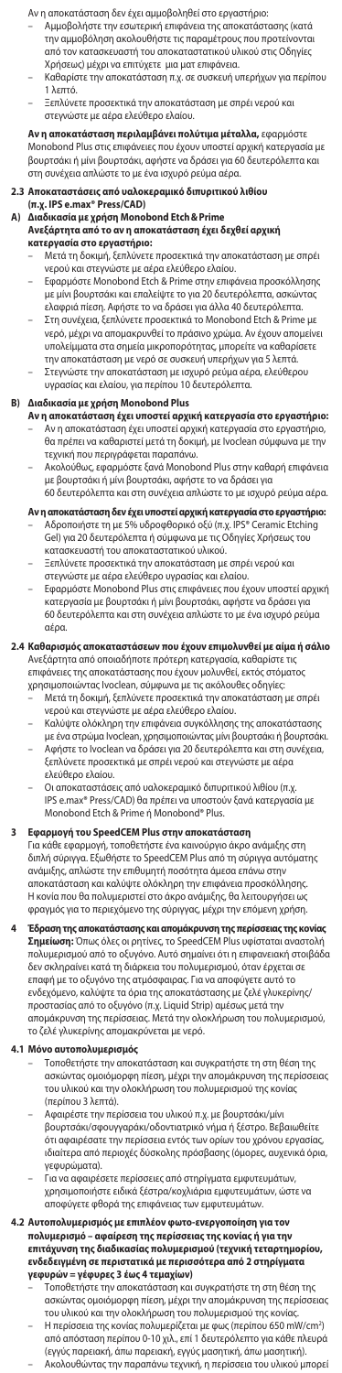Αν η αποκατάσταση δεν έχει αμμοβοληθεί στο εργαστήριο:

- Αμμοβολήστε την εσωτερική επιφάνεια της αποκατάστασης (κατά την αμμοβόληση ακολουθήστε τις παραμέτρους που προτείνονται από τον κατασκευαστή του αποκαταστατικού υλικού στις Οδηγίες Χρήσεως) μέχρι να επιτύχετε μια ματ επιφάνεια.
- Καθαρίστε την αποκατάσταση π.χ. σε συσκευή υπερήχων για περίπου 1 λεπτό.
- Ξεπλύνετε προσεκτικά την αποκατάσταση με σπρέι νερού και στεγνώστε με αέρα ελεύθερο ελαίου.

**Αν η αποκατάσταση περιλαμβάνει πολύτιμα μέταλλα,** εφαρμόστε Monobond Plus στις επιφάνειες που έχουν υποστεί αρχική κατεργασία με βουρτσάκι ή μίνι βουρτσάκι, αφήστε να δράσει για 60 δευτερόλεπτα και στη συνέχεια απλώστε το με ένα ισχυρό ρεύμα αέρα.

### **2.3 Αποκαταστάσεις από υαλοκεραμικό διπυριτικού λιθίου (π.χ. IPS e.max® Press/CAD)**

# **A) Διαδικασία με χρήση Monobond Etch&Prime Ανεξάρτητα από το αν η αποκατάσταση έχει δεχθεί αρχική κατεργασία στο εργαστήριο:** – Μετά τη δοκιμή, ξεπλύνετε προσεκτικά την αποκατάσταση με σπρέι

- νερού και στεγνώστε με αέρα ελεύθερο ελαίου.
- Εφαρμόστε Monobond Etch & Prime στην επιφάνεια προσκόλλησης με μίνι βουρτσάκι και επαλείψτε το για 20 δευτερόλεπτα, ασκώντας ελαφριά πίεση. Αφήστε το να δράσει για άλλα 40 δευτερόλεπτα.
- Στη συνέχεια, ξεπλύνετε προσεκτικά το Monobond Etch & Prime με νερό, μέχρι να απομακρυνθεί το πράσινο χρώμα. Αν έχουν απομείνει υπολείμματα στα σημεία μικροπορότητας, μπορείτε να καθαρίσετε την αποκατάσταση με νερό σε συσκευή υπερήχων για 5 λεπτά. – Στεγνώστε την αποκατάσταση με ισχυρό ρεύμα αέρα, ελεύθερου υγρασίας και ελαίου, για περίπου 10 δευτερόλεπτα.
- 

- **B) Διαδικασία με χρήση Monobond Plus Αν η αποκατάσταση έχει υποστεί αρχική κατεργασία στο εργαστήριο:** – Αν η αποκατάσταση έχει υποστεί αρχική κατεργασία στο εργαστήριο, θα πρέπει να καθαριστεί μετά τη δοκιμή, με Ivoclean σύμφωνα με την τεχνική που περιγράφεται παραπάνω.
	- Ακολούθως, εφαρμόστε ξανά Monobond Plus στην καθαρή επιφάνεια με βουρτσάκι ή μίνι βουρτσάκι, αφήστε το να δράσει για 60 δευτερόλεπτα και στη συνέχεια απλώστε το με ισχυρό ρεύμα αέρα.

## Αν η αποκατάσταση δεν έχει υποστεί αρχική κατεργασία στο εργ

- Αδροποιήστε τη με 5% υδροφθορικό οξύ (π.χ. IPS® Ceramic Etching<br>Gel) για 20 δευτερόλεπτα ή σύμφωνα με τις Οδηγίες Χρήσεως του<br>κατασκευαστή του αποκαταστατικού υλικού.
- Ξεπλύνετε προσεκτικά την αποκατάσταση με σπρέι νερού και στεγνώστε με αέρα ελεύθερο υγρασίας και ελαίου.
- Εφαρμόστε Monobond Plus στις επιφάνειες που έχουν υποστεί αρχική κατεργασία με βουρτσάκι ή μίνι βουρτσάκι, αφήστε να δράσει για 60 δευτερόλεπτα και στη συνέχεια απλώστε το με ένα ισχυρό ρεύμα αέρα.

# **2.4 Καθαρισμός αποκαταστάσεων που έχουν επιμολυνθεί με αίμα ή σάλιο** Ανεξάρτητα από οποιαδήποτε πρότερη κατεργασία, καθαρίστε τις

επιφάνειες της αποκατάστασης που έχουν μολυνθεί, εκτός στόματος χρησιμοποιώντας Ivoclean, σύμφωνα με τις ακόλουθες οδηγίες:

- Μετά τη δοκιμή, ξεπλύνετε προσεκτικά την αποκατάσταση με σπρέι νερού και στεγνώστε με αέρα ελεύθερο ελαίου.
- Καλύψτε ολόκληρη την επιφάνεια συγκόλλησης της αποκατάστασης με ένα στρώμα Ivoclean, χρησιμοποιώντας μίνι βουρτσάκι ή βουρτσάκι.
- Αφήστε το Ivoclean να δράσει για 20 δευτερόλεπτα και στη συνέχεια, ξεπλύνετε προσεκτικά με σπρέι νερού και στεγνώστε με αέρα ελεύθερο ελαίου.
- Οι αποκαταστάσεις από υαλοκεραμικό διπυριτικού λιθίου (π.χ. IPS e.max® Press/CAD) θα πρέπει να υποστούν ξανά κατεργασία με Monobond Etch & Prime ή Monobond® Plus.

## **3 Εφαρμογή του SpeedCEM Plus στην αποκατάσταση**

Για κάθε εφαρμογή, τοποθετήστε ένα καινούργιο άκρο ανάμιξης στη διπλή σύριγγα. Εξωθήστε το SpeedCEM Plus από τη σύριγγα αυτόματης ανάμιξης, απλώστε την επιθυμητή ποσότητα άμεσα επάνω στην αποκατάσταση και καλύψτε ολόκληρη την επιφάνεια προσκόλλησης. Η κονία που θα πολυμεριστεί στο άκρο ανάμιξης, θα λειτουργήσει ως φραγμός για το περιεχόμενο της σύριγγας, μέχρι την επόμενη χρήση.

**4 Εδραση της αποκατάστασης και απομάκρυνση της περίσσειας της κονίας**<br>**Σημείωση:** Όπως όλες οι ρητίνες, το SpeedCEM Plus υφίσταται αναστολή<br>πολυμερισμού από το οξυγόνο. Αυτό σημαίνει ότι η επιφανειακή στοιβάδα δεν σκληραίνει κατά τη διάρκεια του πολυμερισμού, όταν έρχεται σε επαφή με το οξυγόνο της ατμόσφαιρας. Για να αποφύγετε αυτό το ενδεχόμενο, καλύψτε τα όρια της αποκατάστασης με ζελέ γλυκερίνης/ προστασίας από το οξυγόνο (π.χ. Liquid Strip) αμέσως μετά την απομάκρυνση της περίσσειας. Μετά την ολοκλήρωση του πολυμερισμού, το ζελέ γλυκερίνης απομακρύνεται με νερό.

- **4.1 Μόνο αυτοπολυμερισμός**  Τοποθετήστε την αποκατάσταση και συγκρατήστε τη στη θέση της ασκώντας ομοιόμορφη πίεση, μέχρι την απομάκρυνση της περίσσειας του υλικού και την ολοκλήρωση του πολυμερισμού της κονίας (περίπου 3 λεπτά).
	- Αφαιρέστε την περίσσεια του υλικού π.χ. με βουρτσάκι/μίνι βουρτσάκι/σφουγγαράκι/οδοντιατρικό νήμα ή ξέστρο. Βεβαιωθείτε ότι αφαιρέσατε την περίσσεια εντός των ορίων του χρόνου εργασίας, ιδιαίτερα από περιοχές δύσκολης πρόσβασης (όμορες, αυχενικά όρια, γεφυρώματα).
	- Για να αφαιρέσετε περίσσειες από στηρίγματα εμφυτευμάτων, χρησιμοποιήστε ειδικά ξέστρα/κοχλιάρια εμφυτευμάτων, ώστε να αποφύγετε φθορά της επιφάνειας των εμφυτευμάτων.

# **4.2 Αυτοπολυμερισμός με επιπλέον φωτο-ενεργοποίηση για τον πολυμερισμό – αφαίρεση της περίσσειας της κονίας ή για την επιτάχυνση της διαδικασίας πολυμερισμού (τεχνική τεταρτημορίου, ενδεδειγμένη σε περιστατικά με περισσότερα από 2 στηρίγματα γεφυρών = γέφυρες 3 έως 4 τεμαχίων)**

- Τοποθετήστε την αποκατάσταση και συγκρατήστε τη στη θέση της ασκώντας ομοιόμορφη πίεση, μέχρι την απομάκρυνση της περίσσειας του υλικού και την ολοκλήρωση του πολυμερισμού της κονίας.
- Η περίσσεια της κονίας πολυμερίζεται με φως (περίπου 650 mW/cm2 ) από απόσταση περίπου 0-10 χιλ., επί 1 δευτερόλεπτο για κάθε πλευρά (εγγύς παρειακή, άπω παρειακή, εγγύς μασητική, άπω μασητική).
- Ακολουθώντας την παραπάνω τεχνική, η περίσσεια του υλικού μπορεί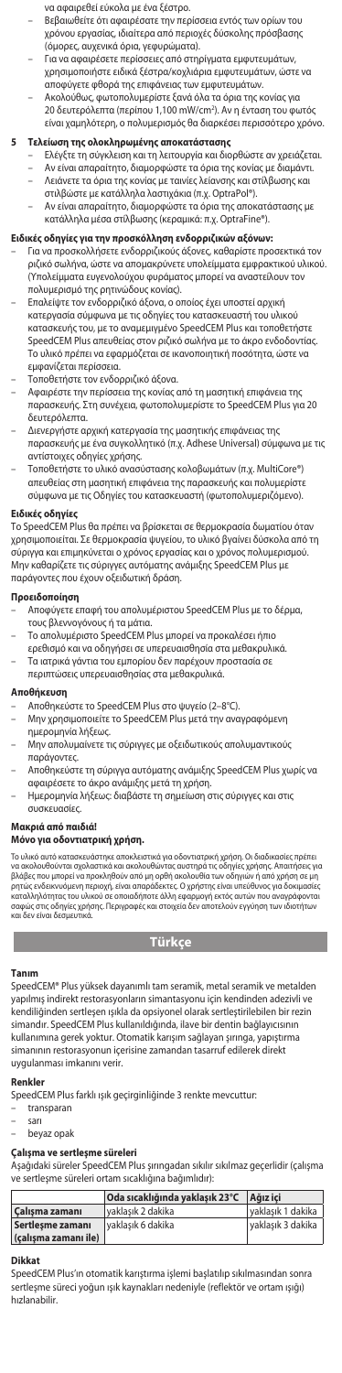- να αφαιρεθεί εύκολα με ένα ξέστρο.
- Βεβαιωθείτε ότι αφαιρέσατε την περίσσεια εντός των ορίων του χρόνου εργασίας, ιδιαίτερα από περιοχές δύσκολης πρόσβασης (όμορες, αυχενικά όρια, γεφυρώματα).
- Για να αφαιρέσετε περίσσειες από στηρίγματα εμφυτευμάτων, χρησιμοποιήστε ειδικά ξέστρα/κοχλιάρια εμφυτευμάτων, ώστε να
- αποφύγετε φθορά της επιφάνειας των εμφυτευμάτων. Ακολούθως, φωτοπολυμερίστε ξανά όλα τα όρια της κονίας για 20 δευτερόλεπτα (περίπου 1,100 mW/cm2 ). Αν η ένταση του φωτός είναι χαμηλότερη, ο πολυμερισμός θα διαρκέσει περισσότερο χρόνο.

### **5 Τελείωση της ολοκληρωμένης αποκατάστασης**

- Ελέγξτε τη σύγκλειση και τη λειτουργία και διορθώστε αν χρειάζεται. – Αν είναι απαραίτητο, διαμορφώστε τα όρια της κονίας με διαμάντι. – Λειάνετε τα όρια της κονίας με ταινίες λείανσης και στίλβωσης και
- στιλβώστε με κατάλληλα λαστιχάκια (π.χ. OptraPol®).
- Αν είναι απαραίτητο, διαμορφώστε τα όρια της αποκατάστασης με κατάλληλα μέσα στίλβωσης (κεραμικά: π.χ. OptraFine®).

# **Ειδικές οδηγίες για την προσκόλληση ενδορριζικών αξόνων:**

- Για να προσκολλήσετε ενδορριζικούς άξονες, καθαρίστε προσεκτικά τον ριζικό σωλήνα, ώστε να απομακρύνετε υπολείμματα εμφρακτικού υλικού. (Υπολείμματα ευγενολούχου φυράματος μπορεί να αναστείλουν τον πολυμερισμό της ρητινώδους κονίας).
- Επαλείψτε τον ενδορριζικό άξονα, ο οποίος έχει υποστεί αρχική κατεργασία σύμφωνα με τις οδηγίες του κατασκευαστή του υλικού κατασκευής του, με το αναμεμιγμένο SpeedCEM Plus και τοποθετήστε SpeedCEM Plus απευθείας στον ριζικό σωλήνα με το άκρο ενδοδοντίας. Το υλικό πρέπει να εφαρμόζεται σε ικανοποιητική ποσότητα, ώστε να εμφανίζεται περίσσεια.
- Τοποθετήστε τον ενδορριζικό άξονα.
- Αφαιρέστε την περίσσεια της κονίας από τη μασητική επιφάνεια της παρασκευής. Στη συνέχεια, φωτοπολυμερίστε το SpeedCEM Plus για 20 δευτερόλεπτα.
- Διενεργήστε αρχική κατεργασία της μασητικής επιφάνειας της παρασκευής με ένα συγκολλητικό (π.χ. Adhese Universal) σύμφωνα με τις αντίστοιχες οδηγίες χρήσης.
- Τοποθετήστε το υλικό ανασύστασης κολοβωμάτων (π.χ. MultiCore®) απευθείας στη μασητική επιφάνεια της παρασκευής και πολυμερίστε σύμφωνα με τις Οδηγίες του κατασκευαστή (φωτοπολυμεριζόμενο).

## **Ειδικές οδηγίες**

Το SpeedCEM Plus θα πρέπει να βρίσκεται σε θερμοκρασία δωματίου όταν χρησιμοποιείται. Σε θερμοκρασία ψυγείου, το υλικό βγαίνει δύσκολα από τη σύριγγα και επιμηκύνεται ο χρόνος εργασίας και ο χρόνος πολυμερισμού. Μην καθαρίζετε τις σύριγγες αυτόματης ανάμιξης SpeedCEM Plus με παράγοντες που έχουν οξειδωτική δράση.

### **Προειδοποίηση**

- Αποφύγετε επαφή του απολυμέριστου SpeedCEM Plus με το δέρμα, τους βλεννογόνους ή τα μάτια.
- Το απολυμέριστο SpeedCEM Plus μπορεί να προκαλέσει ήπιο ερεθισμό και να οδηγήσει σε υπερευαισθησία στα μεθακρυλικά. – Τα ιατρικά γάντια του εμπορίου δεν παρέχουν προστασία σε
- περιπτώσεις υπερευαισθησίας στα μεθακρυλικά.

### **Αποθήκευση**

- Αποθηκεύστε το SpeedCEM Plus στο ψυγείο (2–8°C).
- Μην χρησιμοποιείτε το SpeedCEM Plus μετά την αναγραφόμενη ημερομηνία λήξεως.
- Μην απολυμαίνετε τις σύριγγες με οξειδωτικούς απολυμαντικούς παράγοντες.
- Αποθηκεύστε τη σύριγγα αυτόματης ανάμιξης SpeedCEM Plus χωρίς να αφαιρέσετε το άκρο ανάμιξης μετά τη χρήση.
- Ημερομηνία λήξεως: διαβάστε τη σημείωση στις σύριγγες και στις συσκευασίες.

## **Μακριά από παιδιά!**

## **Μόνο για οδοντιατρική χρήση.**

Το υλικό αυτό κατασκευάστηκε αποκλειστικά για οδοντιατρική χρήση. Οι διαδικοιοίες πρέπει<br>να ακολουθούνται σχολαστικά και ακολουθώντας αυστηρά τις οδηγίες χρήσης. Απαιτήσεις για<br>βλάβες που μπορεί να προκληθούν από μη ορθή

# **Türkçe**

#### **Tanım**

SpeedCEM® Plus yüksek dayanımlı tam seramik, metal seramik ve metalden yapılmış indirekt restorasyonların simantasyonu için kendinden adezivli ve kendiliğinden sertleşen ışıkla da opsiyonel olarak sertleştirilebilen bir rezin simandır. SpeedCEM Plus kullanıldığında, ilave bir dentin bağlayıcısının kullanımına gerek yoktur. Otomatik karışım sağlayan şırınga, yapıştırma simanının restorasyonun içerisine zamandan tasarruf edilerek direkt uygulanması imkanını verir.

### **Renkler**

SpeedCEM Plus farklı ışık geçirginliğinde 3 renkte mevcuttur:

- transparan
- sarı
- beyaz opak

## **Çalışma ve sertleşme süreleri**

Aşağıdaki süreler SpeedCEM Plus şırıngadan sıkılır sıkılmaz geçerlidir (çalışma ve sertleşme süreleri ortam sıcaklığına bağımlıdır):

|                      | Oda sıcaklığında vaklasık 23°C | Ağız ici          |
|----------------------|--------------------------------|-------------------|
| Calısma zamanı       | vaklasık 2 dakika              | vaklasık 1 dakika |
| Sertlesme zamanı     | l vaklasık 6 dakika            | vaklasık 3 dakika |
| (çalışma zamanı ile) |                                |                   |

#### **Dikkat**

SpeedCEM Plus'ın otomatik karıştırma işlemi başlatılıp sıkılmasından sonra sertleşme süreci yoğun ışık kaynakları nedeniyle (reflektör ve ortam ışığı) hızlanabilir.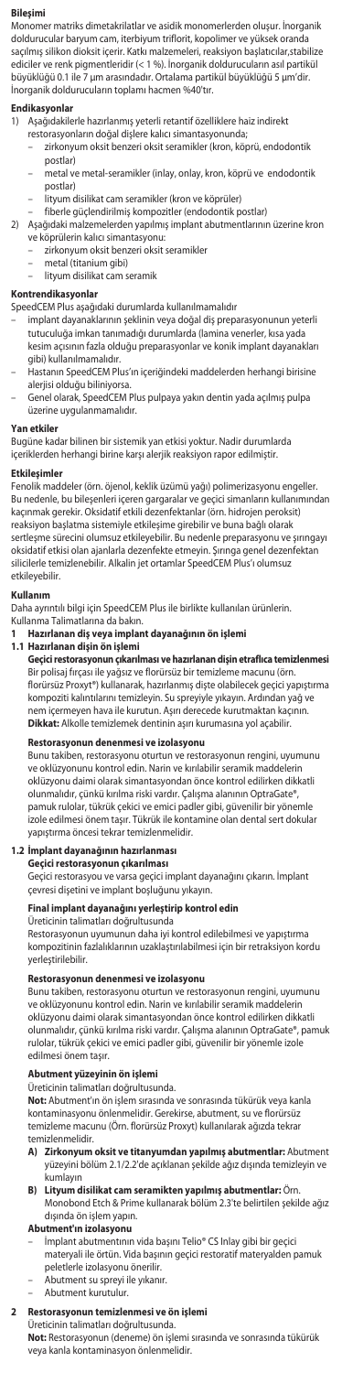### **Bileşimi**

Monomer matriks dimetakrilatlar ve asidik monomerlerden oluşur. İnorganik doldurucular baryum cam, iterbiyum triflorit, kopolimer ve yüksek oranda saçılmış silikon dioksit içerir. Katkı malzemeleri, reaksiyon başlatıcılar,stabilize ediciler ve renk pigmentleridir (< 1 %). İnorganik doldurucuların asıl partikül büyüklüğü 0.1 ile 7 µm arasındadır. Ortalama partikül büyüklüğü 5 µm'dir. İnorganik doldurucuların toplamı hacmen %40'tır.

# **Endikasyonlar**

- 
- 1) Aşağıdakilerle hazırlanmış yeterli retantif özelliklere haiz indirekt restorasyonların doğal dişlere kalıcı simantasyonunda;
	- zirkonyum oksit benzeri oksit seramikler (kron, köprü, endodontik postlar)
	- metal ve metal-seramikler (inlay, onlay, kron, köprü ve endodontik postlar)
	- lityum disilikat cam seramikler (kron ve köprüler) fiberle güçlendirilmiş kompozitler (endodontik postlar)
	-
- 2) Aşağıdaki malzemelerden yapılmış implant abutmentlarının üzerine kron ve köprülerin kalıcı simantasyonu:
	- zirkonyum oksit benzeri oksit seramikler
	- metal (titanium gibi)
	- lityum disilikat cam seramik

# **Kontrendikasyonlar**

SpeedCEM Plus aşağıdaki durumlarda kullanılmamalıdır

- implant dayanaklarının şeklinin veya doğal diş preparasyonunun yeterli<br>tutuculuğa imkan tanımadığı durumlarda (lamina venerler, kısa yada tutuculuğa imkan tanımadığı durumlarda (lan kesim açısının fazla olduğu preparasyonlar ve konik implant dayanakları gibi) kullanılmamalıdır.
- Hastanın SpeedCEM Plus'ın içeriğindeki maddelerden herhangi birisine alerjisi olduğu biliniyorsa.
- Genel olarak, SpeedCEM Plus pulpaya yakın dentin yada açılmış pulpa üzerine uygulanmamalıdır.

#### **Yan etkiler**

Bugüne kadar bilinen bir sistemik yan etkisi yoktur. Nadir durumlarda içeriklerden herhangi birine karşı alerjik reaksiyon rapor edilmiştir.

#### **Etkileşimler**

Fenolik maddeler (örn. öjenol, keklik üzümü yağı) polimerizasyonu engeller. Bu nedenle, bu bileşenleri içeren gargaralar ve geçici simanların kullanımından kaçınmak gerekir. Oksidatif etkili dezenfektanlar (örn. hidrojen peroksit) reaksiyon başlatma sistemiyle etkileşime girebilir ve buna bağlı olarak sertleşme sürecini olumsuz etkileyebilir. Bu nedenle preparasyonu ve şırıngayı oksidatif etkisi olan ajanlarla dezenfekte etmeyin. Şırınga genel dezenfektan silicilerle temizlenebilir. Alkalin jet ortamlar SpeedCEM Plus'ı olumsuz etkileyebilir.

### **Kullanım**

Daha ayrıntılı bilgi için SpeedCEM Plus ile birlikte kullanılan ürünlerin. Kullanma Talimatlarına da bakın.

**1 Hazırlanan diş veya implant dayanağının ön işlemi**

**1.1 Hazırlanan dişin ön işlemi** ası ve hazırlanan dişin etraflıca temizlenr Bir polisaj fırçası ile yağsız ve florürsüz bir temizleme macunu (örn. florürsüz Proxyt®) kullanarak, hazırlanmış dişte olabilecek geçici yapıştırma kompoziti kalıntılarını temizleyin. Su spreyiyle yıkayın. Ardından yağ ve nem içermeyen hava ile kurutun. Aşırı derecede kurutmaktan kaçının. **Dikkat:** Alkolle temizlemek dentinin aşırı kurumasına yol açabilir.

### **Restorasyonun denenmesi ve izolasyonu**

Bunu takiben, restorasyonu oturtun ve restorasyonun rengini, uyumunu oklüzyonunu kontrol edin. Narin ve kırılabilir seramik maddel oklüzyonu daimi olarak simantasyondan önce kontrol edilirken dikkatli olunmalıdır, çünkü kırılma riski vardır. Çalışma alanının OptraGate®, pamuk rulolar, tükrük çekici ve emici padler gibi, güvenilir bir yönemle izole edilmesi önem taşır. Tükrük ile kontamine olan dental sert dokular yapıştırma öncesi tekrar temizlenmelidir.

# **1.2 İmplant dayanağının hazırlanması Geçici restorasyonun çıkarılması**

Geçici restorasyou ve varsa geçici implant dayanağını çıkarın. İmplant çevresi dişetini ve implant boşluğunu yıkayın.

# **Final implant dayanağını yerleştirip kontrol edin**

Üreticinin talimatları doğrultusunda

Restorasyonun uyumunun daha iyi kontrol edilebilmesi ve yapıştırma kompozitinin fazlalıklarının uzaklaştırılabilmesi için bir retraksiyon kordu yerleştirilebilir.

# **Restorasyonun denenmesi ve izolasyonu**

Bunu takiben, restorasyonu oturtun ve restorasyonun rengini, uyumunu ve oklüzyonunu kontrol edin. Narin ve kırılabilir seramik maddelerin oklüzyonu daimi olarak simantasyondan önce kontrol edilirken dikkatli olunmalıdır, çünkü kırılma riski vardır. Çalışma alanının OptraGate®, pamuk rulolar, tükrük çekici ve emici padler gibi, güvenilir bir yönemle izole edilmesi önem taşır.

### **Abutment yüzeyinin ön işlemi**

Üreticinin talimatları doğrultusunda.

**Not:** Abutment'ın ön işlem sırasında ve sonrasında tükürük veya kanla kontaminasyonu önlenmelidir. Gerekirse, abutment, su ve florürsüz temizleme macunu (Örn. florürsüz Proxyt) kullanılarak ağızda tekrar mizlenmelidir.

- **A) Zirkonyum oksit ve titanyumdan yapılmış abutmentlar:** Abutment yüzeyini bölüm 2.1/2.2'de açıklanan şekilde ağız dışında temizleyin ve kumlayın
- **B) Lityum disilikat cam seramikten yapılmış abutmentlar:** Örn. Monobond Etch & Prime kullanarak bölüm 2.3'te belirtilen şekilde ağız dışında ön işlem yapın. **Abutment'ın izolasyonu**

– İmplant abutmentının vida başını Telio® CS Inlay gibi bir geçici materyali ile örtün. Vida başının geçici restoratif materyalden pamuk peletlerle izolasyonu önerilir.

- Abutment su spreyi ile yıkanır.
- Abutment kurutulur.

# **2 Restorasyonun temizlenmesi ve ön işlemi**

Üreticinin talimatları doğrultusunda.

**Not:** Restorasyonun (deneme) ön işlemi sırasında ve sonrasında tükürük veya kanla kontaminasyon önlenmelidir.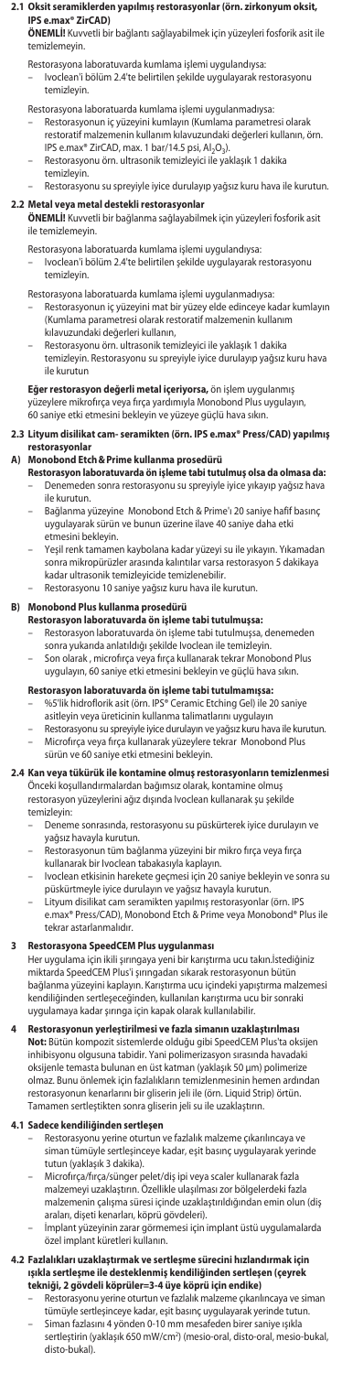#### **2.1 Oksit seramiklerden yapılmış restorasyonlar (örn. zirkonyum oksit, IPS e.max® ZirCAD)**

**ÖNEMLİ!** Kuvvetli bir bağlantı sağlayabilmek için yüzeyleri fosforik asit ile temizlemeyin.

Restorasyona laboratuvarda kumlama işlemi uygulandıysa: – Ivoclean'i bölüm 2.4'te belirtilen şekilde uygulayarak restorasyonu temizleyin.

# Restorasyona laboratuarda kumlama işlemi uygulanmadıysa:

- Restorasyonun iç yüzeyini kumlayın (Kumlama parametresi olarak restoratif malzemenin kullanım kılavuzundaki değerleri kullanın, örn. IPS e.max® ZirCAD, max. 1 bar/14.5 psi, Al<sub>2</sub>O<sub>3</sub>).
- Restorasyonu örn. ultrasonik temizleyici ile yaklaşık 1 dakika
- temizley – Restorasyonu su spreyiyle iyice durulayıp yağsız kuru hava ile kurutun.

**2.2 Metal veya metal destekli restorasyonlar ÖNEMLİ!** Kuvvetli bir bağlanma sağlayabilmek için yüzeyleri fosforik asit ile temizlemeyin.

Restorasyona laboratuarda kumlama işlemi uygulandıysa: – Ivoclean'i bölüm 2.4'te belirtilen şekilde uygulayarak restorasyonu temizleyin.

- Restorasyona laboratuarda kumlama işlemi uygulanmadıysa: Restorasyonun iç yüzeyini mat bir yüzey elde edinceye kadar kumlayın (Kumlama parametresi olarak restoratif malzemenin kullanım kılavuzundaki değerleri kullanın,
- Restorasyonu örn. ultrasonik temizleyici ile yaklaşık 1 dakika
- temizleyin. Restorasyonu su spreyiyle iyice durulayıp yağsız kuru hava ile kurutun

**Eğer restorasyon değerli metal içeriyorsa,** ön işlem uygulanmış yüzeylere mikrofırça veya fırça yardımıyla Monobond Plus uygulayın,

60 saniye etki etmesini bekleyin ve yüzeye güçlü hava sıkın.

# **2.3 Lityum disilikat cam- seramikten (örn. IPS e.max® Press/CAD) yapılmış**

- **restorasyonlar A) Monobond Etch&Prime kullanma prosedürü Restorasyon laboratuvarda ön işleme tabi tutulmuş olsa da olmasa da:** – Denemeden sonra restorasyonu su spreyiyle iyice yıkayıp yağsız hava ile kurutun.
	- Bağlanma yüzeyine Monobond Etch & Prime'ı 20 saniye hafif basınç uygulayarak sürün ve bunun üzerine ilave 40 saniye daha etki etmesini bekleyin.
	- Yeşil renk tamamen kaybolana kadar yüzeyi su ile yıkayın. Yıkamadan sonra mikropürüzler arasında kalıntılar varsa restorasyon 5 dakikaya kadar ultrasonik temizleyicide temizlenebilir.
	- Restorasyonu 10 saniye yağsız kuru hava ile kurutun.

## **B) Monobond Plus kullanma prosedürü**

- **Restorasyon laboratuvarda ön işleme tabi tutulmuşsa:**<br>– Restorasyon laboratuvarda ön işleme tabi tutulmuşsa, denemeden
- sonra yukarıda anlatıldığı şekilde Ivoclean ile temizleyin.
- Son olarak , microfırça veya fırça kullanarak tekrar Monobond Plus uygulayın, 60 saniye etki etmesini bekleyin ve güçlü hava sıkın.

# **Restorasyon laboratuvarda ön işleme tabi tutulmamışsa:**

- %5'lik hidroflorik asit (örn. IPS® Ceramic Etching Gel) ile 20 saniye asitleyin veya üreticinin kullanma talimatlarını uygulayın
- Restorasyonu su spreyiyle iyice durulayın ve yağsız kuru hava ile kurutun.
- Microfırça veya fırça kullanarak yüzeylere tekrar Monobond Plus sürün ve 60 saniye etki etmesini bekleyin.

# **2.4 Kan veya tükürük ile kontamine olmuş restorasyonların temizlenmesi**

Onceki koşullandırmalardan bağımsız olarak, kontamine olmuş<br>restorasyon yüzeylerini ağız dışında Ivoclean kullanarak şu şekilde temizleyin:

- Deneme sonrasında, restorasyonu su püskürterek iyice durulayın ve yağsız havayla kurutun.
- Restorasyonun tüm bağlanma yüzeyini bir mikro fırça veya fırça
- 
- kullanarak bir Ivoclean tabakasıyla kaplayın. Ivoclean etkisinin harekete geçmesi için 20 saniye bekleyin ve sonra su püskürtmeyle iyice durulayın ve yağsız havayla kurutun.
- Lityum disilikat cam seramikten yapılmış restorasyonlar (örn. IPS e.max® Press/CAD), Monobond Etch & Prime veya Monobond® Plus ile tekrar astarlanmalıdır.

**3 Restorasyona SpeedCEM Plus uygulanması**<br>Her uygulama için ikili şırıngaya yeni bir karıştırma ucu takın.İstediğiniz<br>miktarda SpeedCEM Plus'i şırıngadan sıkarak restorasyonun bütün bağlanma yüzeyini kaplayın. Karıştırma ucu içindeki yapıştırma malzemesi kendiliğinden sertleşeceğinden, kullanılan karıştırma ucu bir sonraki uygulamaya kadar şırınga için kapak olarak kullanılabilir.

**4 Restorasyonun yerleştirilmesi ve fazla simanın uzaklaştırılması Not:** Bütün kompozit sistemlerde olduğu gibi SpeedCEM Plus'ta oksijen inhibisyonu olgusuna tabidir. Yani polimerizasyon sırasında havadaki oksijenle temasta bulunan en üst katman (yaklaşık 50 μm) polimerize olmaz. Bunu önlemek için fazlalıkların temizlenmesinin hemen ardından restorasyonun kenarlarını bir gliserin jeli ile (örn. Liquid Strip) örtün. Tamamen sertleştikten sonra gliserin jeli su ile uzaklaştırın.

# **4.1 Sadece kendiliğinden sertleşen**

- Restorasyonu yerine oturtun ve fazlalık malzeme çıkarılıncaya ve siman tümüyle sertleşinceye kadar, eşit basınç uygulayarak yerinde tutun (yaklaşık 3 dakika).
- Microfırça/fırça/sünger pelet/diş ipi veya scaler kullanarak fazla malzemeyi uzaklaştırın. Özellikle ulaşılması zor bölgelerdeki fazla malzemenin çalışma süresi içinde uzaklaştırıldığından emin olun (diş araları, dişeti kenarları, köprü gövdeleri).
- İmplant yüzeyinin zarar görmemesi için implant üstü uygulamalarda özel implant küretleri kullanın.

# **4.2 Fazlalıkları uzaklaştırmak ve sertleşme sürecini hızlandırmak için ışıkla sertleşme ile desteklenmiş kendiliğinden sertleşen (çeyrek tekniği, 2 gövdeli köprüler=3-4 üye köprü için endike)**

- Restorasyonu yerine oturtun ve fazlalık malzeme çıkarılıncaya ve siman tümüyle sertleşinceye kadar, eşit basınç uygulayarak yerinde tutun. – Siman fazlasını 4 yönden 0-10 mm mesafeden birer saniye ışıkla
- sertleştirin (yaklaşık 650 mW/cm2 ) (mesio-oral, disto-oral, mesio-bukal, disto-bukal).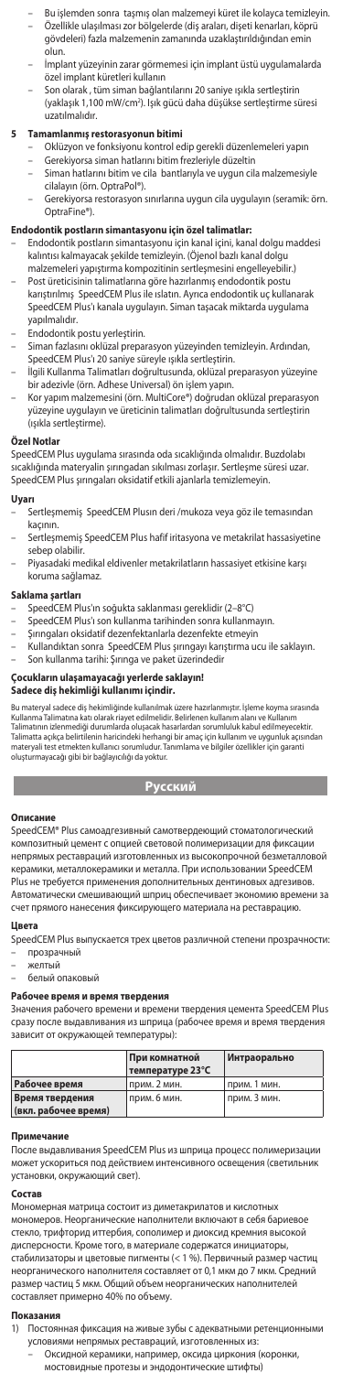- Bu işlemden sonra taşmış olan malzemeyi küret ile kolayca temizleyin. – Özellikle ulaşılması zor bölgelerde (diş araları, dişeti kenarları, köprü gövdeleri) fazla malzemenin zamanında uzaklaştırıldığından emin olun.
- İmplant yüzeyinin zarar görmemesi için implant üstü uygulamalarda özel implant küretleri kullanın
- Son olarak , tüm siman bağlantılarını 20 saniye ışıkla sertleştirin (yaklaşık 1,100 mW/cm2 ). Işık gücü daha düşükse sertleştirme süresi uzatılmalıdır.

- **5 Tamamlanmış restorasyonun bitimi** Oklüzyon ve fonksiyonu kontrol edip gerekli düzenlemeleri yapın
	- Gerekiyorsa siman hatlarını bitim frezleriyle düzeltin – Siman hatlarını bitim ve cila bantlarıyla ve uygun cila malzemesiyle cilalayın (örn. OptraPol®).
	- Gerekiyorsa restorasyon sınırlarına uygun cila uygulayın (seramik: örn. OptraFine®).

# **Endodontik postların simantasyonu için özel talimatlar:**

- Endodontik postların simantasyonu için kanal içini, kanal dolgu maddesi kalıntısı kalmayacak şekilde temizleyin. (Öjenol bazlı kanal dolgu malzemeleri yapıştırma kompozitinin sertleşmesini engelleyebilir.)
- Post üreticisinin talimatlarına göre hazırlanmış endodontik postu karıştırılmış SpeedCEM Plus ile ıslatın. Ayrıca endodontik uç kullanarak SpeedCEM Plus'ı kanala uygulayın. Siman taşacak miktarda uygulama yapılmalıdır.
- Endodontik postu yerleştirin.
- Siman fazlasını oklüzal preparasyon yüzeyinden temizleyin. Ardından,
- SpeedCEM Plus'ı 20 saniye süreyle ışıkla sertleştirin. İlgili Kullanma Talimatları doğrultusunda, oklüzal preparasyon yüzeyine bir adezivle (örn. Adhese Universal) ön işlem yapın.
- Kor yapım malzemesini (örn. MultiCore®) doğrudan oklüzal preparasyon yüzeyine uygulayın ve üreticinin talimatları doğrultusunda sertleştirin (ışıkla sertleştirme).

#### Özel Notla

SpeedCEM Plus uygulama sırasında oda sıcaklığında olmalıdır. Buzdolabı sıcaklığında materyalin şırıngadan sıkılması zorlaşır. Sertleşme süresi uzar. SpeedCEM Plus şırıngaları oksidatif etkili ajanlarla temizlemeyin.

#### **Uyarı**

- Sertleşmemiş SpeedCEM Plusın deri /mukoza veya göz ile temasından kaçının.
- Sertleşmemiş SpeedCEM Plus hafif iritasyona ve metakrilat hassasiyetine sebep olabilir.
- Piyasadaki medikal eldivenler metakrilatların hassasiyet etkisine karşı koruma sağlamaz.

#### **Saklama şartları**

- 
- SpeedCEM Plus'ın soğukta saklanması gereklidir (2–8°C) SpeedCEM Plus'ı son kullanma tarihinden sonra kullanmayın.
- Şırıngaları oksidatif dezenfektanlarla dezenfekte etmeyin
- Kullandıktan sonra SpeedCEM Plus şırıngayı karıştırma ucu ile saklayın. Son kullanma tarihi: Şırınga ve paket üzerindedir

# **Çocukların ulaşamayacağı yerlerde saklayın! Sadece diş hekimliği kullanımı içindir.**

Bu materyal sadece diş hekimliğinde kullanılmak üzere hazırlanmıştır. İşleme koyma sırasında<br>Kullanma Talimatına katı olarak riayet edilmelidir. Belirlenen kullanım alanı ve Kullanım<br>Talimatına izlemendiği durumlarda oluşa

# **Русский**

**Описание**<br>SpeedCEM® Plus самоадгезивный самотвердеющий стоматологический<br>композитный цемент с опцией световой полимеризации для фиксации непрямых реставраций изготовленных из высокопрочной безметалловой керамики, металлокерамики и металла. При использовании SpeedCEM Plus не требуется применения дополнительных дентиновых адгезивов. Автоматически смешивающий шприц обеспечивает экономию времени за счет прямого нанесения фиксирующего материала на реставрацию.

### **Цвета**

- SpeedCEM Plus выпускается трех цветов различной степени прозрачности: – прозрачный
- елтый
- белый опаковый

## **Рабочее время и время твердения**

Значения рабочего времени и времени твердения цемента SpeedCEM Plus сразу после выдавливания из шприца (рабочее время и время твердения зависит от окружающей температуры):

|                      | При комнатной    | Интраорально |
|----------------------|------------------|--------------|
|                      | температуре 23°С |              |
| Рабочее время        | прим. 2 мин.     | прим. 1 мин. |
| Время твердения      | прим. 6 мин.     | прим. 3 мин. |
| (вкл. рабочее время) |                  |              |

**Примечание** После выдавливания SpeedCEM Plus из шприца процесс полимеризации может ускориться под действием интенсивного освещения (светильник<br>установки, окружающий свет). .<br>вки, окружающий свет).

#### **Состав**

Мономерная матрица состоит из диметакрилатов и кислотн мономеров. Неорганические наполнители включают в себя бариевое стекло, трифторид иттербия, сополимер и диоксид кремния высокой дисперсности. Кроме того, в материале содержатся инициаторы, стабилизаторы и цветовые пигменты (< 1 %). Первичный размер частиц неорганического наполнителя составляет от 0,1 мкм до 7 мкм. Средний размер частиц 5 мкм. Общий объем неорганических наполнителей составляет примерно 40% по объему.

#### **Показания**

- 1) Постоянная фиксация на живые зубы с адекватными ретенционными условиями непрямых реставраций, изготовленных из:
	- Оксидной керамики, например, оксида циркония (коронки,
		- мостовидные протезы и эндодонтические штифты)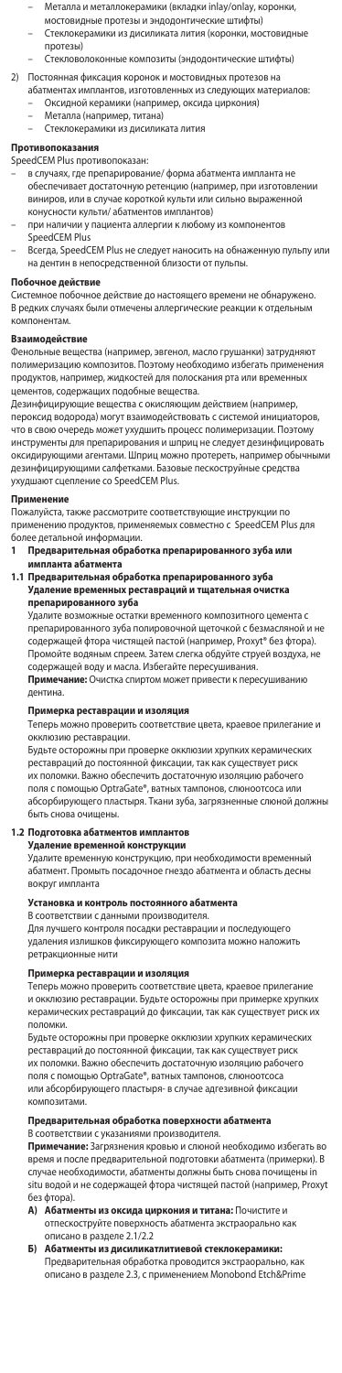- Металла и металлокерамики (вкладки inlay/onlay, коронки, мостовидные протезы и эндодонтические штифты)
- Стеклокерамики из дисиликата лития (коронки, мостовидные
- протезы) е композиты (эндодонтические штифты)
- 2) Постоянная фиксация коронок и мостовидных протезов на абатментах имплантов, изготовленных из следующих материалов: – Оксидной керамики (например, оксида циркония)
	- Металла (например, титана)
	- Стеклокерамики из дисиликата лития

#### **Противопоказания**

- SpeedCEM Plus противопоказан:
- в случаях, где препарирование/ форма абатмента импланта не обеспечивает достаточную ретенцию (например, при изготовле виниров, или в случае короткой культи или сильно выраженной конусности культи/ абатментов имплантов)
- при наличии у пациента аллергии к любому из компонентов SpeedCEM Plus
- Всегда, SpeedCEM Plus не следует наносить на обнаженную пульпу или на дентин в непосредственной близости от пульпы.

# **Побочное действие**

Системное побочное действие до настоящего времени не обнаружено. В редких случаях были отмечены аллергические реакции к отдельным компонентам.

### **Взаимодействие**

Фенольные вещества (например, эвгенол, масло грушанки) затрудня полимеризацию композитов. Поэтому необходимо избегать применения продуктов, например, жидкостей для полоскания рта или временных цементов, содержащих подобные вещества.

Дезинфицирующие вещества с окисляющим действием (например, пероксид водорода) могут взаимодействовать с системой инициаторов, что в свою очередь может ухудшить процесс полимеризации. Поэтому инструменты для препарирования и шприц не следует дезинфицировать<br>оксидирующими агентами. Шприц можно протереть, например обычными<br>дезинфицирующими салфетками. Базовые пескоструйные средства ухудшают сцепление со SpeedCEM Plus.

**Применение** Пожалуйста, также рассмотрите соответствующие инструкции по применению продуктов, применяемых совместно с SpeedCEM Plus для более детальной информации. **1 Предварительная обработка препарированного зуба или** 

- **импланта абатмента**
- **1.1 Предварительная обработка препарированного зуба Удаление временных реставраций и тщательная очистка**

**препарированного зуба** Удалите возможные остатки временного композитного цемента с препарированного зуба полировочной щеточкой с безмасляной и не содержащей фтора чистящей пастой (например, Proxyt® без фтора). Промойте водяным спреем. Затем слегка обдуйте струей воздуха, не содержащей воду и масла. Избегайте пересушивания. **Примечание:** Очистка спиртом может привести к пересушиванию дентина.

**Примерка реставрации и изоляция**<br>Теперь можно проверить соответствие цвета, краевое прилегание и окклюзию реставрации.

---------<br>Будьте осторожны при проверке окклюзии хрупких керамически реставраций до постоянной фиксации, так как существует риск их поломки. Важно обеспечить достаточную изоляцию рабочего поля с помощью OptraGate®, ватных тампонов, слюноотсоса или абсорбирующего пластыря. Ткани зуба, загрязненные слюной должны быть снова очищены.

### **1.2 Подготовка абатментов имплантов**

**Удаление временной конструкции**<br>Удалите временную конструкцию, при необходимости временный абатмент. Промыть посадочное гнездо абатмента и область десны вокруг импланта

### **Установка и контроль постоянного абатмента**

В соответствии с данными производителя.

Для лучшего контроля посадки реставрации и последующего удаления излишков фиксирующего композита можно наложить ретракционные нити

**Примерка реставрации и изоляция**<br>Теперь можно проверить соответствие цвета, краевое прилегание и окклюзию реставрации. Будьте осторожны при примерке хрупких керамических реставраций до фиксации, так как существует риск их поломки.

Будьте осторожны при проверке окклюзии хрупких керамических реставраций до постоянной фиксации, так как существует риск их поломки. Важно обеспечить достаточную изоляцию рабочего поля с помощью OptraGate®, ватных тампонов, слюноотсоса или абсорбирующего пластыря- в случае адгезивной фиксации композитами.

## **Предварительная обработка поверхности абатмента**

В соответствии с указаниями производителя. **Примечание:** Загрязнения кровью и слюной необходимо избегать во время и после предварительной подготовки абатмента (примерки). В случае необходимости, абатменты должны быть снова почищены in .<br>u водой и не содержащей фтора чистящей пастой (например, Proxyt без фтора).

- **А) Абатменты из оксида циркония и титана:** Почистите и отпескоструйте поверхность абатмента экстраорально как описано в разделе 2.1/2.2
- **Б) Абатменты из дисиликатлитиевой стеклокерамики:**  Предварительная обработка проводится экстраорально, как описано в разделе 2.3, с применением Monobond Etch&Prime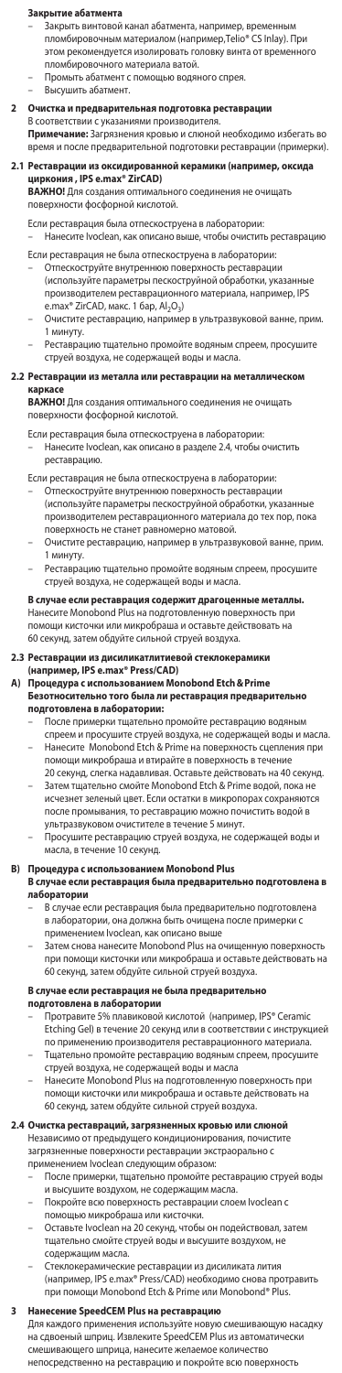# **Закрытие абатмента**

- Закрыть винтовой канал абатмента, например, временным пломбировочным материалом (например,Telio® CS Inlay). При этом рекомендуется изолировать головку винта от временного пломбировочного материала ватой.
- Промыть абатмент с помощью водяного спрея.
- Высушить абатмент.
- 2 Очистка и предварительная подготовка реставрац В соответствии с указаниями производител **Примечание:** Загрязнения кровью и слюной необходимо избегать во время и после предварительной подготовки реставрации (примерки).
- **2.1 Реставрации из оксидированной керамики (например, оксида циркония , IPS e.max® ZirCAD)**

**ВАЖНО!** Для создания оптимального соединения не очищать поверхности фосфорной кислотой.

Если реставрация была отпескоструена в лаборатории: – Нанесите Ivoclean, как описано выше, чтобы очистить реставрацию

Если реставрация не была отпескоструена в лаборатори

- Отпескоструйте внутреннюю поверхность реставрации (используйте параметры пескоструйной обработки, указан производителем реставрационного материала, например, IPS e.max® ZirCAD, макс. 1 бар, Al<sub>2</sub>O<sub>3</sub>)
- Очистите реставрацию, например в ультразвуковой ванне, прим. 1 минуту.
- Реставрацию тщательно промойте водяным спреем, просушите струей воздуха, не содержащей воды и масла.

#### **2.2 Реставрации из металла или реставрации на металлическом каркасе**

ВАЖНО! Для создания оптимального соединения не о поверхности фосфорной кислотой.

Если реставрация была отпескоструена в лаборатории:

– Нанесите Ivoclean, как описано в разделе 2.4, чтобы очистить реставрацию.

Если реставрация не была отпескоструена в лаборатории:

- Отпескоструйте внутреннюю поверхность реставрации (используйте параметры пескоструйной обработки, указанные производителем реставрационного материала до тех пор, пока поверхность не станет равномерно матовой.
- Очистите реставрацию, например в ультразвуковой ванне, прим. 1 минуту.
- Реставрацию тщательно промойте водяным спреем, просушите струей воздуха, не содержащей воды и масла.

# **В случае если реставрация содержит драгоценные металлы.**  Нанесите Monobond Plus на подготовленную поверхность при помощи кисточки или микробраша и оставьте действовать на 60 секунд, затем обдуйте сильной струей воздуха.

**2.3 Реставрации из дисиликатлитиевой стеклокерамики (например, IPS e.max® Press/CAD) A) Процедура с использованием Monobond Etch&Prime** 

- 
- **Безотносительно того была ли реставрация предварительно** 
	- **подготовлена в лаборатории:**  После примерки тщательно промойте реставрацию водяным
	- спреем и просушите струей воздуха, не содержащей воды и масла. Нанесите Monobond Etch & Prime на поверхность сцепления при помощи микробраша и втирайте в поверхность в течение 20 секунд, слегка надавливая. Оставьте действовать на 40 секунд.
	- Затем тщательно смойте Monobond Etch & Prime водой, пока не исчезнет зеленый цвет. Если остатки в микропорах сохраняются после промывания, то реставрацию можно почистить водой в
	- ультразвуковом очистителе в течение 5 минут. Просушите реставрацию струей воздуха, не содержащей воды и .<br>асла, в течение 10 секунд.

- **B) Процедура с использованием Monobond Plus В случае если реставрация была предварительно подготовлена в лаборатории**
	- В случае если реставрация была предварительно подготовлена в лаборатории, она должна быть очищена после примерки с применением Ivoclean, как описано выше
	- Затем снова нанесите Monobond Plus на очищенную поверхность при помощи кисточки или микробраша и оставьте действовать на 60 секунд, затем обдуйте сильной струей воздуха.

- 
- **В случае если реставрация не была предварительно**<br>**подготовлена в лаборатории**<br>– Протравите 5% плавиковой кислотой (например, IPS® Ceramic Etching Gel) в течение 20 секунд или в соответствии с инструкцией<br>по применению производителя реставрационного материала. менению производителя реставрационного материа
- Тщательно промойте реставрацию водяным спреем, просушите струей воздуха, не содержащей воды и масла – Нанесите Monobond Plus на подготовленную поверхность при
- помощи кисточки или микробраша и оставьте действовать на 60 секунд, затем обдуйте сильной струей воздуха.

### **2.4 Очистка реставраций, загрязненных кровью или слюной**

Независимо от предыдущего кондиционирования, почистите загрязненные поверхности реставрации экстраорально с применением Ivoclean следующим образом:

- После примерки, тщательно промойте реставрацию струей воды<br>и высушите воздухом, не содержащим масла. ите воздухом, не содержащим масла.
- Покройте всю поверхность реставрации слоем Ivoclean с
- помощью микробраша или кисточки.
- Оставьте Ivoclean на 20 секунд, чтобы он подействовал, затем тщательно смойте струей воды и высушите воздухом, не содержащим масла.
- Стеклокерамические реставрации из дисиликата лития (например, IPS e.max® Press/CAD) необходимо снова протравить при помощи Monobond Etch & Prime или Monobond® Plus.

**3 Нанесение SpeedCEM Plus на реставрацию** Для каждого применения используйте новую смешивающую насадку на сдвоеный шприц. Извлеките SpeedCEM Plus из автоматически смешивающего шприца, нанесите желаемое количество непосредственно на реставрацию и покройте всю поверхность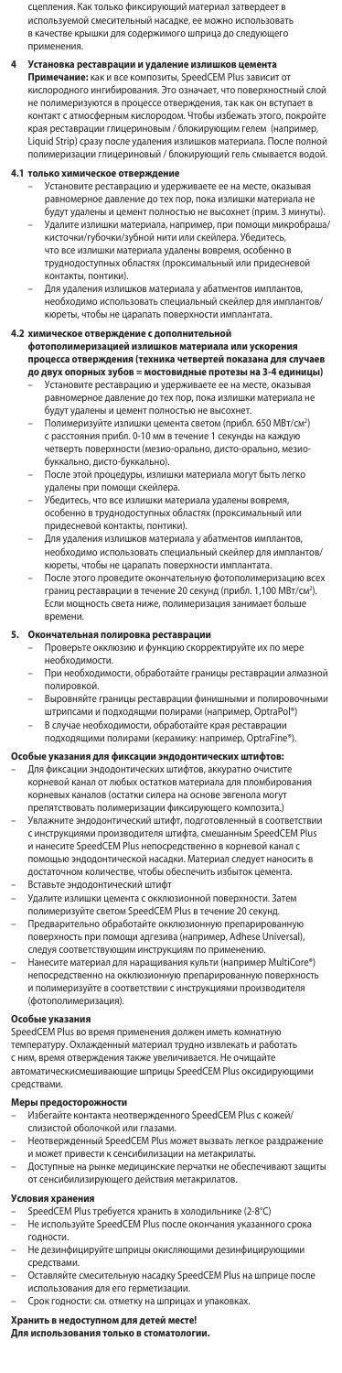сцепления. Как только фиксирующий материал затвердеет в используемой смесительный насадке, ее можно использовать в качестве крышки для содержимого шприца до следующего применен

**4 Установка реставрации и удаление излишков цемента Примечание:** как и все композиты, SpeedCEM Plus зависит от кислородного ингибирования. Это означает, что поверхностный слой не полимеризуются в процессе отверждения, так как он вступает в контакт с атмосферным кислородом. Чтобы избежать этого, покройте края реставрации глицериновым / блокирующим гелем (например, Liquid Strip) сразу после удаления излишков материала. После полной полимеризации глицериновый / блокирующий гель смывается водой.

### **4.1 только химическое отверждение**

- Установите реставрацию и удерживаете ее на месте, оказывая равномерное давление до тех пор, пока излишки материала не будут удалены и цемент полностью не высохнет (прим. 3 минуты). – Удалите излишки материала, например, при помощи микробраша/ кисточки/губочки/зубной нити или скейлера. Убедитесь, что все излишки материала удалены вовремя, особенно в труднодоступных областях (проксимальный или придесневой контакты, понтики).
- Для удаления излишков материала у абатментов импл необходимо использовать специальный скейлер для имплантов/ кюреты, чтобы не царапать поверхности имплантата.

# 4.2 химическое отверждение с дополнительной<br>фотополимеризацией излишков материала или ускорения<br>процесса отверждения (техника четвертей показана для случаев<br>до двух опорных зубов = мостовидные протезы на 3-4 единицы)

- Установите реставрацию и удерживаете ее на месте, оказывая номерное давление до тех пор, пока излишки материала не будут удалены и цемент полностью не высохнет.
- Полимеризуйте излишки цемента светом (прибл. 650 МВт/см-2) с расстояния прибл. 0-10 мм в течение 1 секунды на каждую четверть поверхности (мезио-орально, дисто-орально, мезиобуккально, дисто-буккально).
- После этой процедуры, излишки материала могут быть легко удалены при помощи скейлера.
- Убедитесь, что все излишки материала удалены вовремя, особенно в труднодоступных областях (проксимальный или придесневой контакты, понтики).
- Для удаления излишков материала у абатментов имплантов, необходимо использовать специальный скейлер для имплантов/ кюреты, чтобы не царапать поверхности имплантата.
- После этого проведите окончательную фотополимеризацию всех границ реставрации в течение 20 секунд (прибл. 1,100 МВт/см²). Если мощность света ниже, полимеризация занимает больше времени.

- **5. Окончательная полировка реставрации** Проверьте окклюзию и функцию скорректируйте их по мере необходимости.
	- При необходимости, обработайте границы реставрации алмазной полировкой.
	- Выровняйте границы реставрации финишными и полировоч
	- штрипсами и подходящми полирами (например, OptraPol®) В случае необходимости, обработайте края реставрации подходящими полирами (керамику: например, OptraFine®).

- **Особые указания для фиксации эндодонтических штифтов:** Для фиксации эндодонтических штифтов, аккуратно очистите корневой канал от любых остатков материала для пломбирова корневых каналов (остатки силера на основе эвгенола могут препятствовать полимеризации фиксирующего композита.)
- Увлажните эндодонтический штифт, подготовленный в соответствии с инструкциями производителя штифта, смешанным SpeedCEM Plus и нанесите SpeedCEM Plus непосредственно в корневой канал с помощью эндодонтической насадки. Материал следует наносить в достаточном количестве, чтобы обеспечить избыток цемента.
- Вставьте эндодонтический штифт
- Удалите излишки цемента с окклюзионной поверхности. Затем полимеризуйте светом SpeedCEM Plus в течение 20 секунд.
- Предварительно обработайте окклюзионную препарированную поверхность при помощи адгезива (например, Adhese Universal),
- следуя соответствующим инструкциям по применению. Нанесите материал для наращивания культи (например MultiCore®) непосредственно на окклюзионную препарированную поверхность и полимеризуйте в соответствии с инструкциями производителя (фотополимеризация).

#### Особые указан

SpeedCEM Plus во время применения должен иметь комнатную температуру. Охлажденный материал трудно извлекать и работать с ним, время отверждения также увеличивается. Не очищайте автоматическисмешивающие шприцы SpeedCEM Plus оксидирующими средствами.

#### **Меры предосторожности**

- Избегайте контакта неотвержденного SpeedCEM Plus с кожей/ слизистой оболочкой или глазами.
- Неотвержденный SpeedCEM Plus может вызвать легкое раздражение и может привести к сенсибилизации на метакрилаты.
- Доступные на рынке медицинские перчатки не обеспечивают защиты от сенсибилизирующего действия метакрилатов.

- **Условия хранения** SpeedCEM Plus требуется хранить в холодильнике (2-8°C)
- Не используйте SpeedCEM Plus после окончания указанного срока годности.
- не дезинфицируйте шприцы окисляющими дезинфицирующи средствами.
- Оставляйте смесительную насадку SpeedCEM Plus на шприце после использования для его герметизации.
- Срок годности: см. отметку на шприцах и упаковках.

# **Хранить в недоступном для детей месте! Для использования только в стоматологии.**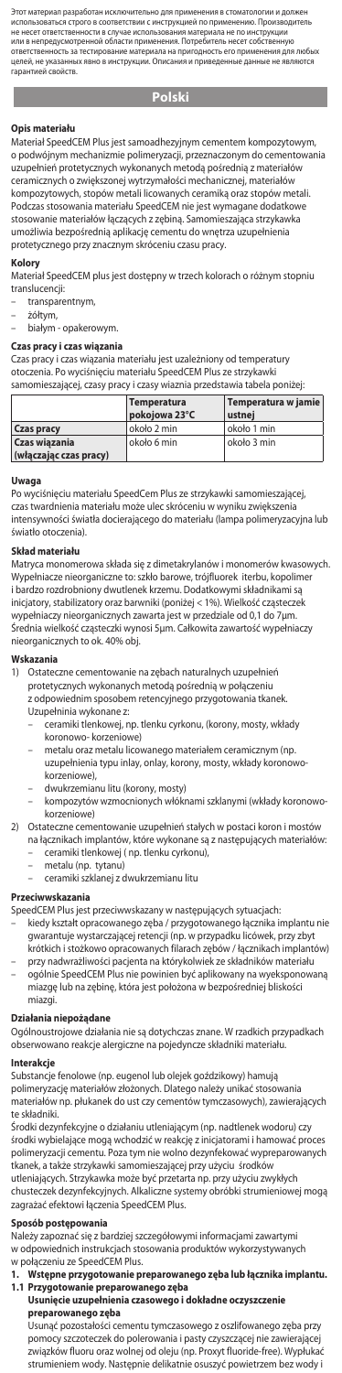.<br>Это материал разработан применения в стоматологии и должно<br>соответствии с инструкцией по применению. Производ ,<br>я строго в с не несет ответственности в случае использования материала не по инструкции или в непредусмотренной области применения. Потребитель несет собственную ответственность за тестирование материала на пригодность его применения для любы<br>Пелей, не указанных явно в инструкции. Описания и привеленные ланные не являются целей, не указанных явно в инструкции. Описания и приведенные данные не являются гарантией свойств.

## **Polski**

**Opis materiału**  Materiał SpeedCEM Plus jest samoadhezyjnym cementem kompozytowym, o podwójnym mechanizmie polimeryzacji, przeznaczonym do cemento uzupełnień protetycznych wykonanych metodą pośrednią z materiałów ceramicznych o zwiększonej wytrzymałości mechanicznej, materiałów kompozytowych, stopów metali licowanych ceramiką oraz stopów metali. Podczas stosowania materiału SpeedCEM nie jest wymagane dodatkowe stosowanie materiałów łączących z zębiną. Sa umożliwia bezpośrednią aplikację cementu do wnętrza uzupełnienia protetycznego przy znacznym skróceniu czasu pracy.

# **Kolory**

Materiał SpeedCEM plus jest dostępny w trzech kolorach o różnym stopniu translucencji:

- transparentnym,
- żółtym,
- białym opakerowym.

### **Czas pracy i czas wiązania**

Czas pracy i czas wiązania materiału jest uzależniony od temperatury otoczenia. Po wyciśnięciu materiału SpeedCEM Plus ze strzykawki samomieszającej, czasy pracy i czasy wiaznia przedstawia tabela poniżej:

|                                         | Temperatura<br>pokojowa 23°C | Temperatura w jamie<br>ustnei |
|-----------------------------------------|------------------------------|-------------------------------|
| <b>Czas pracy</b>                       | około 2 min                  | około 1 min                   |
| Czas wiązania<br>(włączając czas pracy) | około 6 min                  | około 3 min                   |

#### **Uwaga**

Po wyciśnięciu materiału SpeedCem Plus ze strzykawki samomieszającej, czas twardnienia materiału może ulec skróceniu w wyniku zwiększenia intensywności światła docierającego do materiału (lampa polimeryzacyjna lub światło otoczenia).

### **Skład materiału**

Matryca monomerowa składa się z dimetakrylanów i monomerów kwasowych. Wypełniacze nieorganiczne to: szkło barowe, trójfluorek iterbu, kopolimer<br>i bardzo rozdrobniony dwutlenek krzemu, Dodatkowymi składnikami sa rdzo rozdrobniony dwutlenek krzemu. Dodatkowymi składnikami są inicjatory, stabilizatory oraz barwniki (poniżej < 1%). Wielkość cząsteczek wypełniaczy nieorganicznych zawarta jest w przedziale od 0,1 do 7μm. Średnia wielkość cząsteczki wynosi 5μm. Całkowita zawartość wypełniaczy nieorganicznych to ok. 40% obj.

# **Wskazania**

1) Ostateczne cementowanie na zębach naturalnych uzupełnień protetycznych wykonanych metodą pośrednią w połączeniu z odpowiednim sposobem retencyjnego przygotowania tkanek. Uzupełninia wykonane z:

- ceramiki tlenkowej, np. tlenku cyrkonu, (korony, mosty, wkłady koronowo- korzeniowe)
- metalu oraz metalu licowanego materiałem ceramicznym (np. uzupełnienia typu inlay, onlay, korony, mosty, wkłady koronowokorzeniowe),
- dwukrzemianu litu (korony, mosty)
- kompozytów wzmocnionych włóknami szklanymi (wkłady koronowokorzeniowe)

#### 2) Ostateczne cementowanie uzupełnień stałych w postaci koron i mostów na łącznikach implantów, które wykonane są z następujących materiałów:

- ceramiki tlenkowej ( np. tlenku cyrkonu),
- metalu (np. tytanu)
- ceramiki szklanej z dwukrzemianu litu

## **Przeciwwskazania**

- SpeedCEM Plus jest przeciwwskazany w następujących sytuacjach: – kiedy kształt opracowanego zęba / przygotowanego łącznika implantu nie
- gwarantuje wystarczającej retencji (np. w przypadku licówek, przy zbyt krótkich i stożkowo opracowanych filarach zębów / łącznikach implantów) – przy nadwrażliwości pacjenta na którykolwiek ze składników materiału
- ogólnie SpeedCEM Plus nie powinien być aplikowany na wyeksponowaną miazgę lub na zębinę, która jest położona w bezpośredniej bliskości miazgi.

**Działania niepożądane**<br>Ogólnoustrojowe działania nie są dotychczas znane. W rzadkich przypadkach obserwowano reakcje alergiczne na pojedyncze składniki materiału.

## **Interakcje**

Substancje fenolowe (np. eugenol lub olejek goździkowy) hamują polimeryzację materiałów złożonych. Dlatego należy unikać stosowania materiałów np. płukanek do ust czy cementów tymczasowych), zawierających te składniki.

Środki dezynfekcyjne o działaniu utleniającym (np. nadtlenek wodoru) czy środki wybielające mogą wchodzić w reakcję z inicjatorami i hamować proces polimeryzacji cementu. Poza tym nie wolno dezynfekować wypreparowanych tkanek, a także strzykawki samomieszającej przy użyciu środków

utleniających. Strzykawka może być przetarta np. przy użyciu zwykłych chusteczek dezynfekcyjnych. Alkaliczne systemy obróbki strumieniowej mogą zagrażać efektowi łączenia SpeedCEM Plus.

**Sposób postępowania**  Należy zapoznać się z bardziej szczegółowymi informacjami zawartymi w odpowiednich instrukcjach stosowania produktów wykorzystywanych w połączeniu ze SpeedCEM Plus.

**1. Wstępne przygotowanie preparowanego zęba lub łącznika implantu. 1.1 Przygotowanie preparowanego zęba Usunięcie uzupełnienia czasowego i dokładne oczyszczenie** 

# **preparowanego zęba**

Usunąć pozostałości cementu tymczasowego z oszlifowanego zęba przy pomocy szczoteczek do polerowania i pasty czyszczącej nie zawierającej związków fluoru oraz wolnej od oleju (np. Proxyt fluoride-free). Wypłukać strumieniem wody. Następnie delikatnie osuszyć powietrzem bez wody i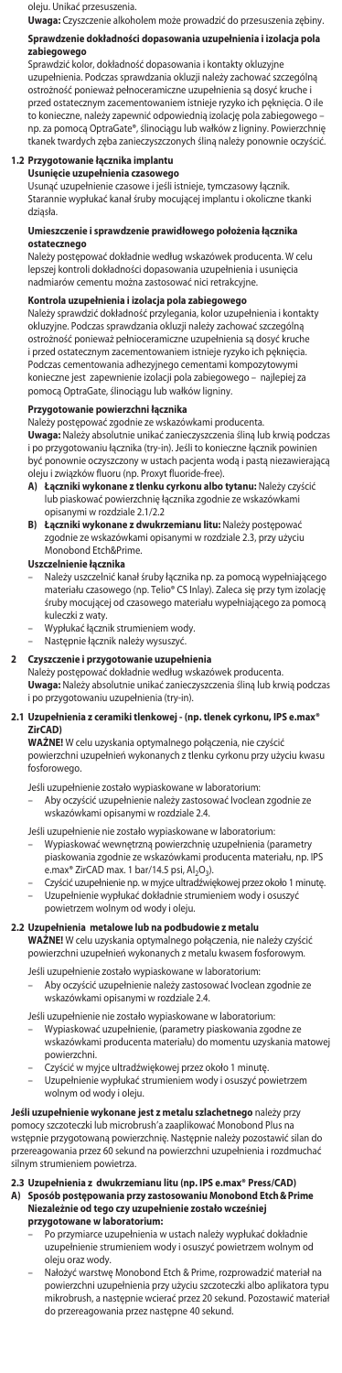oleju. Unikać przesuszenia.<br>Uwaga: Czyszczenie alkoholem może prowadzić do przesuszenia zębiny.

**Uwaga:** Czyszczenie alkoholem może prowadzić do przesuszenia zębiny.

# **Sprawdzenie dokładności dopasowania uzupełnienia i izolacja pola zabiegowego**

Sprawdzić kolor, dokładność dopasowania i kontakty okluzyjne uzupełnienia. Podczas sprawdzania okluzji należy zachować szczególną ostrożność ponieważ pełnoceramiczne uzupełnienia są dosyć kruche i przed ostatecznym zacementowaniem istnieje ryzyko ich pęknięcia. O ile to konieczne, należy zapewnić odpowiednią izolację pola zabiegowego – np. za pomocą OptraGate®, ślinociągu lub wałków z ligniny. Powierzchnię tkanek twardych zęba zanieczyszczonych śliną należy ponownie oczyścić.

# **1.2 Przygotowanie łącznika implantu Usunięcie uzupełnienia czasowego**

Usunąć uzupełnienie czasowe i jeśli istnieje, tymczasowy łącznik. Starannie wypłukać kanał śruby mocującej implantu i okoliczne tkanki dziąsła.

### **Umieszczenie i sprawdzenie prawidłowego położenia łącznika ostatecznego**

Należy postępować dokładnie według wskazówek producenta. W celu lepszej kontroli dokładności dopasowania uzupełnienia i usunięcia nadmiarów cementu można zastosować nici retrakcyjne.

### **Kontrola uzupełnienia i izolacja pola zabiegowego**

Należy sprawdzić dokładność przylegania, kolor uzupełnienia i kontakty okluzyjne. Podczas sprawdzania okluzji należy zachować szczególną ostrożność ponieważ pełnioceramiczne uzupełnienia są dosyć kruche i przed ostatecznym zacementowaniem istnieje ryzyko ich pęknięcia. Podczas cementowania adhezyjnego cementami kompozytowymi konieczne jest zapewnienie izolacji pola zabiegowego – najlepiej za pomocą OptraGate, ślinociągu lub wałków ligniny.

**Przygotowanie powierzchni łącznika** Należy postępować zgodnie ze wskazówkami producenta. **Uwaga:** Należy absolutnie unikać zanieczyszczenia śliną lub krwią podczas

i po przygotowaniu łącznika (try-in). Jeśli to konieczne łącznik powinien .<br>wnie oczyszczony w ustach pacjenta wodą i pastą niezawierającą oleju i związków fluoru (np. Proxyt fluoride-free).<br>A) **Łaczniki wykonane z tlenku cyrkonu albo** 

- **A) Łączniki wykonane z tlenku cyrkonu albo tytanu:** Należy czyścić lub piaskować powierzchnię łącznika zgodnie ze wskazówkami opisanymi w rozdziale 2.1/2.2
- **B) Łączniki wykonane z dwukrzemianu litu:** Należy postępować zgodnie ze wskazówkami opisanymi w rozdziale 2.3, przy użyciu Monobond Etch&Prime.

- **Uszczelnienie łącznika**<br>– Należy uszczelnić kanał śruby łącznika np. za pomocą wypełniającego materiału czasowego (np. Telio® CS Inlay). Zaleca się przy tym izolację śruby mocującej od czasowego materiału wypełniającego za pomocą kuleczki z waty.
- Wypłukać łącznik strumieniem wody.
- Następnie łącznik należy wysuszyć.

# **2 Czyszczenie i przygotowanie uzupełnienia**

Należy postępować dokładnie według wskazówek producenta.

**Uwaga:** Należy absolutnie unikać zanieczyszczenia śliną lub krwią podczas i po przygotowaniu uzupełnienia (try-in).

# **2.1 Uzupełnienia z ceramiki tlenkowej - (np. tlenek cyrkonu, IPS e.max® ZirCAD)**

**WAŻNE!** W celu uzyskania optymalnego połączenia, nie czyścić powierzchni uzupełnień wykonanych z tlenku cyrkonu przy użyciu kwasu fosforowego.

Jeśli uzupełnienie zostało wypiaskowane w laboratorium:

– Aby oczyścić uzupełnienie należy zastosować Ivoclean zgodnie ze wskazówkami opisanymi w rozdziale 2.4.

Jeśli uzupełnienie nie zostało wypiaskowane w laboratorium:

- Wypiaskować wewnętrzną powierzchnię uzupełnienia (parametry piaskowania zgodnie ze wskazówkami producenta materiału, np. IPS e.max® ZirCAD max. 1 bar/14.5 psi, Al<sub>2</sub>O<sub>3</sub>)
- Czyścić uzupełnienie np. w myjce ultradźwiękowej przez około 1 minutę. – Uzupełnienie wypłukać dokładnie strumieniem wody i osuszyć
- powietrzem wolnym od wody i oleju.

### **2.2 Uzupełnienia metalowe lub na podbudowie z metalu**

**WAŻNE!** W celu uzyskania optymalnego połączenia, nie należy czyścić powierzchni uzupełnień wykonanych z metalu kwasem fosforowym.

- Jeśli uzupełnienie zostało wypiaskowane w laboratorium:
	- Aby oczyścić uzupełnienie należy zastosować Ivoclean zgodnie ze .<br>kazówkami opisanymi w rozdziale 2.4

Jeśli uzupełnienie nie zostało wypiaskowane w laboratorium:

- Wypiaskować uzupełnienie, (parametry piaskowania zgodne ze wskazówkami producenta materiału) do momentu uzyskania matowej powierzchni.
- Czyścić w myjce ultradźwiękowej przez około 1 minutę. Uzupełnienie wypłukać strumieniem wody i osuszyć powietrzem wolnym od wody i oleju.

**Jeśli uzupełnienie wykonane jest z metalu szlachetnego** należy przy pomocy szczoteczki lub microbrush'a zaaplikować Monobond Plus na wstępnie przygotowaną powierzchnię. Następnie należy pozostawić silan do przereagowania przez 60 sekund na powierzchni uzupełnienia i rozdmuchać silnym strumieniem powietrza.

# **2.3 Uzupełnienia z dwukrzemianu litu (np. IPS e.max® Press/CAD) A) Sposób postępowania przy zastosowaniu Monobond Etch&Prime Niezależnie od tego czy uzupełnienie zostało wcześniej przygotowane w laboratorium:**

- Po przymiarce uzupełnienia w ustach należy wypłukać dokładnie uzupełnienie strumieniem wody i osuszyć powietrzem wolnym od oleju oraz wody.
- Nałożyć warstwę Monobond Etch & Prime, rozprowadzić materiał na<br>powierzchni uzupełnienia przy użyciu szczoteczki albo anlikatora tyr powierzchni uzupełnienia przy użyciu szczoteczki albo aplikatora typu mikrobrush, a następnie wcierać przez 20 sekund. Pozostawić materiał do przereagowania przez następne 40 sekund.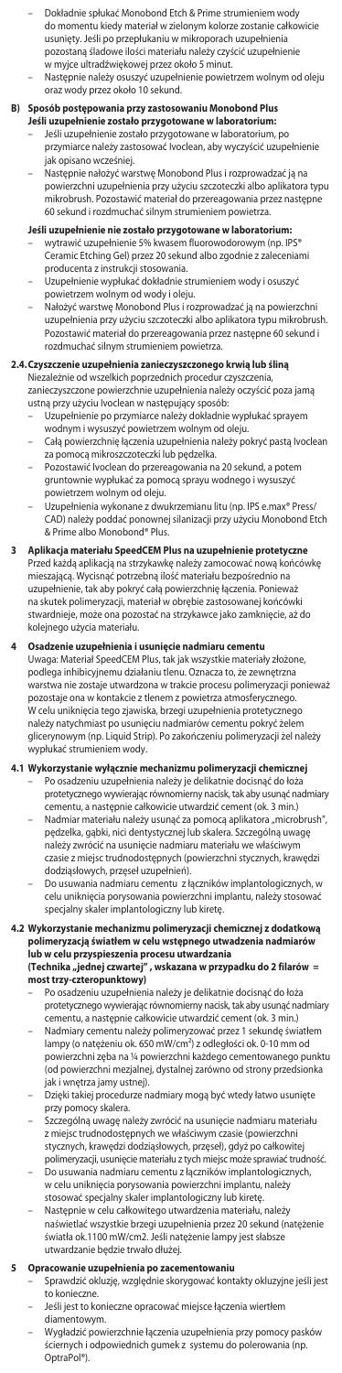- Dokładnie spłukać Monobond Etch & Prime strumieniem wody do momentu kiedy materiał w zielonym kolorze zostanie całkowicie usunięty. Jeśli po przepłukaniu w mikroporach uzupełnienia pozostaną śladowe ilości materiału należy czyścić uzupełnienie w myjce ultradźwiękowej przez około 5 minut.
- Następnie należy osuszyć uzupełnienie powietrzem wolnym od oleju oraz wody przez około 10 sekund.

- B) Sposób postępowania przy zastosowaniu Monobond Plus<br>1961 uzupełnienie zostało przygotowane w laboratorium:<br>1961 Jeśli uzupełnienie zostało przygotowane w laboratorium, po<br>1972 przymiarce należy zastosować Ivoclean, jak opisano wcześniej.
	- Następnie nałożyć warstwę Monobond Plus i rozprowadzać ją na powierzchni uzupełnienia przy użyciu szczoteczki albo aplikatora typu mikrobrush. Pozostawić materiał do przereagowania przez następne 60 sekund i rozdmuchać silnym strumieniem powietrza.

- **Jeśli uzupełnienie nie zostało przygotowane w laboratorium:**<br>– wytrawić uzupełnienie 5% kwasem fluorowodorowym (np. IPS®<br>Ceramic Etching Gel) przez 20 sekund albo zgodnie z zaleceniami producenta z instrukcji stosowania.
- Uzupełnienie wypłukać dokładnie strumieniem wody i osuszyć powietrzem wolnym od wody i oleju.
- Nałożyć warstwę Monobond Plus i rozprowadzać ją na powierzchni uzupełnienia przy użyciu szczoteczki albo aplikatora typu mikrobrush. Pozostawić materiał do przereagowania przez następi rozdmuchać silnym strumieniem powietrza.

# **2.4.Czyszczenie uzupełnienia zanieczyszczonego krwią lub śliną**

- Niezależnie od wszelkich poprzednich procedur czyszczenia, zanieczyszczone powierzchnie uzupełnienia należy oczyścić poza jamą
- ustną przy użyciu Ivoclean w następujący sposób: Uzupełnienie po przymiarce należy dokładnie wypłukać sprayem wodnym i wysuszyć powietrzem wolnym od oleju.
- Całą powierzchnię łączenia uzupełnienia należy pokryć pastą Ivoclean za pomocą mikroszczoteczki lub pędzelka.
- Pozostawić Ivoclean do przereagowania na 20 sekund, a potem gruntownie wypłukać za pomocą sprayu wodnego i wysuszyć powietrzem wolnym od oleju.
- Uzupełnienia wykonane z dwukrzemianu litu (np. IPS e.max® Press/ CAD) należy poddać ponownej silanizacji przy użyciu Monobond Etch & Prime albo Monobond® Plus.
- **3 Aplikacja materiału SpeedCEM Plus na uzupełnienie protetyczne** Przed każdą aplikacją na strzykawkę należy zamocować nową końcówkę mieszającą. Wycisnąć potrzebną ilość materiału bezpośrednio na uzupełnienie, tak aby pokryć całą powierzchnię łączenia. Ponieważ na skutek polimeryzacji, materiał w obrębie zastosowanej końcówki stwardnieje, może ona pozostać na strzykawce jako zamknięcie, aż do kolejnego użycia materiału.
- **4 Osadzenie uzupełnienia i usunięcie nadmiaru cementu** Uwaga: Materiał SpeedCEM Plus, tak jak wszystkie materiały złożone, podlega inhibicyjnemu działaniu tlenu. Oznacza to, że zewnętrzna warstwa nie zostaje utwardzona w trakcie procesu polimeryzacji ponieważ pozostaje ona w kontakcie z tlenem z powietrza atmosferycznego. W celu uniknięcia tego zjawiska, brzegi uzupełnienia protetycznego należy natychmiast po usunięciu nadmiarów cementu pokryć żelem glicerynowym (np. Liquid Strip). Po zakończeniu polimeryzacji żel należy wypłukać strumieniem wody.

# **4.1 Wykorzystanie wyłącznie mechanizmu polimeryzacji chemicznej** – Po osadzeniu uzupełnienia należy je delikatnie docisnąć do łoża

- protetycznego wywierając równomierny nacisk, tak aby usunąć nadmiary cementu, a następnie całkowicie utwardzić cement (ok. 3 min.) – Nadmiar materiału należy usunąć za pomocą aplikatora "microbrush",
- pędzelka, gąbki, nici dentystycznej lub skalera. Szczególną uwagę należy zwrócić na usunięcie nadmiaru materiału we właściwym czasie z miejsc trudnodostępnych (powierzchni stycznych, krawędzi dodziąsłowych, przęseł uzupełnień).
- Do usuwania nadmiaru cementu z łączników implantologicznych, w celu uniknięcia porysowania powierzchni implantu, należy stosować specjalny skaler implantologiczny lub kiretę.

# 4.2 Wykorzystanie mechanizmu polimeryzacji chemicznej z dodatkową<br>polimeryzacją światłem w celu wstępnego utwadzenia nadmiarów<br>lub w celu przyspieszenia procesu utwardzania<br>(Technika "jednej czwartej", wskazana w przypadku

- **most trzy-czteropunktowy)** – Po osadzeniu uzupełnienia należy je delikatnie docisnąć do łoża protetycznego wywierając równomierny nacisk, tak aby usunąć nadmiary
- cementu, a następnie całkowicie utwardzić cement (ok. 3 min.) – Nadmiary cementu należy polimeryzować przez 1 sekundę światłem lampy (o natężeniu ok. 650 mW/cm²) z odległości ok. 0-10 mm od powierzchni zęba na ¼ powierzchni każdego cementowanego punktu (od powierzchni mezjalnej, dystalnej zarówno od strony przedsionka
- jak i wnętrza jamy ustnej). Dzięki takiej procedurze nadmiary mogą być wtedy łatwo usunięte przy pomocy skalera.
- Szczególną uwagę należy zwrócić na usunięcie nadmiaru materiału z miejsc trudnodostępnych we właściwym czasie (powierzchni stycznych, krawędzi dodziąsłowych, przęseł), gdyż po całkowitej
- polimeryzacji, usunięcie materiału z tych miejsc może sprawiać trudność. Do usuwania nadmiaru cementu z łączników implantologicznych, w celu uniknięcia porysowania powierzchni implantu, należy stosować specjalny skaler implantologiczny lub kiretę.
- Następnie w celu całkowitego utwardzenia materiału, należy naświetlać wszystkie brzegi uzupełnienia przez 20 sekund (natężenie światła ok.1100 mW/cm2. Jeśli natężenie lampy jest słabsze utwardzanie będzie trwało dłużej.

- **5 Opracowanie uzupełnienia po zacementowaniu** Sprawdzić okluzję, względnie skorygować kontakty okluzyjne jeśli jest to konieczne.
	- Jeśli jest to konieczne opracować miejsce łączenia wiertłem diamentowym.
	- Wygładzić powierzchnie łączenia uzupełnienia przy pomocy pasków ściernych i odpowiednich gumek z systemu do polerowania (np. OptraPol®).